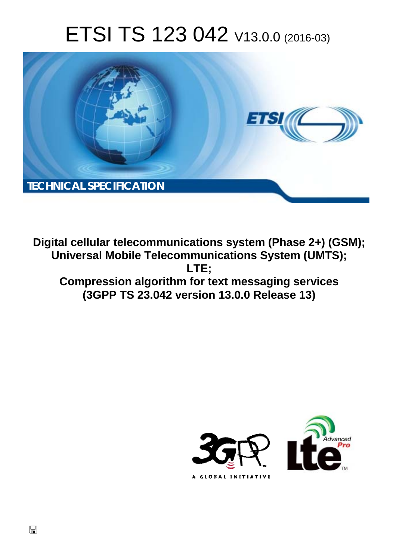# ETSI TS 123 042 V13.0.0 (2016-03)



**Digital cellular telecommunications system (Phase 2+) (GSM); Universal Mobile Tel elecommunications System ( (UMTS); Compression algorithm for text messaging services (3GPP TS 23.0 .042 version 13.0.0 Release 13 13) LTE;** 



 $\Box$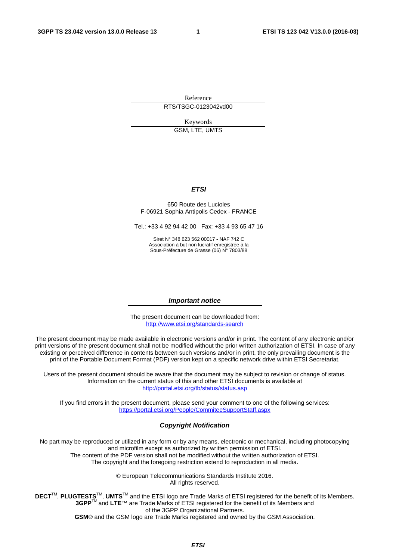Reference RTS/TSGC-0123042vd00

Keywords

GSM, LTE, UMTS

#### *ETSI*

#### 650 Route des Lucioles F-06921 Sophia Antipolis Cedex - FRANCE

Tel.: +33 4 92 94 42 00 Fax: +33 4 93 65 47 16

Siret N° 348 623 562 00017 - NAF 742 C Association à but non lucratif enregistrée à la Sous-Préfecture de Grasse (06) N° 7803/88

#### *Important notice*

The present document can be downloaded from: <http://www.etsi.org/standards-search>

The present document may be made available in electronic versions and/or in print. The content of any electronic and/or print versions of the present document shall not be modified without the prior written authorization of ETSI. In case of any existing or perceived difference in contents between such versions and/or in print, the only prevailing document is the print of the Portable Document Format (PDF) version kept on a specific network drive within ETSI Secretariat.

Users of the present document should be aware that the document may be subject to revision or change of status. Information on the current status of this and other ETSI documents is available at <http://portal.etsi.org/tb/status/status.asp>

If you find errors in the present document, please send your comment to one of the following services: <https://portal.etsi.org/People/CommiteeSupportStaff.aspx>

#### *Copyright Notification*

No part may be reproduced or utilized in any form or by any means, electronic or mechanical, including photocopying and microfilm except as authorized by written permission of ETSI.

The content of the PDF version shall not be modified without the written authorization of ETSI. The copyright and the foregoing restriction extend to reproduction in all media.

> © European Telecommunications Standards Institute 2016. All rights reserved.

**DECT**TM, **PLUGTESTS**TM, **UMTS**TM and the ETSI logo are Trade Marks of ETSI registered for the benefit of its Members. **3GPP**TM and **LTE**™ are Trade Marks of ETSI registered for the benefit of its Members and of the 3GPP Organizational Partners.

**GSM**® and the GSM logo are Trade Marks registered and owned by the GSM Association.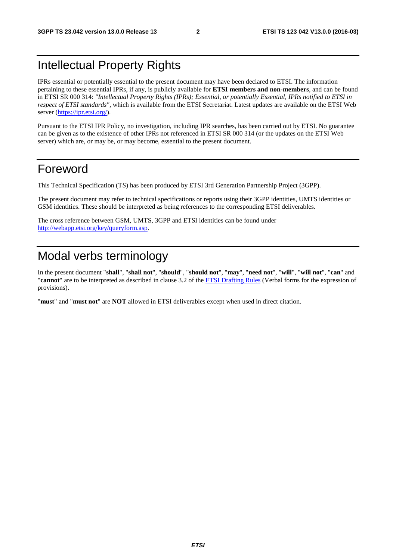# Intellectual Property Rights

IPRs essential or potentially essential to the present document may have been declared to ETSI. The information pertaining to these essential IPRs, if any, is publicly available for **ETSI members and non-members**, and can be found in ETSI SR 000 314: *"Intellectual Property Rights (IPRs); Essential, or potentially Essential, IPRs notified to ETSI in respect of ETSI standards"*, which is available from the ETSI Secretariat. Latest updates are available on the ETSI Web server ([https://ipr.etsi.org/\)](https://ipr.etsi.org/).

Pursuant to the ETSI IPR Policy, no investigation, including IPR searches, has been carried out by ETSI. No guarantee can be given as to the existence of other IPRs not referenced in ETSI SR 000 314 (or the updates on the ETSI Web server) which are, or may be, or may become, essential to the present document.

# Foreword

This Technical Specification (TS) has been produced by ETSI 3rd Generation Partnership Project (3GPP).

The present document may refer to technical specifications or reports using their 3GPP identities, UMTS identities or GSM identities. These should be interpreted as being references to the corresponding ETSI deliverables.

The cross reference between GSM, UMTS, 3GPP and ETSI identities can be found under [http://webapp.etsi.org/key/queryform.asp.](http://webapp.etsi.org/key/queryform.asp)

# Modal verbs terminology

In the present document "**shall**", "**shall not**", "**should**", "**should not**", "**may**", "**need not**", "**will**", "**will not**", "**can**" and "**cannot**" are to be interpreted as described in clause 3.2 of the [ETSI Drafting Rules](http://portal.etsi.org/Help/editHelp!/Howtostart/ETSIDraftingRules.aspx) (Verbal forms for the expression of provisions).

"**must**" and "**must not**" are **NOT** allowed in ETSI deliverables except when used in direct citation.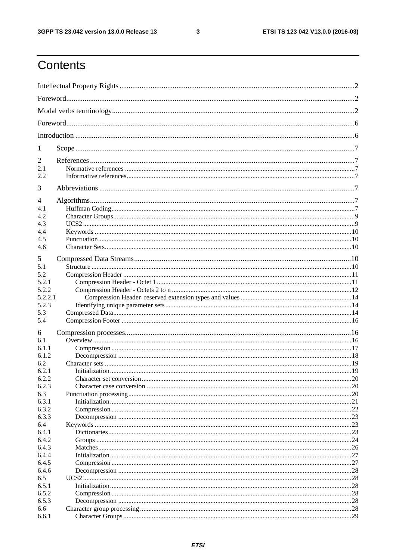$\mathbf{3}$ 

# Contents

| 1          |  |
|------------|--|
| 2          |  |
| 2.1        |  |
| 2.2        |  |
| 3          |  |
| 4          |  |
| 4.1<br>4.2 |  |
| 4.3        |  |
| 4.4        |  |
| 4.5        |  |
| 4.6        |  |
|            |  |
| 5          |  |
| 5.1        |  |
| 5.2        |  |
| 5.2.1      |  |
| 5.2.2      |  |
| 5.2.2.1    |  |
| 5.2.3      |  |
| 5.3        |  |
| 5.4        |  |
| 6          |  |
| 6.1        |  |
| 6.1.1      |  |
| 6.1.2      |  |
| 6.2        |  |
| 6.2.1      |  |
| 6.2.2      |  |
| 6.2.3      |  |
| 6.3        |  |
| 6.3.1      |  |
| 6.3.2      |  |
| 6.3.3      |  |
| 6.4        |  |
| 6.4.1      |  |
| 6.4.2      |  |
| 6.4.3      |  |
| 6.4.4      |  |
| 6.4.5      |  |
| 6.4.6      |  |
| 6.5        |  |
| 6.5.1      |  |
| 6.5.2      |  |
| 6.5.3      |  |
| 6.6        |  |
| 6.6.1      |  |
|            |  |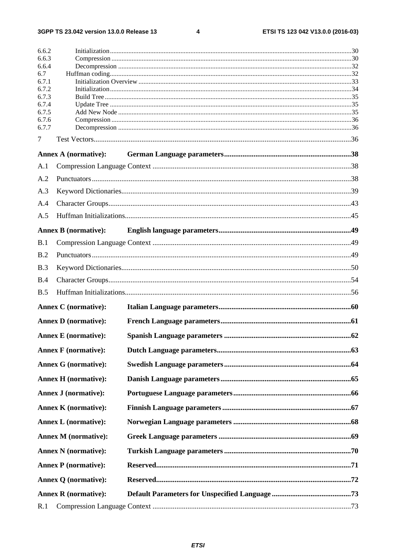$\overline{\mathbf{4}}$ 

| 6.6.2          |                             |  |
|----------------|-----------------------------|--|
| 6.6.3          |                             |  |
| 6.6.4<br>6.7   |                             |  |
| 6.7.1          |                             |  |
| 6.7.2          |                             |  |
| 6.7.3          |                             |  |
| 6.7.4          |                             |  |
| 6.7.5<br>6.7.6 |                             |  |
| 6.7.7          |                             |  |
| 7              |                             |  |
|                | Annex A (normative):        |  |
| A.1            |                             |  |
| A.2            |                             |  |
| A.3            |                             |  |
| A.4            |                             |  |
| A.5            |                             |  |
|                | <b>Annex B</b> (normative): |  |
| B.1            |                             |  |
| B.2            |                             |  |
| B.3            |                             |  |
| B.4            |                             |  |
| B.5            |                             |  |
|                | <b>Annex C</b> (normative): |  |
|                | <b>Annex D</b> (normative): |  |
|                | <b>Annex E</b> (normative): |  |
|                | <b>Annex F</b> (normative): |  |
|                | <b>Annex G</b> (normative): |  |
|                | <b>Annex H</b> (normative): |  |
|                | <b>Annex J (normative):</b> |  |
|                | <b>Annex K</b> (normative): |  |
|                |                             |  |
|                | <b>Annex L</b> (normative): |  |
|                | <b>Annex M</b> (normative): |  |
|                | <b>Annex N</b> (normative): |  |
|                | <b>Annex P</b> (normative): |  |
|                | <b>Annex Q (normative):</b> |  |
|                | <b>Annex R</b> (normative): |  |
| R.1            |                             |  |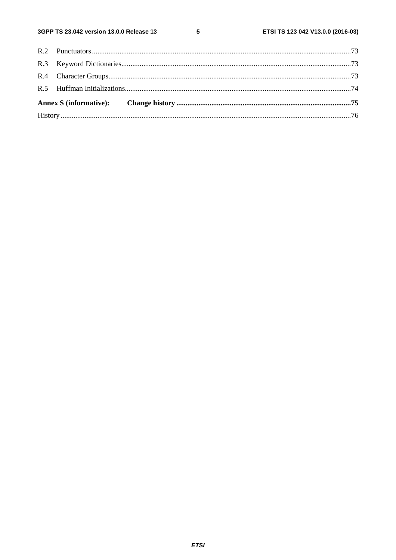$5\phantom{a}$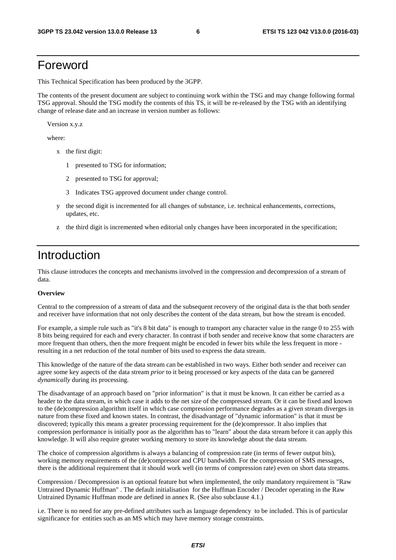# Foreword

This Technical Specification has been produced by the 3GPP.

The contents of the present document are subject to continuing work within the TSG and may change following formal TSG approval. Should the TSG modify the contents of this TS, it will be re-released by the TSG with an identifying change of release date and an increase in version number as follows:

Version x.y.z

where:

- x the first digit:
	- 1 presented to TSG for information;
	- 2 presented to TSG for approval;
	- 3 Indicates TSG approved document under change control.
- y the second digit is incremented for all changes of substance, i.e. technical enhancements, corrections, updates, etc.
- z the third digit is incremented when editorial only changes have been incorporated in the specification;

# Introduction

This clause introduces the concepts and mechanisms involved in the compression and decompression of a stream of data.

#### **Overview**

Central to the compression of a stream of data and the subsequent recovery of the original data is the that both sender and receiver have information that not only describes the content of the data stream, but how the stream is encoded.

For example, a simple rule such as "it's 8 bit data" is enough to transport any character value in the range 0 to 255 with 8 bits being required for each and every character. In contrast if both sender and receive know that some characters are more frequent than others, then the more frequent might be encoded in fewer bits while the less frequent in more resulting in a net reduction of the total number of bits used to express the data stream.

This knowledge of the nature of the data stream can be established in two ways. Either both sender and receiver can agree some key aspects of the data stream *prior* to it being processed or key aspects of the data can be garnered *dynamically* during its processing.

The disadvantage of an approach based on "prior information" is that it must be known. It can either be carried as a header to the data stream, in which case it adds to the net size of the compressed stream. Or it can be fixed and known to the (de)compression algorithm itself in which case compression performance degrades as a given stream diverges in nature from these fixed and known states. In contrast, the disadvantage of "dynamic information" is that it must be discovered; typically this means a greater processing requirement for the (de)compressor. It also implies that compression performance is initially poor as the algorithm has to "learn" about the data stream before it can apply this knowledge. It will also require greater working memory to store its knowledge about the data stream.

The choice of compression algorithms is always a balancing of compression rate (in terms of fewer output bits), working memory requirements of the (de)compressor and CPU bandwidth. For the compression of SMS messages, there is the additional requirement that it should work well (in terms of compression rate) even on short data streams.

Compression / Decompression is an optional feature but when implemented, the only mandatory requirement is "Raw Untrained Dynamic Huffman" . The default initialisation for the Huffman Encoder / Decoder operating in the Raw Untrained Dynamic Huffman mode are defined in annex R. (See also subclause 4.1.)

i.e. There is no need for any pre-defined attributes such as language dependency to be included. This is of particular significance for entities such as an MS which may have memory storage constraints.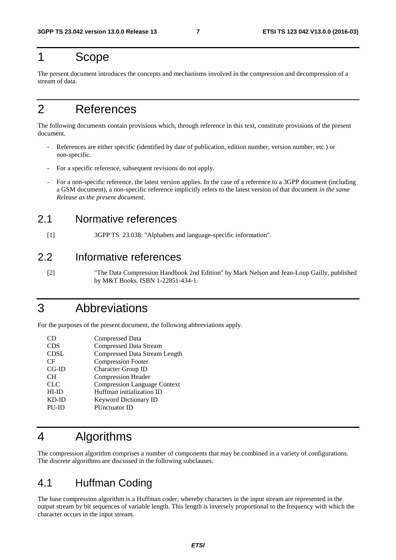# 1 Scope

The present document introduces the concepts and mechanisms involved in the compression and decompression of a stream of data.

# 2 References

The following documents contain provisions which, through reference in this text, constitute provisions of the present document.

- References are either specific (identified by date of publication, edition number, version number, etc.) or non-specific.
- For a specific reference, subsequent revisions do not apply.
- For a non-specific reference, the latest version applies. In the case of a reference to a 3GPP document (including a GSM document), a non-specific reference implicitly refers to the latest version of that document *in the same Release as the present document*.

### 2.1 Normative references

[1] 3GPP TS 23.038: "Alphabets and language-specific information".

### 2.2 Informative references

[2] "The Data Compression Handbook 2nd Edition" by Mark Nelson and Jean-Loup Gailly, published by M&T Books, ISBN 1-22851-434-1.

# 3 Abbreviations

For the purposes of the present document, the following abbreviations apply.

| CD          | <b>Compressed Data</b>               |
|-------------|--------------------------------------|
| <b>CDS</b>  | <b>Compressed Data Stream</b>        |
| <b>CDSL</b> | <b>Compressed Data Stream Length</b> |
| CF          | <b>Compression Footer</b>            |
| $CG-ID$     | <b>Character Group ID</b>            |
| <b>CH</b>   | Compression Header                   |
| <b>CLC</b>  | <b>Compression Language Context</b>  |
| $HI-ID$     | Huffman initialization ID            |
| $KD$ - $ID$ | Keyword Dictionary ID                |
| PU-ID       | PUnctuator ID                        |
|             |                                      |

# 4 Algorithms

The compression algorithm comprises a number of components that may be combined in a variety of configurations. The discrete algorithms are discussed in the following subclauses.

# 4.1 Huffman Coding

The base compression algorithm is a Huffman coder, whereby characters in the input stream are represented in the output stream by bit sequences of variable length. This length is inversely proportional to the frequency with which the character occurs in the input stream.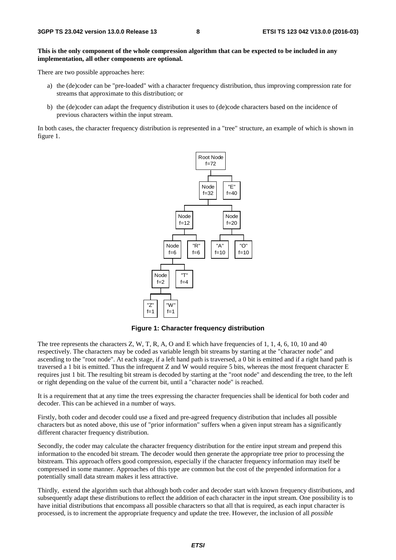#### **This is the only component of the whole compression algorithm that can be expected to be included in any implementation, all other components are optional.**

There are two possible approaches here:

- a) the (de)coder can be "pre-loaded" with a character frequency distribution, thus improving compression rate for streams that approximate to this distribution; or
- b) the (de)coder can adapt the frequency distribution it uses to (de)code characters based on the incidence of previous characters within the input stream.

In both cases, the character frequency distribution is represented in a "tree" structure, an example of which is shown in figure 1.



**Figure 1: Character frequency distribution** 

The tree represents the characters Z, W, T, R, A, O and E which have frequencies of 1, 1, 4, 6, 10, 10 and 40 respectively. The characters may be coded as variable length bit streams by starting at the "character node" and ascending to the "root node". At each stage, if a left hand path is traversed, a 0 bit is emitted and if a right hand path is traversed a 1 bit is emitted. Thus the infrequent Z and W would require 5 bits, whereas the most frequent character E requires just 1 bit. The resulting bit stream is decoded by starting at the "root node" and descending the tree, to the left or right depending on the value of the current bit, until a "character node" is reached.

It is a requirement that at any time the trees expressing the character frequencies shall be identical for both coder and decoder. This can be achieved in a number of ways.

Firstly, both coder and decoder could use a fixed and pre-agreed frequency distribution that includes all possible characters but as noted above, this use of "prior information" suffers when a given input stream has a significantly different character frequency distribution.

Secondly, the coder may calculate the character frequency distribution for the entire input stream and prepend this information to the encoded bit stream. The decoder would then generate the appropriate tree prior to processing the bitstream. This approach offers good compression, especially if the character frequency information may itself be compressed in some manner. Approaches of this type are common but the cost of the prepended information for a potentially small data stream makes it less attractive.

Thirdly, extend the algorithm such that although both coder and decoder start with known frequency distributions, and subsequently adapt these distributions to reflect the addition of each character in the input stream. One possibility is to have initial distributions that encompass all possible characters so that all that is required, as each input character is processed, is to increment the appropriate frequency and update the tree. However, the inclusion of all *possible*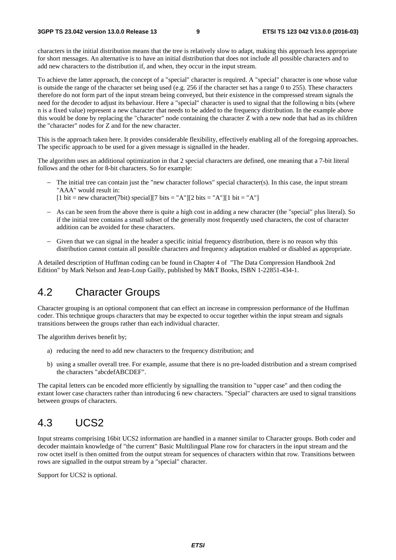characters in the initial distribution means that the tree is relatively slow to adapt, making this approach less appropriate for short messages. An alternative is to have an initial distribution that does not include all possible characters and to add new characters to the distribution if, and when, they occur in the input stream.

To achieve the latter approach, the concept of a "special" character is required. A "special" character is one whose value is outside the range of the character set being used (e.g. 256 if the character set has a range 0 to 255). These characters therefore do not form part of the input stream being conveyed, but their existence in the compressed stream signals the need for the decoder to adjust its behaviour. Here a "special" character is used to signal that the following n bits (where n is a fixed value) represent a new character that needs to be added to the frequency distribution. In the example above this would be done by replacing the "character" node containing the character Z with a new node that had as its children the "character" nodes for Z and for the new character.

This is the approach taken here. It provides considerable flexibility, effectively enabling all of the foregoing approaches. The specific approach to be used for a given message is signalled in the header.

The algorithm uses an additional optimization in that 2 special characters are defined, one meaning that a 7-bit literal follows and the other for 8-bit characters. So for example:

- − The initial tree can contain just the "new character follows" special character(s). In this case, the input stream "AAA" would result in:
	- [1 bit = new character(7bit) special][7 bits = "A"][2 bits = "A"][1 bit = "A"]
- − As can be seen from the above there is quite a high cost in adding a new character (the "special" plus literal). So if the initial tree contains a small subset of the generally most frequently used characters, the cost of character addition can be avoided for these characters.
- − Given that we can signal in the header a specific initial frequency distribution, there is no reason why this distribution cannot contain all possible characters and frequency adaptation enabled or disabled as appropriate.

A detailed description of Huffman coding can be found in Chapter 4 of "The Data Compression Handbook 2nd Edition" by Mark Nelson and Jean-Loup Gailly, published by M&T Books, ISBN 1-22851-434-1.

### 4.2 Character Groups

Character grouping is an optional component that can effect an increase in compression performance of the Huffman coder. This technique groups characters that may be expected to occur together within the input stream and signals transitions between the groups rather than each individual character.

The algorithm derives benefit by;

- a) reducing the need to add new characters to the frequency distribution; and
- b) using a smaller overall tree. For example, assume that there is no pre-loaded distribution and a stream comprised the characters "abcdefABCDEF".

The capital letters can be encoded more efficiently by signalling the transition to "upper case" and then coding the extant lower case characters rather than introducing 6 new characters. "Special" characters are used to signal transitions between groups of characters.

# 4.3 UCS2

Input streams comprising 16bit UCS2 information are handled in a manner similar to Character groups. Both coder and decoder maintain knowledge of "the current" Basic Multilingual Plane row for characters in the input stream and the row octet itself is then omitted from the output stream for sequences of characters within that row. Transitions between rows are signalled in the output stream by a "special" character.

Support for UCS2 is optional.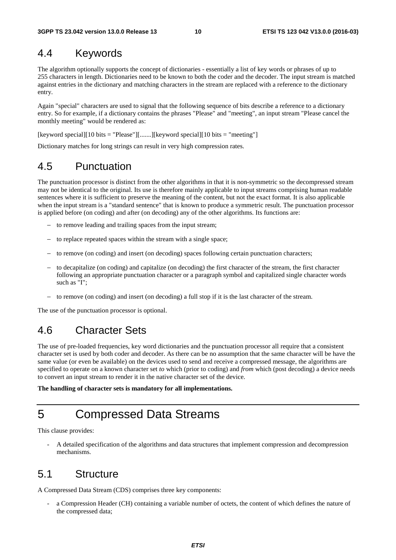### 4.4 Keywords

The algorithm optionally supports the concept of dictionaries - essentially a list of key words or phrases of up to 255 characters in length. Dictionaries need to be known to both the coder and the decoder. The input stream is matched against entries in the dictionary and matching characters in the stream are replaced with a reference to the dictionary entry.

Again "special" characters are used to signal that the following sequence of bits describe a reference to a dictionary entry. So for example, if a dictionary contains the phrases "Please" and "meeting", an input stream "Please cancel the monthly meeting" would be rendered as:

[keyword special][10 bits = "Please"][.......][keyword special][10 bits = "meeting"]

Dictionary matches for long strings can result in very high compression rates.

### 4.5 Punctuation

The punctuation processor is distinct from the other algorithms in that it is non-symmetric so the decompressed stream may not be identical to the original. Its use is therefore mainly applicable to input streams comprising human readable sentences where it is sufficient to preserve the meaning of the content, but not the exact format. It is also applicable when the input stream is a "standard sentence" that is known to produce a symmetric result. The punctuation processor is applied before (on coding) and after (on decoding) any of the other algorithms. Its functions are:

- − to remove leading and trailing spaces from the input stream;
- − to replace repeated spaces within the stream with a single space;
- − to remove (on coding) and insert (on decoding) spaces following certain punctuation characters;
- − to decapitalize (on coding) and capitalize (on decoding) the first character of the stream, the first character following an appropriate punctuation character or a paragraph symbol and capitalized single character words such as "I";
- − to remove (on coding) and insert (on decoding) a full stop if it is the last character of the stream.

The use of the punctuation processor is optional.

# 4.6 Character Sets

The use of pre-loaded frequencies, key word dictionaries and the punctuation processor all require that a consistent character set is used by both coder and decoder. As there can be no assumption that the same character will be have the same value (or even be available) on the devices used to send and receive a compressed message, the algorithms are specified to operate on a known character set *to* which (prior to coding) and *from* which (post decoding) a device needs to convert an input stream to render it in the native character set of the device.

**The handling of character sets is mandatory for all implementations.** 

# 5 Compressed Data Streams

This clause provides:

- A detailed specification of the algorithms and data structures that implement compression and decompression mechanisms.

### 5.1 Structure

A Compressed Data Stream (CDS) comprises three key components:

a Compression Header (CH) containing a variable number of octets, the content of which defines the nature of the compressed data;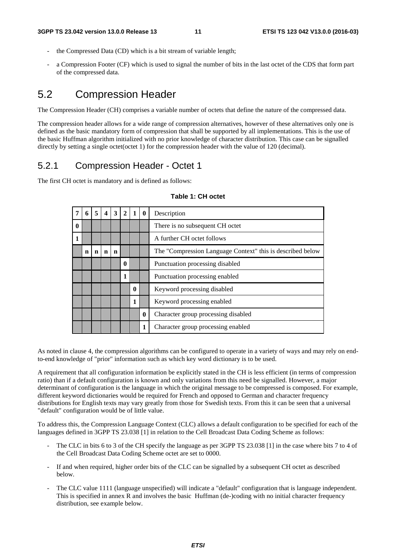- the Compressed Data (CD) which is a bit stream of variable length;
- a Compression Footer (CF) which is used to signal the number of bits in the last octet of the CDS that form part of the compressed data.

### 5.2 Compression Header

The Compression Header (CH) comprises a variable number of octets that define the nature of the compressed data.

The compression header allows for a wide range of compression alternatives, however of these alternatives only one is defined as the basic mandatory form of compression that shall be supported by all implementations. This is the use of the basic Huffman algorithm initialized with no prior knowledge of character distribution. This case can be signalled directly by setting a single octet(octet 1) for the compression header with the value of 120 (decimal).

#### 5.2.1 Compression Header - Octet 1

The first CH octet is mandatory and is defined as follows:

|             | 6 | 5           | 4 | 3 | $\overline{2}$ |             | $\mathbf{0}$ | Description                                                |  |  |  |  |
|-------------|---|-------------|---|---|----------------|-------------|--------------|------------------------------------------------------------|--|--|--|--|
| $\mathbf 0$ |   |             |   |   |                |             |              | There is no subsequent CH octet                            |  |  |  |  |
| 1           |   |             |   |   |                |             |              | A further CH octet follows                                 |  |  |  |  |
|             | n | $\mathbf n$ | n | n |                |             |              | The "Compression Language Context" this is described below |  |  |  |  |
|             |   |             |   |   | $\bf{0}$       |             |              | Punctuation processing disabled                            |  |  |  |  |
|             |   |             |   |   | 1              |             |              | Punctuation processing enabled                             |  |  |  |  |
|             |   |             |   |   |                | $\mathbf 0$ |              | Keyword processing disabled                                |  |  |  |  |
|             |   |             |   |   |                | 1           |              | Keyword processing enabled                                 |  |  |  |  |
|             |   |             |   |   |                |             | $\bf{0}$     | Character group processing disabled                        |  |  |  |  |
|             |   |             |   |   |                |             | 1            | Character group processing enabled                         |  |  |  |  |

#### **Table 1: CH octet**

As noted in clause 4, the compression algorithms can be configured to operate in a variety of ways and may rely on endto-end knowledge of "prior" information such as which key word dictionary is to be used.

A requirement that all configuration information be explicitly stated in the CH is less efficient (in terms of compression ratio) than if a default configuration is known and only variations from this need be signalled. However, a major determinant of configuration is the language in which the original message to be compressed is composed. For example, different keyword dictionaries would be required for French and opposed to German and character frequency distributions for English texts may vary greatly from those for Swedish texts. From this it can be seen that a universal "default" configuration would be of little value.

To address this, the Compression Language Context (CLC) allows a default configuration to be specified for each of the languages defined in 3GPP TS 23.038 [1] in relation to the Cell Broadcast Data Coding Scheme as follows:

- The CLC in bits 6 to 3 of the CH specify the language as per 3GPP TS 23.038 [1] in the case where bits 7 to 4 of the Cell Broadcast Data Coding Scheme octet are set to 0000.
- If and when required, higher order bits of the CLC can be signalled by a subsequent CH octet as described below.
- The CLC value 1111 (language unspecified) will indicate a "default" configuration that is language independent. This is specified in annex R and involves the basic Huffman (de-)coding with no initial character frequency distribution, see example below.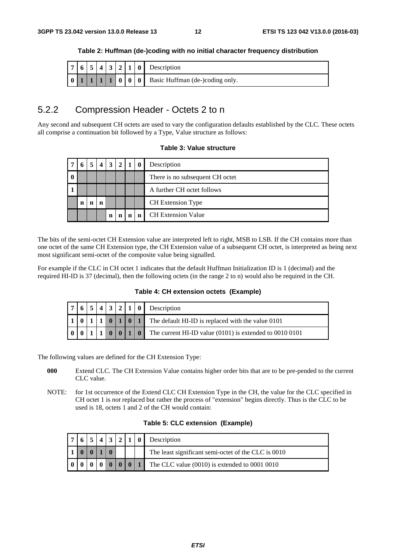| Table 2: Huffman (de-)coding with no initial character frequency distribution |  |  |  |  |  |
|-------------------------------------------------------------------------------|--|--|--|--|--|
|-------------------------------------------------------------------------------|--|--|--|--|--|

|  |  |  |  | $ 7 6 5 4 3 2 1 0 $ Description |
|--|--|--|--|---------------------------------|
|  |  |  |  |                                 |

### 5.2.2 Compression Header - Octets 2 to n

Any second and subsequent CH octets are used to vary the configuration defaults established by the CLC. These octets all comprise a continuation bit followed by a Type, Value structure as follows:

#### **Table 3: Value structure**

|   |   |   | $\boldsymbol{4}$ | 3 <sup>1</sup> | $\overline{2}$ |   |   | Description                     |
|---|---|---|------------------|----------------|----------------|---|---|---------------------------------|
| 0 |   |   |                  |                |                |   |   | There is no subsequent CH octet |
|   |   |   |                  |                |                |   |   | A further CH octet follows      |
|   | n | n | n                |                |                |   |   | <b>CH</b> Extension Type        |
|   |   |   |                  | n              | n              | n | n | <b>CH</b> Extension Value       |

The bits of the semi-octet CH Extension value are interpreted left to right, MSB to LSB. If the CH contains more than one octet of the same CH Extension type, the CH Extension value of a subsequent CH octet, is interpreted as being next most significant semi-octet of the composite value being signalled.

For example if the CLC in CH octet 1 indicates that the default Huffman Initialization ID is 1 (decimal) and the required HI-ID is 37 (decimal), then the following octets (in the range 2 to n) would also be required in the CH.

#### **Table 4: CH extension octets (Example)**

|  |  |  |  | $ 7 6 5 4 3 2 1 0 $ Description                                                                                           |  |  |  |  |
|--|--|--|--|---------------------------------------------------------------------------------------------------------------------------|--|--|--|--|
|  |  |  |  | $\vert 1 \vert 0 \vert 1 \vert 1 \vert 0 \vert 1 \vert 0 \vert 1 \vert$ The default HI-ID is replaced with the value 0101 |  |  |  |  |
|  |  |  |  | $\vert$ 0   0   1   0   The current HI-ID value (0101) is extended to 0010 0101                                           |  |  |  |  |

The following values are defined for the CH Extension Type:

- **000** Extend CLC. The CH Extension Value contains higher order bits that are to be pre-pended to the current CLC value.
- NOTE: for 1st occurrence of the Extend CLC CH Extension Type in the CH, the value for the CLC specified in CH octet 1 is *not* replaced but rather the process of "extension" begins directly. Thus is the CLC to be used is 18, octets 1 and 2 of the CH would contain:

#### **Table 5: CLC extension (Example)**

|  |  | $2 \mid 1$ |  |  | $\vert \vert$ 0 Description                         |  |  |  |
|--|--|------------|--|--|-----------------------------------------------------|--|--|--|
|  |  |            |  |  | The least significant semi-octet of the CLC is 0010 |  |  |  |
|  |  |            |  |  | The CLC value (0010) is extended to 0001 0010       |  |  |  |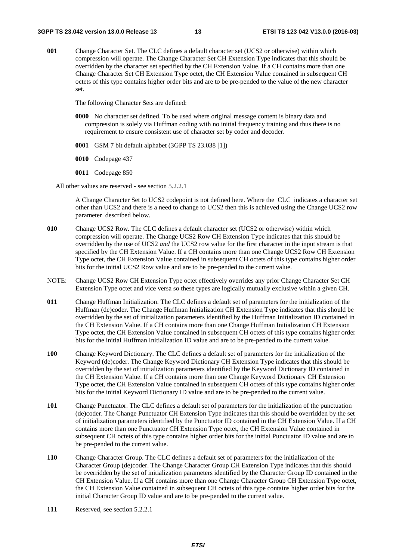**001** Change Character Set. The CLC defines a default character set (UCS2 or otherwise) within which compression will operate. The Change Character Set CH Extension Type indicates that this should be overridden by the character set specified by the CH Extension Value. If a CH contains more than one Change Character Set CH Extension Type octet, the CH Extension Value contained in subsequent CH octets of this type contains higher order bits and are to be pre-pended to the value of the new character set.

The following Character Sets are defined:

- **0000** No character set defined. To be used where original message content is binary data and compression is solely via Huffman coding with no initial frequency training and thus there is no requirement to ensure consistent use of character set by coder and decoder.
- **0001** GSM 7 bit default alphabet (3GPP TS 23.038 [1])
- **0010** Codepage 437
- **0011** Codepage 850
- All other values are reserved see section 5.2.2.1

 A Change Character Set to UCS2 codepoint is not defined here. Where the CLC indicates a character set other than UCS2 and there is a need to change to UCS2 then this is achieved using the Change UCS2 row parameter described below.

- **010** Change UCS2 Row. The CLC defines a default character set (UCS2 or otherwise) within which compression will operate. The Change UCS2 Row CH Extension Type indicates that this should be overridden by the use of UCS2 *and* the UCS2 row value for the first character in the input stream is that specified by the CH Extension Value. If a CH contains more than one Change UCS2 Row CH Extension Type octet, the CH Extension Value contained in subsequent CH octets of this type contains higher order bits for the initial UCS2 Row value and are to be pre-pended to the current value.
- NOTE: Change UCS2 Row CH Extension Type octet effectively overrides any prior Change Character Set CH Extension Type octet and vice versa so these types are logically mutually exclusive within a given CH.
- **011** Change Huffman Initialization. The CLC defines a default set of parameters for the initialization of the Huffman (de)coder. The Change Huffman Initialization CH Extension Type indicates that this should be overridden by the set of initialization parameters identified by the Huffman Initialization ID contained in the CH Extension Value. If a CH contains more than one Change Huffman Initialization CH Extension Type octet, the CH Extension Value contained in subsequent CH octets of this type contains higher order bits for the initial Huffman Initialization ID value and are to be pre-pended to the current value.
- **100** Change Keyword Dictionary. The CLC defines a default set of parameters for the initialization of the Keyword (de)coder. The Change Keyword Dictionary CH Extension Type indicates that this should be overridden by the set of initialization parameters identified by the Keyword Dictionary ID contained in the CH Extension Value. If a CH contains more than one Change Keyword Dictionary CH Extension Type octet, the CH Extension Value contained in subsequent CH octets of this type contains higher order bits for the initial Keyword Dictionary ID value and are to be pre-pended to the current value.
- **101** Change Punctuator. The CLC defines a default set of parameters for the initialization of the punctuation (de)coder. The Change Punctuator CH Extension Type indicates that this should be overridden by the set of initialization parameters identified by the Punctuator ID contained in the CH Extension Value. If a CH contains more than one Punctuator CH Extension Type octet, the CH Extension Value contained in subsequent CH octets of this type contains higher order bits for the initial Punctuator ID value and are to be pre-pended to the current value.
- **110** Change Character Group. The CLC defines a default set of parameters for the initialization of the Character Group (de)coder. The Change Character Group CH Extension Type indicates that this should be overridden by the set of initialization parameters identified by the Character Group ID contained in the CH Extension Value. If a CH contains more than one Change Character Group CH Extension Type octet, the CH Extension Value contained in subsequent CH octets of this type contains higher order bits for the initial Character Group ID value and are to be pre-pended to the current value.
- **111** Reserved, see section 5.2.2.1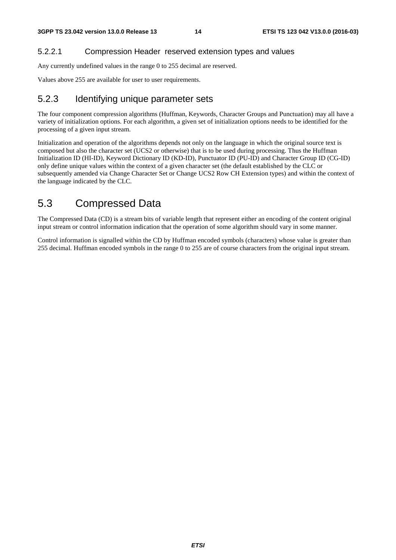#### 5.2.2.1 Compression Header reserved extension types and values

Any currently undefined values in the range 0 to 255 decimal are reserved.

Values above 255 are available for user to user requirements.

#### 5.2.3 Identifying unique parameter sets

The four component compression algorithms (Huffman, Keywords, Character Groups and Punctuation) may all have a variety of initialization options. For each algorithm, a given set of initialization options needs to be identified for the processing of a given input stream.

Initialization and operation of the algorithms depends not only on the language in which the original source text is composed but also the character set (UCS2 or otherwise) that is to be used during processing. Thus the Huffman Initialization ID (HI-ID), Keyword Dictionary ID (KD-ID), Punctuator ID (PU-ID) and Character Group ID (CG-ID) only define unique values within the context of a given character set (the default established by the CLC or subsequently amended via Change Character Set or Change UCS2 Row CH Extension types) and within the context of the language indicated by the CLC.

### 5.3 Compressed Data

The Compressed Data (CD) is a stream bits of variable length that represent either an encoding of the content original input stream or control information indication that the operation of some algorithm should vary in some manner.

Control information is signalled within the CD by Huffman encoded symbols (characters) whose value is greater than 255 decimal. Huffman encoded symbols in the range 0 to 255 are of course characters from the original input stream.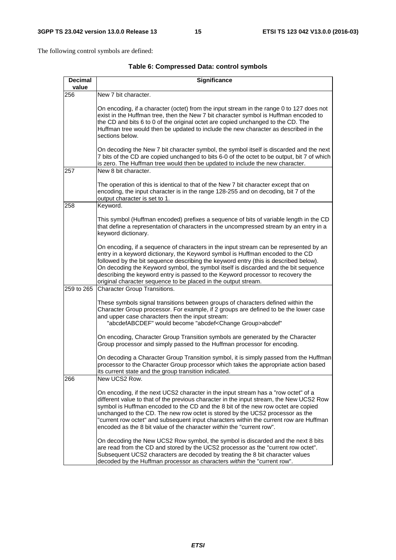The following control symbols are defined:

| <b>Decimal</b> | <b>Significance</b>                                                                                                                                                                                                                                                                                                                                                                                                                                                                                                    |
|----------------|------------------------------------------------------------------------------------------------------------------------------------------------------------------------------------------------------------------------------------------------------------------------------------------------------------------------------------------------------------------------------------------------------------------------------------------------------------------------------------------------------------------------|
| value          |                                                                                                                                                                                                                                                                                                                                                                                                                                                                                                                        |
| 256            | New 7 bit character.                                                                                                                                                                                                                                                                                                                                                                                                                                                                                                   |
|                | On encoding, if a character (octet) from the input stream in the range 0 to 127 does not<br>exist in the Huffman tree, then the New 7 bit character symbol is Huffman encoded to<br>the CD and bits 6 to 0 of the original octet are copied unchanged to the CD. The<br>Huffman tree would then be updated to include the new character as described in the<br>sections below.                                                                                                                                         |
|                | On decoding the New 7 bit character symbol, the symbol itself is discarded and the next<br>7 bits of the CD are copied unchanged to bits 6-0 of the octet to be output, bit 7 of which<br>is zero. The Huffman tree would then be updated to include the new character.                                                                                                                                                                                                                                                |
| 257            | New 8 bit character.                                                                                                                                                                                                                                                                                                                                                                                                                                                                                                   |
|                | The operation of this is identical to that of the New 7 bit character except that on<br>encoding, the input character is in the range 128-255 and on decoding, bit 7 of the<br>output character is set to 1.                                                                                                                                                                                                                                                                                                           |
| 258            | Keyword.                                                                                                                                                                                                                                                                                                                                                                                                                                                                                                               |
|                | This symbol (Huffman encoded) prefixes a sequence of bits of variable length in the CD<br>that define a representation of characters in the uncompressed stream by an entry in a<br>keyword dictionary.                                                                                                                                                                                                                                                                                                                |
|                | On encoding, if a sequence of characters in the input stream can be represented by an<br>entry in a keyword dictionary, the Keyword symbol is Huffman encoded to the CD<br>followed by the bit sequence describing the keyword entry (this is described below).<br>On decoding the Keyword symbol, the symbol itself is discarded and the bit sequence<br>describing the keyword entry is passed to the Keyword processor to recovery the<br>original character sequence to be placed in the output stream.            |
| 259 to 265     | <b>Character Group Transitions.</b>                                                                                                                                                                                                                                                                                                                                                                                                                                                                                    |
|                | These symbols signal transitions between groups of characters defined within the<br>Character Group processor. For example, if 2 groups are defined to be the lower case<br>and upper case characters then the input stream:<br>"abcdefABCDEF" would become "abcdef <change group="">abcdef"</change>                                                                                                                                                                                                                  |
|                | On encoding, Character Group Transition symbols are generated by the Character<br>Group processor and simply passed to the Huffman processor for encoding.                                                                                                                                                                                                                                                                                                                                                             |
|                | On decoding a Character Group Transition symbol, it is simply passed from the Huffman<br>processor to the Character Group processor which takes the appropriate action based<br>its current state and the group transition indicated.                                                                                                                                                                                                                                                                                  |
| 266            | New UCS2 Row.                                                                                                                                                                                                                                                                                                                                                                                                                                                                                                          |
|                | On encoding, if the next UCS2 character in the input stream has a "row octet" of a<br>different value to that of the previous character in the input stream, the New UCS2 Row<br>symbol is Huffman encoded to the CD and the 8 bit of the new row octet are copied<br>unchanged to the CD. The new row octet is stored by the UCS2 processor as the<br>"current row octet" and subsequent input characters within the current row are Huffman<br>encoded as the 8 bit value of the character within the "current row". |
|                | On decoding the New UCS2 Row symbol, the symbol is discarded and the next 8 bits<br>are read from the CD and stored by the UCS2 processor as the "current row octet".<br>Subsequent UCS2 characters are decoded by treating the 8 bit character values<br>decoded by the Huffman processor as characters within the "current row".                                                                                                                                                                                     |

#### **Table 6: Compressed Data: control symbols**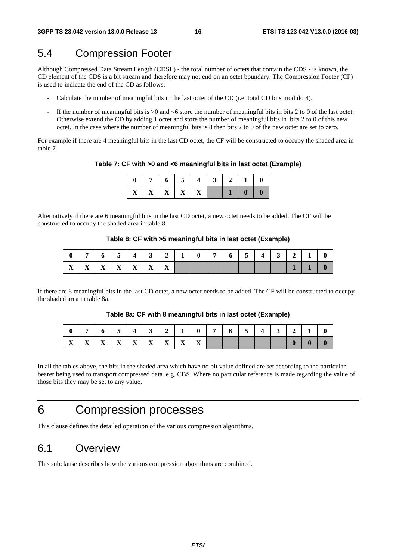# 5.4 Compression Footer

Although Compressed Data Stream Length (CDSL) - the total number of octets that contain the CDS - is known, the CD element of the CDS is a bit stream and therefore may not end on an octet boundary. The Compression Footer (CF) is used to indicate the end of the CD as follows:

- Calculate the number of meaningful bits in the last octet of the CD (i.e. total CD bits modulo 8).
- If the number of meaningful bits is  $>0$  and  $< 6$  store the number of meaningful bits in bits 2 to 0 of the last octet. Otherwise extend the CD by adding 1 octet and store the number of meaningful bits in bits 2 to 0 of this new octet. In the case where the number of meaningful bits is 8 then bits 2 to 0 of the new octet are set to zero.

For example if there are 4 meaningful bits in the last CD octet, the CF will be constructed to occupy the shaded area in table 7.

**Table 7: CF with >0 and <6 meaningful bits in last octet (Example)** 

|                               | $\vert 7 \vert 6 \vert 5 \vert 4 \vert 3 \vert 2 \vert 1 \vert 0$ |  |  |                |          |
|-------------------------------|-------------------------------------------------------------------|--|--|----------------|----------|
| $\mid X \mid X \mid X \mid X$ |                                                                   |  |  | 0 <sup>1</sup> | $\bf{0}$ |

Alternatively if there are 6 meaningful bits in the last CD octet, a new octet needs to be added. The CF will be constructed to occupy the shaded area in table 8.

#### **Table 8: CF with >5 meaningful bits in last octet (Example)**

|                                                | 7 6 5 4 3 2 1 0 7 6 5 |  |  |  |  | $4 \mid 3 \mid 2 \mid 1 \mid 0$ |  |  |
|------------------------------------------------|-----------------------|--|--|--|--|---------------------------------|--|--|
| $X \mid X \mid X \mid X \mid X \mid X \mid X'$ |                       |  |  |  |  |                                 |  |  |

If there are 8 meaningful bits in the last CD octet, a new octet needs to be added. The CF will be constructed to occupy the shaded area in table 8a.

#### **Table 8a: CF with 8 meaningful bits in last octet (Example)**

|  |  | $X$   $X$   $X$   $X$   $X$   $X$   $X$   $X$   $X$   $X$ |  |  |  |  |  | $\mathbf{0}$ |  |
|--|--|-----------------------------------------------------------|--|--|--|--|--|--------------|--|

In all the tables above, the bits in the shaded area which have no bit value defined are set according to the particular bearer being used to transport compressed data. e.g. CBS. Where no particular reference is made regarding the value of those bits they may be set to any value.

# 6 Compression processes

This clause defines the detailed operation of the various compression algorithms.

### 6.1 Overview

This subclause describes how the various compression algorithms are combined.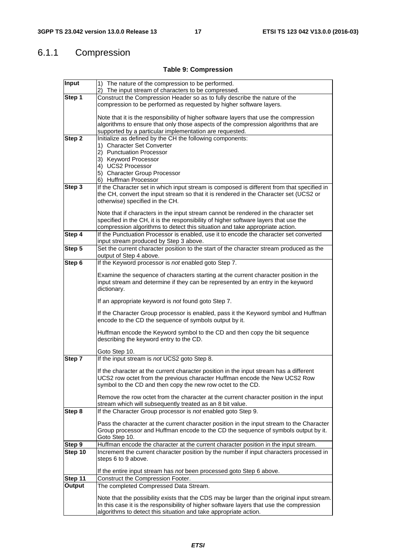# 6.1.1 Compression

#### **Table 9: Compression**

| Input   | 1) The nature of the compression to be performed.                                                                     |
|---------|-----------------------------------------------------------------------------------------------------------------------|
|         | 2) The input stream of characters to be compressed.                                                                   |
| Step 1  | Construct the Compression Header so as to fully describe the nature of the                                            |
|         | compression to be performed as requested by higher software layers.                                                   |
|         | Note that it is the responsibility of higher software layers that use the compression                                 |
|         | algorithms to ensure that only those aspects of the compression algorithms that are                                   |
|         | supported by a particular implementation are requested.                                                               |
| Step 2  | Initialize as defined by the CH the following components:                                                             |
|         | 1) Character Set Converter                                                                                            |
|         | 2) Punctuation Processor                                                                                              |
|         | 3) Keyword Processor                                                                                                  |
|         | 4) UCS2 Processor                                                                                                     |
|         | 5) Character Group Processor                                                                                          |
|         | 6) Huffman Processor                                                                                                  |
| Step 3  | If the Character set in which input stream is composed is different from that specified in                            |
|         | the CH, convert the input stream so that it is rendered in the Character set (UCS2 or                                 |
|         | otherwise) specified in the CH.                                                                                       |
|         | Note that if characters in the input stream cannot be rendered in the character set                                   |
|         | specified in the CH, it is the responsibility of higher software layers that use the                                  |
|         | compression algorithms to detect this situation and take appropriate action.                                          |
| Step 4  | If the Punctuation Processor is enabled, use it to encode the character set converted                                 |
|         | input stream produced by Step 3 above.                                                                                |
| Step 5  | Set the current character position to the start of the character stream produced as the                               |
|         | output of Step 4 above.                                                                                               |
| Step 6  | If the Keyword processor is not enabled goto Step 7.                                                                  |
|         | Examine the sequence of characters starting at the current character position in the                                  |
|         | input stream and determine if they can be represented by an entry in the keyword                                      |
|         | dictionary.                                                                                                           |
|         |                                                                                                                       |
|         | If an appropriate keyword is not found goto Step 7.                                                                   |
|         | If the Character Group processor is enabled, pass it the Keyword symbol and Huffman                                   |
|         | encode to the CD the sequence of symbols output by it.                                                                |
|         |                                                                                                                       |
|         | Huffman encode the Keyword symbol to the CD and then copy the bit sequence<br>describing the keyword entry to the CD. |
|         |                                                                                                                       |
|         | Goto Step 10.                                                                                                         |
| Step 7  | If the input stream is not UCS2 goto Step 8.                                                                          |
|         | If the character at the current character position in the input stream has a different                                |
|         | UCS2 row octet from the previous character Huffman encode the New UCS2 Row                                            |
|         | symbol to the CD and then copy the new row octet to the CD.                                                           |
|         |                                                                                                                       |
|         | Remove the row octet from the character at the current character position in the input                                |
|         | stream which will subsequently treated as an 8 bit value.                                                             |
| Step 8  | If the Character Group processor is not enabled goto Step 9.                                                          |
|         | Pass the character at the current character position in the input stream to the Character                             |
|         | Group processor and Huffman encode to the CD the sequence of symbols output by it.                                    |
|         | Goto Step 10.                                                                                                         |
| Step 9  | Huffman encode the character at the current character position in the input stream.                                   |
| Step 10 | Increment the current character position by the number if input characters processed in                               |
|         | steps 6 to 9 above.                                                                                                   |
|         |                                                                                                                       |
|         | If the entire input stream has not been processed goto Step 6 above.                                                  |
| Step 11 | Construct the Compression Footer.                                                                                     |
| Output  | The completed Compressed Data Stream.                                                                                 |
|         | Note that the possibility exists that the CDS may be larger than the original input stream.                           |
|         | In this case it is the responsibility of higher software layers that use the compression                              |
|         | algorithms to detect this situation and take appropriate action.                                                      |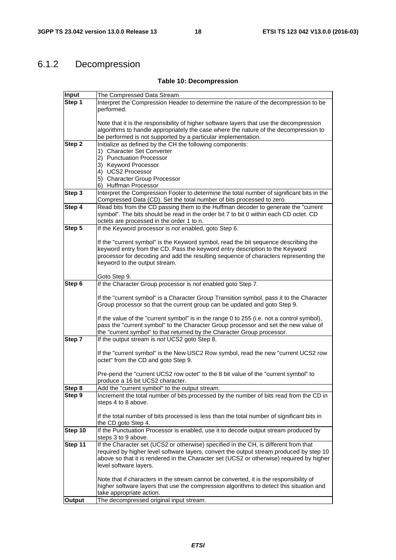# 6.1.2 Decompression

#### **Table 10: Decompression**

| Input         | The Compressed Data Stream                                                                 |
|---------------|--------------------------------------------------------------------------------------------|
| Step 1        | Interpret the Compression Header to determine the nature of the decompression to be        |
|               | performed.                                                                                 |
|               |                                                                                            |
|               | Note that it is the responsibility of higher software layers that use the decompression    |
|               | algorithms to handle appropriately the case where the nature of the decompression to       |
|               | be performed is not supported by a particular implementation.                              |
| Step 2        | Initialize as defined by the CH the following components:                                  |
|               | 1) Character Set Converter                                                                 |
|               | 2) Punctuation Processor                                                                   |
|               | 3) Keyword Processor                                                                       |
|               | 4) UCS2 Processor                                                                          |
|               | 5) Character Group Processor                                                               |
|               | 6) Huffman Processor                                                                       |
| Step 3        | Interpret the Compression Footer to determine the total number of significant bits in the  |
|               | Compressed Data (CD). Set the total number of bits processed to zero.                      |
| Step 4        | Read bits from the CD passing them to the Huffman decoder to generate the "current         |
|               | symbol". The bits should be read in the order bit 7 to bit 0 within each CD octet. CD      |
|               | octets are processed in the order 1 to n.                                                  |
| Step 5        | If the Keyword processor is not enabled, goto Step 6.                                      |
|               |                                                                                            |
|               | If the "current symbol" is the Keyword symbol, read the bit sequence describing the        |
|               | keyword entry from the CD. Pass the keyword entry description to the Keyword               |
|               | processor for decoding and add the resulting sequence of characters representing the       |
|               |                                                                                            |
|               | keyword to the output stream.                                                              |
|               | Goto Step 9.                                                                               |
| Step 6        | If the Character Group processor is not enabled goto Step 7.                               |
|               |                                                                                            |
|               | If the "current symbol" is a Character Group Transition symbol, pass it to the Character   |
|               | Group processor so that the current group can be updated and goto Step 9.                  |
|               |                                                                                            |
|               | If the value of the "current symbol" is in the range 0 to 255 (i.e. not a control symbol), |
|               | pass the "current symbol" to the Character Group processor and set the new value of        |
|               | the "current symbol" to that returned by the Character Group processor.                    |
| Step 7        | If the output stream is not UCS2 goto Step 8.                                              |
|               |                                                                                            |
|               | If the "current symbol" is the New USC2 Row symbol, read the new "current UCS2 row         |
|               | octet" from the CD and goto Step 9.                                                        |
|               |                                                                                            |
|               | Pre-pend the "current UCS2 row octet" to the 8 bit value of the "current symbol" to        |
|               | produce a 16 bit UCS2 character.                                                           |
| Step 8        | Add the "current symbol" to the output stream.                                             |
| Step 9        | Increment the total number of bits processed by the number of bits read from the CD in     |
|               | steps 4 to 8 above.                                                                        |
|               |                                                                                            |
|               | If the total number of bits processed is less than the total number of significant bits in |
|               | the CD goto Step 4.                                                                        |
| Step 10       | If the Punctuation Processor is enabled, use it to decode output stream produced by        |
|               | steps 3 to 9 above.                                                                        |
| Step 11       | If the Character set (UCS2 or otherwise) specified in the CH, is different from that       |
|               | required by higher level software layers, convert the output stream produced by step 10    |
|               | above so that it is rendered in the Character set (UCS2 or otherwise) required by higher   |
|               | level software layers.                                                                     |
|               |                                                                                            |
|               | Note that if characters in the stream cannot be converted, it is the responsibility of     |
|               | higher software layers that use the compression algorithms to detect this situation and    |
|               | take appropriate action.                                                                   |
| <b>Output</b> | The decompressed original input stream.                                                    |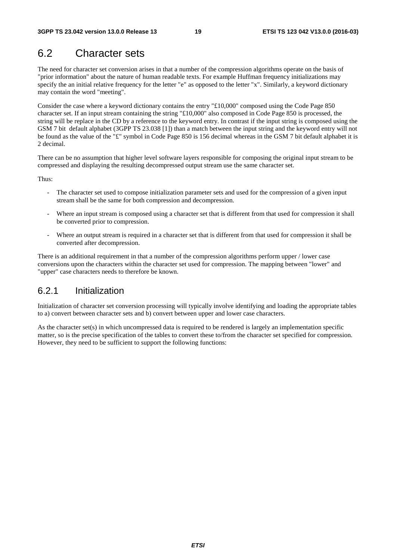# 6.2 Character sets

The need for character set conversion arises in that a number of the compression algorithms operate on the basis of "prior information" about the nature of human readable texts. For example Huffman frequency initializations may specify the an initial relative frequency for the letter "e" as opposed to the letter "x". Similarly, a keyword dictionary may contain the word "meeting".

Consider the case where a keyword dictionary contains the entry "£10,000" composed using the Code Page 850 character set. If an input stream containing the string "£10,000" also composed in Code Page 850 is processed, the string will be replace in the CD by a reference to the keyword entry. In contrast if the input string is composed using the GSM 7 bit default alphabet (3GPP TS 23.038 [1]) than a match between the input string and the keyword entry will not be found as the value of the "£" symbol in Code Page 850 is 156 decimal whereas in the GSM 7 bit default alphabet it is 2 decimal.

There can be no assumption that higher level software layers responsible for composing the original input stream to be compressed and displaying the resulting decompressed output stream use the same character set.

Thus:

- The character set used to compose initialization parameter sets and used for the compression of a given input stream shall be the same for both compression and decompression.
- Where an input stream is composed using a character set that is different from that used for compression it shall be converted prior to compression.
- Where an output stream is required in a character set that is different from that used for compression it shall be converted after decompression.

There is an additional requirement in that a number of the compression algorithms perform upper / lower case conversions upon the characters within the character set used for compression. The mapping between "lower" and "upper" case characters needs to therefore be known.

### 6.2.1 Initialization

Initialization of character set conversion processing will typically involve identifying and loading the appropriate tables to a) convert between character sets and b) convert between upper and lower case characters.

As the character set(s) in which uncompressed data is required to be rendered is largely an implementation specific matter, so is the precise specification of the tables to convert these to/from the character set specified for compression. However, they need to be sufficient to support the following functions: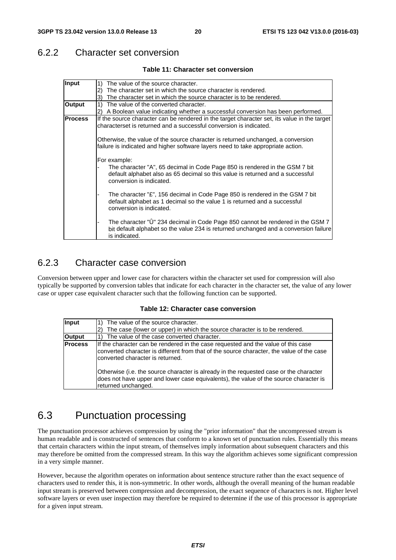### 6.2.2 Character set conversion

#### **Table 11: Character set conversion**

| Input          | 1)<br>The value of the source character.                                                                                                                                                                  |
|----------------|-----------------------------------------------------------------------------------------------------------------------------------------------------------------------------------------------------------|
|                | The character set in which the source character is rendered.<br>$\mathbf{2}$                                                                                                                              |
|                | 3)<br>The character set in which the source character is to be rendered.                                                                                                                                  |
| Output         | $\left( \begin{matrix} 1 \end{matrix} \right)$<br>The value of the converted character.                                                                                                                   |
|                | A Boolean value indicating whether a successful conversion has been performed.<br>2)                                                                                                                      |
| <b>Process</b> | If the source character can be rendered in the target character set, its value in the target<br>characterset is returned and a successful conversion is indicated.                                        |
|                | Otherwise, the value of the source character is returned unchanged, a conversion<br>failure is indicated and higher software layers need to take appropriate action.                                      |
|                | For example:<br>The character "A", 65 decimal in Code Page 850 is rendered in the GSM 7 bit<br>default alphabet also as 65 decimal so this value is returned and a successful<br>conversion is indicated. |
|                | The character " $E$ ", 156 decimal in Code Page 850 is rendered in the GSM 7 bit<br>default alphabet as 1 decimal so the value 1 is returned and a successful<br>conversion is indicated.                 |
|                | The character "Û" 234 decimal in Code Page 850 cannot be rendered in the GSM 7<br>bit default alphabet so the value 234 is returned unchanged and a conversion failure<br>is indicated.                   |

### 6.2.3 Character case conversion

Conversion between upper and lower case for characters within the character set used for compression will also typically be supported by conversion tables that indicate for each character in the character set, the value of any lower case or upper case equivalent character such that the following function can be supported.

#### **Table 12: Character case conversion**

| Input          | The value of the source character.<br>The case (lower or upper) in which the source character is to be rendered.                                                                                                                                                                                                                                                                                                             |
|----------------|------------------------------------------------------------------------------------------------------------------------------------------------------------------------------------------------------------------------------------------------------------------------------------------------------------------------------------------------------------------------------------------------------------------------------|
| Output         | The value of the case converted character.                                                                                                                                                                                                                                                                                                                                                                                   |
| <b>Process</b> | If the character can be rendered in the case requested and the value of this case<br>converted character is different from that of the source character, the value of the case<br>converted character is returned.<br>Otherwise (i.e. the source character is already in the requested case or the character<br>does not have upper and lower case equivalents), the value of the source character is<br>returned unchanged. |

### 6.3 Punctuation processing

The punctuation processor achieves compression by using the "prior information" that the uncompressed stream is human readable and is constructed of sentences that conform to a known set of punctuation rules. Essentially this means that certain characters within the input stream, of themselves imply information about subsequent characters and this may therefore be omitted from the compressed stream. In this way the algorithm achieves some significant compression in a very simple manner.

However, because the algorithm operates on information about sentence structure rather than the exact sequence of characters used to render this, it is non-symmetric. In other words, although the overall meaning of the human readable input stream is preserved between compression and decompression, the exact sequence of characters is not. Higher level software layers or even user inspection may therefore be required to determine if the use of this processor is appropriate for a given input stream.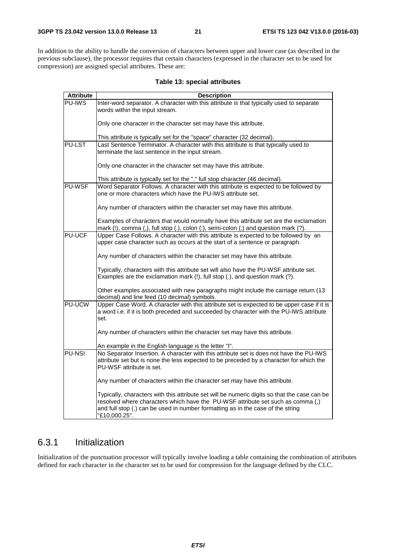In addition to the ability to handle the conversion of characters between upper and lower case (as described in the previous subclause), the processor requires that certain characters (expressed in the character set to be used for compression) are assigned special attributes. These are:

**Table 13: special attributes** 

| <b>Attribute</b> | <b>Description</b>                                                                                                                                                                                                                                                                  |
|------------------|-------------------------------------------------------------------------------------------------------------------------------------------------------------------------------------------------------------------------------------------------------------------------------------|
| <b>PU-IWS</b>    | Inter-word separator. A character with this attribute is that typically used to separate                                                                                                                                                                                            |
|                  | words within the input stream.                                                                                                                                                                                                                                                      |
|                  | Only one character in the character set may have this attribute.                                                                                                                                                                                                                    |
|                  | This attribute is typically set for the "space" character (32 decimal).                                                                                                                                                                                                             |
| <b>PU-LST</b>    | Last Sentence Terminator. A character with this attribute is that typically used to                                                                                                                                                                                                 |
|                  | terminate the last sentence in the input stream.                                                                                                                                                                                                                                    |
|                  | Only one character in the character set may have this attribute.                                                                                                                                                                                                                    |
|                  | This attribute is typically set for the "." full stop character (46 decimal).                                                                                                                                                                                                       |
| <b>PU-WSF</b>    | Word Separator Follows. A character with this attribute is expected to be followed by                                                                                                                                                                                               |
|                  | one or more characters which have the PU-IWS attribute set.                                                                                                                                                                                                                         |
|                  | Any number of characters within the character set may have this attribute.                                                                                                                                                                                                          |
|                  | Examples of characters that would normally have this attribute set are the exclamation                                                                                                                                                                                              |
|                  | mark (!), comma (,), full stop (.), colon (:), semi-colon (;) and question mark (?).                                                                                                                                                                                                |
| PU-UCF           | Upper Case Follows. A character with this attribute is expected to be followed by an                                                                                                                                                                                                |
|                  | upper case character such as occurs at the start of a sentence or paragraph.                                                                                                                                                                                                        |
|                  | Any number of characters within the character set may have this attribute.                                                                                                                                                                                                          |
|                  | Typically, characters with this attribute set will also have the PU-WSF attribute set.                                                                                                                                                                                              |
|                  | Examples are the exclamation mark (!), full stop (.), and question mark (?).                                                                                                                                                                                                        |
|                  | Other examples associated with new paragraphs might include the carriage return (13<br>decimal) and line feed (10 decimal) symbols.                                                                                                                                                 |
| <b>PU-UCW</b>    | Upper Case Word. A character with this attribute set is expected to be upper case if it is<br>a word i.e. if it is both preceded and succeeded by character with the PU-IWS attribute                                                                                               |
|                  | set.                                                                                                                                                                                                                                                                                |
|                  | Any number of characters within the character set may have this attribute.                                                                                                                                                                                                          |
|                  | An example in the English language is the letter "I".                                                                                                                                                                                                                               |
| <b>PU-NSI</b>    | No Separator Insertion. A character with this attribute set is does not have the PU-IWS                                                                                                                                                                                             |
|                  | attribute set but is none the less expected to be preceded by a character for which the<br>PU-WSF attribute is set.                                                                                                                                                                 |
|                  | Any number of characters within the character set may have this attribute.                                                                                                                                                                                                          |
|                  | Typically, characters with this attribute set will be numeric digits so that the case can be<br>resolved where characters which have the PU-WSF attribute set such as comma (,)<br>and full stop (.) can be used in number formatting as in the case of the string<br>"£10,000.25". |

### 6.3.1 Initialization

Initialization of the punctuation processor will typically involve loading a table containing the combination of attributes defined for each character in the character set to be used for compression for the language defined by the CLC.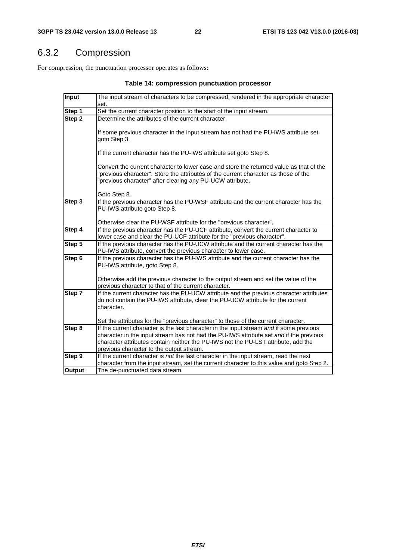# 6.3.2 Compression

For compression, the punctuation processor operates as follows:

| Input         | The input stream of characters to be compressed, rendered in the appropriate character                                |
|---------------|-----------------------------------------------------------------------------------------------------------------------|
|               | set.                                                                                                                  |
| Step 1        | Set the current character position to the start of the input stream.                                                  |
| Step 2        | Determine the attributes of the current character.                                                                    |
|               |                                                                                                                       |
|               | If some previous character in the input stream has not had the PU-IWS attribute set<br>goto Step 3.                   |
|               |                                                                                                                       |
|               | If the current character has the PU-IWS attribute set goto Step 8.                                                    |
|               | Convert the current character to lower case and store the returned value as that of the                               |
|               | "previous character". Store the attributes of the current character as those of the                                   |
|               | "previous character" after clearing any PU-UCW attribute.                                                             |
|               |                                                                                                                       |
|               | Goto Step 8.                                                                                                          |
| Step 3        | If the previous character has the PU-WSF attribute and the current character has the<br>PU-IWS attribute goto Step 8. |
|               |                                                                                                                       |
|               | Otherwise clear the PU-WSF attribute for the "previous character".                                                    |
| Step 4        | If the previous character has the PU-UCF attribute, convert the current character to                                  |
|               | lower case and clear the PU-UCF attribute for the "previous character".                                               |
| Step 5        | If the previous character has the PU-UCW attribute and the current character has the                                  |
|               | PU-IWS attribute, convert the previous character to lower case.                                                       |
| Step 6        | If the previous character has the PU-IWS attribute and the current character has the                                  |
|               | PU-IWS attribute, goto Step 8.                                                                                        |
|               | Otherwise add the previous character to the output stream and set the value of the                                    |
|               | previous character to that of the current character.                                                                  |
| Step 7        | If the current character has the PU-UCW attribute and the previous character attributes                               |
|               | do not contain the PU-IWS attribute, clear the PU-UCW attribute for the current                                       |
|               | character.                                                                                                            |
|               | Set the attributes for the "previous character" to those of the current character.                                    |
| Step 8        | If the current character is the last character in the input stream and if some previous                               |
|               | character in the input stream has not had the PU-IWS attribute set and if the previous                                |
|               | character attributes contain neither the PU-IWS not the PU-LST attribute, add the                                     |
|               | previous character to the output stream.                                                                              |
| Step 9        | If the current character is not the last character in the input stream, read the next                                 |
|               | character from the input stream, set the current character to this value and goto Step 2.                             |
| <b>Output</b> | The de-punctuated data stream.                                                                                        |

#### **Table 14: compression punctuation processor**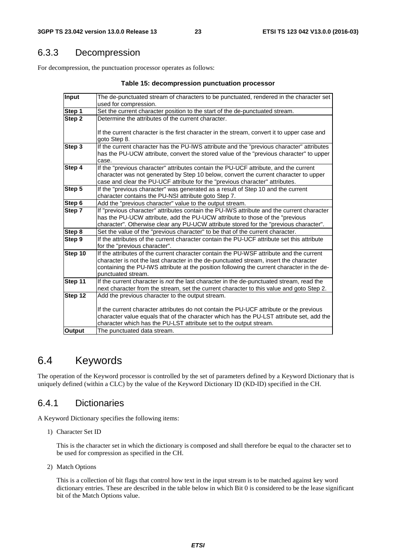### 6.3.3 Decompression

For decompression, the punctuation processor operates as follows:

| Input         | The de-punctuated stream of characters to be punctuated, rendered in the character set      |
|---------------|---------------------------------------------------------------------------------------------|
|               | used for compression.                                                                       |
| Step 1        | Set the current character position to the start of the de-punctuated stream.                |
| Step 2        | Determine the attributes of the current character.                                          |
|               |                                                                                             |
|               | If the current character is the first character in the stream, convert it to upper case and |
|               | goto Step 8.                                                                                |
| Step 3        | If the current character has the PU-IWS attribute and the "previous character" attributes   |
|               | has the PU-UCW attribute, convert the stored value of the "previous character" to upper     |
|               | case.                                                                                       |
| Step 4        | If the "previous character" attributes contain the PU-UCF attribute, and the current        |
|               | character was not generated by Step 10 below, convert the current character to upper        |
|               | case and clear the PU-UCF attribute for the "previous character" attributes.                |
| Step 5        | If the "previous character" was generated as a result of Step 10 and the current            |
|               | character contains the PU-NSI attribute goto Step 7.                                        |
| Step 6        | Add the "previous character" value to the output stream.                                    |
| Step 7        | If "previous character" attributes contain the PU-IWS attribute and the current character   |
|               | has the PU-UCW attribute, add the PU-UCW attribute to those of the "previous"               |
|               | character". Otherwise clear any PU-UCW attribute stored for the "previous character".       |
| Step 8        | Set the value of the "previous character" to be that of the current character.              |
| Step 9        | If the attributes of the current character contain the PU-UCF attribute set this attribute  |
|               | for the "previous character".                                                               |
| Step 10       | If the attributes of the current character contain the PU-WSF attribute and the current     |
|               | character is not the last character in the de-punctuated stream, insert the character       |
|               | containing the PU-IWS attribute at the position following the current character in the de-  |
| Step 11       | punctuated stream.                                                                          |
|               | If the current character is not the last character in the de-punctuated stream, read the    |
| Step 12       | next character from the stream, set the current character to this value and goto Step 2.    |
|               | Add the previous character to the output stream.                                            |
|               | If the current character attributes do not contain the PU-UCF attribute or the previous     |
|               | character value equals that of the character which has the PU-LST attribute set, add the    |
|               | character which has the PU-LST attribute set to the output stream.                          |
| <b>Output</b> | The punctuated data stream.                                                                 |
|               |                                                                                             |

### 6.4 Keywords

The operation of the Keyword processor is controlled by the set of parameters defined by a Keyword Dictionary that is uniquely defined (within a CLC) by the value of the Keyword Dictionary ID (KD-ID) specified in the CH.

### 6.4.1 Dictionaries

A Keyword Dictionary specifies the following items:

1) Character Set ID

 This is the character set in which the dictionary is composed and shall therefore be equal to the character set to be used for compression as specified in the CH.

2) Match Options

 This is a collection of bit flags that control how text in the input stream is to be matched against key word dictionary entries. These are described in the table below in which Bit 0 is considered to be the lease significant bit of the Match Options value.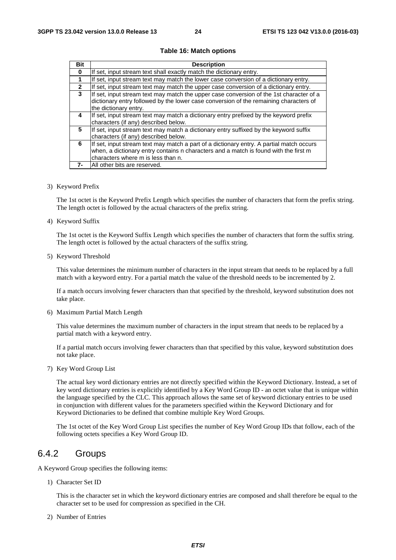| <b>Bit</b>   | <b>Description</b>                                                                                                                                                                                                     |
|--------------|------------------------------------------------------------------------------------------------------------------------------------------------------------------------------------------------------------------------|
| $\bf{0}$     | If set, input stream text shall exactly match the dictionary entry.                                                                                                                                                    |
| 1            | If set, input stream text may match the lower case conversion of a dictionary entry.                                                                                                                                   |
| $\mathbf{2}$ | If set, input stream text may match the upper case conversion of a dictionary entry.                                                                                                                                   |
| $\mathbf{3}$ | If set, input stream text may match the upper case conversion of the 1st character of a<br>dictionary entry followed by the lower case conversion of the remaining characters of<br>the dictionary entry.              |
| 4            | If set, input stream text may match a dictionary entry prefixed by the keyword prefix<br>characters (if any) described below.                                                                                          |
| 5            | If set, input stream text may match a dictionary entry suffixed by the keyword suffix<br>characters (if any) described below.                                                                                          |
| 6            | If set, input stream text may match a part of a dictionary entry. A partial match occurs<br>when, a dictionary entry contains n characters and a match is found with the first m<br>characters where m is less than n. |
| 7-           | All other bits are reserved.                                                                                                                                                                                           |

#### **Table 16: Match options**

3) Keyword Prefix

 The 1st octet is the Keyword Prefix Length which specifies the number of characters that form the prefix string. The length octet is followed by the actual characters of the prefix string.

4) Keyword Suffix

 The 1st octet is the Keyword Suffix Length which specifies the number of characters that form the suffix string. The length octet is followed by the actual characters of the suffix string.

5) Keyword Threshold

 This value determines the minimum number of characters in the input stream that needs to be replaced by a full match with a keyword entry. For a partial match the value of the threshold needs to be incremented by 2.

 If a match occurs involving fewer characters than that specified by the threshold, keyword substitution does not take place.

6) Maximum Partial Match Length

 This value determines the maximum number of characters in the input stream that needs to be replaced by a partial match with a keyword entry.

 If a partial match occurs involving fewer characters than that specified by this value, keyword substitution does not take place.

7) Key Word Group List

 The actual key word dictionary entries are not directly specified within the Keyword Dictionary. Instead, a set of key word dictionary entries is explicitly identified by a Key Word Group ID - an octet value that is unique within the language specified by the CLC. This approach allows the same set of keyword dictionary entries to be used in conjunction with different values for the parameters specified within the Keyword Dictionary and for Keyword Dictionaries to be defined that combine multiple Key Word Groups.

 The 1st octet of the Key Word Group List specifies the number of Key Word Group IDs that follow, each of the following octets specifies a Key Word Group ID.

### 6.4.2 Groups

A Keyword Group specifies the following items:

1) Character Set ID

 This is the character set in which the keyword dictionary entries are composed and shall therefore be equal to the character set to be used for compression as specified in the CH.

2) Number of Entries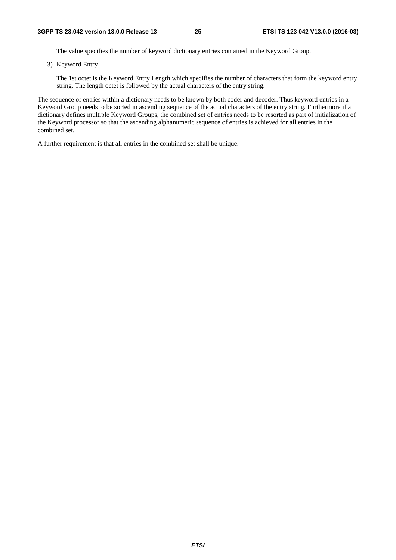The value specifies the number of keyword dictionary entries contained in the Keyword Group.

3) Keyword Entry

 The 1st octet is the Keyword Entry Length which specifies the number of characters that form the keyword entry string. The length octet is followed by the actual characters of the entry string.

The sequence of entries within a dictionary needs to be known by both coder and decoder. Thus keyword entries in a Keyword Group needs to be sorted in ascending sequence of the actual characters of the entry string. Furthermore if a dictionary defines multiple Keyword Groups, the combined set of entries needs to be resorted as part of initialization of the Keyword processor so that the ascending alphanumeric sequence of entries is achieved for all entries in the combined set.

A further requirement is that all entries in the combined set shall be unique.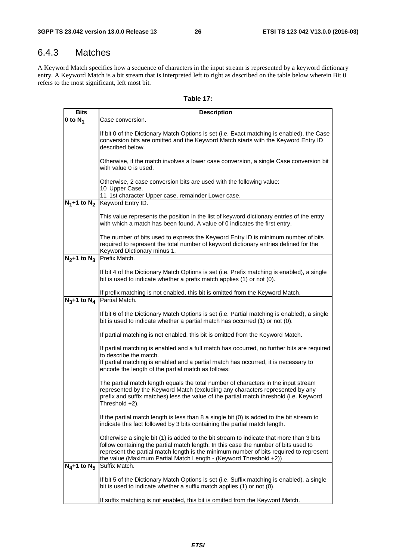# 6.4.3 Matches

A Keyword Match specifies how a sequence of characters in the input stream is represented by a keyword dictionary entry. A Keyword Match is a bit stream that is interpreted left to right as described on the table below wherein Bit 0 refers to the most significant, left most bit.

| <b>Bits</b>      | <b>Description</b>                                                                                                                                                                                                                                                                                                                            |
|------------------|-----------------------------------------------------------------------------------------------------------------------------------------------------------------------------------------------------------------------------------------------------------------------------------------------------------------------------------------------|
| 0 to $N_1$       | Case conversion.                                                                                                                                                                                                                                                                                                                              |
|                  | If bit 0 of the Dictionary Match Options is set (i.e. Exact matching is enabled), the Case<br>conversion bits are omitted and the Keyword Match starts with the Keyword Entry ID<br>described below.                                                                                                                                          |
|                  | Otherwise, if the match involves a lower case conversion, a single Case conversion bit<br>with value 0 is used.                                                                                                                                                                                                                               |
|                  | Otherwise, 2 case conversion bits are used with the following value:<br>10 Upper Case.                                                                                                                                                                                                                                                        |
|                  | 11 1st character Upper case, remainder Lower case.<br>$N_1+1$ to $N_2$ Keyword Entry ID.                                                                                                                                                                                                                                                      |
|                  |                                                                                                                                                                                                                                                                                                                                               |
|                  | This value represents the position in the list of keyword dictionary entries of the entry<br>with which a match has been found. A value of 0 indicates the first entry.                                                                                                                                                                       |
|                  | The number of bits used to express the Keyword Entry ID is minimum number of bits<br>required to represent the total number of keyword dictionary entries defined for the<br>Keyword Dictionary minus 1.                                                                                                                                      |
|                  | $N_2+1$ to $N_3$ Prefix Match.                                                                                                                                                                                                                                                                                                                |
|                  | If bit 4 of the Dictionary Match Options is set (i.e. Prefix matching is enabled), a single<br>bit is used to indicate whether a prefix match applies (1) or not (0).                                                                                                                                                                         |
|                  | If prefix matching is not enabled, this bit is omitted from the Keyword Match.<br>$N_3+1$ to $N_4$ Partial Match.                                                                                                                                                                                                                             |
|                  | If bit 6 of the Dictionary Match Options is set (i.e. Partial matching is enabled), a single<br>bit is used to indicate whether a partial match has occurred (1) or not (0).                                                                                                                                                                  |
|                  | If partial matching is not enabled, this bit is omitted from the Keyword Match.                                                                                                                                                                                                                                                               |
|                  | If partial matching is enabled and a full match has occurred, no further bits are required<br>to describe the match.                                                                                                                                                                                                                          |
|                  | If partial matching is enabled and a partial match has occurred, it is necessary to<br>encode the length of the partial match as follows:                                                                                                                                                                                                     |
|                  | The partial match length equals the total number of characters in the input stream<br>represented by the Keyword Match (excluding any characters represented by any<br>prefix and suffix matches) less the value of the partial match threshold (i.e. Keyword<br>Threshold +2).                                                               |
|                  | If the partial match length is less than 8 a single bit (0) is added to the bit stream to<br>indicate this fact followed by 3 bits containing the partial match length.                                                                                                                                                                       |
|                  | Otherwise a single bit (1) is added to the bit stream to indicate that more than 3 bits<br>follow containing the partial match length. In this case the number of bits used to<br>represent the partial match length is the minimum number of bits required to represent<br>the value (Maximum Partial Match Length - (Keyword Threshold +2)) |
| $N_4+1$ to $N_5$ | Suffix Match.                                                                                                                                                                                                                                                                                                                                 |
|                  | If bit 5 of the Dictionary Match Options is set (i.e. Suffix matching is enabled), a single<br>bit is used to indicate whether a suffix match applies (1) or not (0).                                                                                                                                                                         |
|                  | If suffix matching is not enabled, this bit is omitted from the Keyword Match.                                                                                                                                                                                                                                                                |

#### **Table 17:**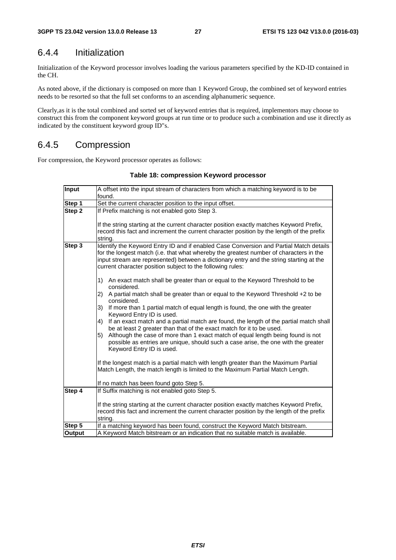### 6.4.4 Initialization

Initialization of the Keyword processor involves loading the various parameters specified by the KD-ID contained in the CH.

As noted above, if the dictionary is composed on more than 1 Keyword Group, the combined set of keyword entries needs to be resorted so that the full set conforms to an ascending alphanumeric sequence.

Clearly,as it is the total combined and sorted set of keyword entries that is required, implementors may choose to construct this from the component keyword groups at run time or to produce such a combination and use it directly as indicated by the constituent keyword group ID"s.

### 6.4.5 Compression

For compression, the Keyword processor operates as follows:

| <b>Input</b> | A offset into the input stream of characters from which a matching keyword is to be                                                                                                                                                                                                                                                       |  |  |  |  |
|--------------|-------------------------------------------------------------------------------------------------------------------------------------------------------------------------------------------------------------------------------------------------------------------------------------------------------------------------------------------|--|--|--|--|
|              | found.                                                                                                                                                                                                                                                                                                                                    |  |  |  |  |
| Step 1       | Set the current character position to the input offset.                                                                                                                                                                                                                                                                                   |  |  |  |  |
| Step 2       | If Prefix matching is not enabled goto Step 3.                                                                                                                                                                                                                                                                                            |  |  |  |  |
|              | If the string starting at the current character position exactly matches Keyword Prefix,<br>record this fact and increment the current character position by the length of the prefix<br>string.                                                                                                                                          |  |  |  |  |
| Step 3       | Identify the Keyword Entry ID and if enabled Case Conversion and Partial Match details<br>for the longest match (i.e. that what whereby the greatest number of characters in the<br>input stream are represented) between a dictionary entry and the string starting at the<br>current character position subject to the following rules: |  |  |  |  |
|              | An exact match shall be greater than or equal to the Keyword Threshold to be<br>1)<br>considered.                                                                                                                                                                                                                                         |  |  |  |  |
|              | A partial match shall be greater than or equal to the Keyword Threshold +2 to be<br>2)<br>considered.                                                                                                                                                                                                                                     |  |  |  |  |
|              | 3)<br>If more than 1 partial match of equal length is found, the one with the greater<br>Keyword Entry ID is used.                                                                                                                                                                                                                        |  |  |  |  |
|              | If an exact match and a partial match are found, the length of the partial match shall<br>4)<br>be at least 2 greater than that of the exact match for it to be used.                                                                                                                                                                     |  |  |  |  |
|              | Although the case of more than 1 exact match of equal length being found is not<br>5)<br>possible as entries are unique, should such a case arise, the one with the greater<br>Keyword Entry ID is used.                                                                                                                                  |  |  |  |  |
|              | If the longest match is a partial match with length greater than the Maximum Partial<br>Match Length, the match length is limited to the Maximum Partial Match Length.                                                                                                                                                                    |  |  |  |  |
|              | If no match has been found goto Step 5.                                                                                                                                                                                                                                                                                                   |  |  |  |  |
| Step 4       | If Suffix matching is not enabled goto Step 5.                                                                                                                                                                                                                                                                                            |  |  |  |  |
|              | If the string starting at the current character position exactly matches Keyword Prefix,<br>record this fact and increment the current character position by the length of the prefix<br>string.                                                                                                                                          |  |  |  |  |
| Step 5       | If a matching keyword has been found, construct the Keyword Match bitstream.                                                                                                                                                                                                                                                              |  |  |  |  |
| Output       | A Keyword Match bitstream or an indication that no suitable match is available.                                                                                                                                                                                                                                                           |  |  |  |  |

#### **Table 18: compression Keyword processor**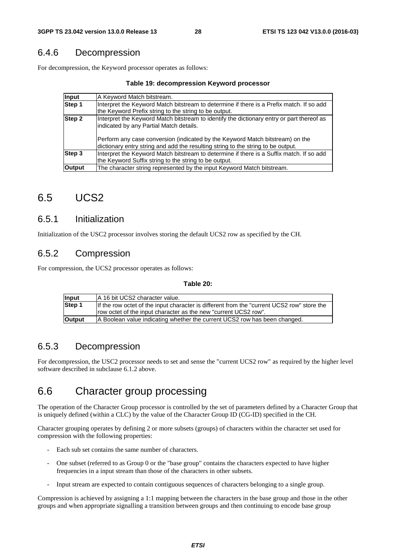#### 6.4.6 Decompression

For decompression, the Keyword processor operates as follows:

#### **Table 19: decompression Keyword processor**

| Input         | A Keyword Match bitstream.                                                                                                                                        |
|---------------|-------------------------------------------------------------------------------------------------------------------------------------------------------------------|
| Step 1        | Interpret the Keyword Match bitstream to determine if there is a Prefix match. If so add                                                                          |
|               | the Keyword Prefix string to the string to be output.                                                                                                             |
| Step 2        | Interpret the Keyword Match bitstream to identify the dictionary entry or part thereof as<br>indicated by any Partial Match details.                              |
|               | Perform any case conversion (indicated by the Keyword Match bitstream) on the<br>dictionary entry string and add the resulting string to the string to be output. |
| Step 3        | Interpret the Keyword Match bitstream to determine if there is a Suffix match. If so add<br>the Keyword Suffix string to the string to be output.                 |
| <b>Output</b> | The character string represented by the input Keyword Match bitstream.                                                                                            |

### 6.5 UCS2

#### 6.5.1 Initialization

Initialization of the USC2 processor involves storing the default UCS2 row as specified by the CH.

#### 6.5.2 Compression

For compression, the UCS2 processor operates as follows:

#### **Table 20:**

| Input         | A 16 bit UCS2 character value.                                                             |
|---------------|--------------------------------------------------------------------------------------------|
| Step 1        | If the row octet of the input character is different from the "current UCS2 row" store the |
|               | lrow octet of the input character as the new "current UCS2 row".                           |
| <b>Output</b> | A Boolean value indicating whether the current UCS2 row has been changed.                  |

### 6.5.3 Decompression

For decompression, the USC2 processor needs to set and sense the "current UCS2 row" as required by the higher level software described in subclause 6.1.2 above.

# 6.6 Character group processing

The operation of the Character Group processor is controlled by the set of parameters defined by a Character Group that is uniquely defined (within a CLC) by the value of the Character Group ID (CG-ID) specified in the CH.

Character grouping operates by defining 2 or more subsets (groups) of characters within the character set used for compression with the following properties:

- Each sub set contains the same number of characters.
- One subset (referred to as Group 0 or the "base group" contains the characters expected to have higher frequencies in a input stream than those of the characters in other subsets.
- Input stream are expected to contain contiguous sequences of characters belonging to a single group.

Compression is achieved by assigning a 1:1 mapping between the characters in the base group and those in the other groups and when appropriate signalling a transition between groups and then continuing to encode base group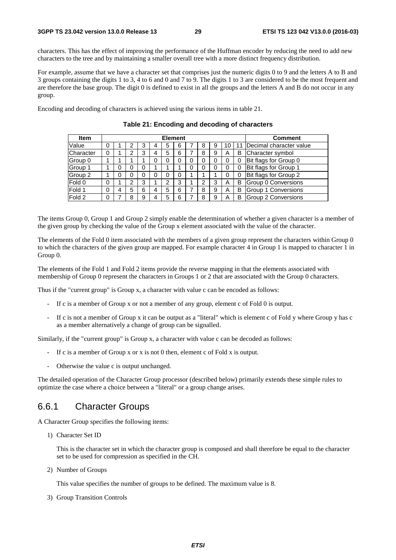characters. This has the effect of improving the performance of the Huffman encoder by reducing the need to add new characters to the tree and by maintaining a smaller overall tree with a more distinct frequency distribution.

For example, assume that we have a character set that comprises just the numeric digits 0 to 9 and the letters A to B and 3 groups containing the digits 1 to 3, 4 to 6 and 0 and 7 to 9. The digits 1 to 3 are considered to be the most frequent and are therefore the base group. The digit 0 is defined to exist in all the groups and the letters A and B do not occur in any group.

Encoding and decoding of characters is achieved using the various items in table 21.

| <b>Item</b> | <b>Element</b> |  |   |   |  |   |   |   | <b>Comment</b> |    |    |                         |
|-------------|----------------|--|---|---|--|---|---|---|----------------|----|----|-------------------------|
| Value       | 0              |  | 2 |   |  | 5 | 6 | 8 | 9              | 10 | 11 | Decimal character value |
| Character   | 0              |  | າ | 3 |  | 5 | 6 | 8 | 9              | А  | B  | Character symbol        |
| Group 0     |                |  |   |   |  | C | 0 |   | 0              |    | 0  | Bit flags for Group 0   |
| Group 1     |                |  | 0 |   |  |   |   |   | 0              |    | 0  | Bit flags for Group 1   |
| Group 2     |                |  | 0 |   |  | 0 | 0 |   |                | 0  | 0  | Bit flags for Group 2   |
| Fold 0      | 0              |  |   | 3 |  | 2 | 3 |   | 3              | Α  | B  | Group 0 Conversions     |
| Fold 1      | 0              |  | 5 | 6 |  | 5 | 6 | 8 | 9              | Α  | B  | Group 1 Conversions     |
| Fold 2      | 0              |  | 8 | 9 |  | 5 | 6 | я | 9              | А  | B  | Group 2 Conversions     |

**Table 21: Encoding and decoding of characters** 

The items Group 0, Group 1 and Group 2 simply enable the determination of whether a given character is a member of the given group by checking the value of the Group x element associated with the value of the character.

The elements of the Fold 0 item associated with the members of a given group represent the characters within Group 0 to which the characters of the given group are mapped. For example character 4 in Group 1 is mapped to character 1 in Group 0.

The elements of the Fold 1 and Fold 2 items provide the reverse mapping in that the elements associated with membership of Group 0 represent the characters in Groups 1 or 2 that are associated with the Group 0 characters.

Thus if the "current group" is Group x, a character with value c can be encoded as follows:

- If c is a member of Group x or not a member of any group, element c of Fold 0 is output.
- If c is not a member of Group x it can be output as a "literal" which is element c of Fold y where Group y has c as a member alternatively a change of group can be signalled.

Similarly, if the "current group" is Group x, a character with value c can be decoded as follows:

- If c is a member of Group x or x is not 0 then, element c of Fold x is output.
- Otherwise the value c is output unchanged.

The detailed operation of the Character Group processor (described below) primarily extends these simple rules to optimize the case where a choice between a "literal" or a group change arises.

#### 6.6.1 Character Groups

A Character Group specifies the following items:

1) Character Set ID

 This is the character set in which the character group is composed and shall therefore be equal to the character set to be used for compression as specified in the CH.

2) Number of Groups

This value specifies the number of groups to be defined. The maximum value is 8.

3) Group Transition Controls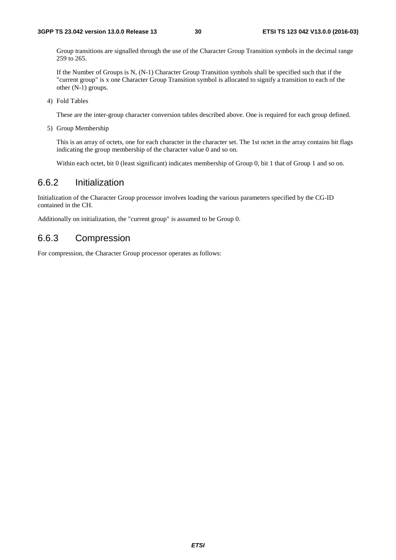Group transitions are signalled through the use of the Character Group Transition symbols in the decimal range 259 to 265.

 If the Number of Groups is N, (N-1) Character Group Transition symbols shall be specified such that if the "current group" is x one Character Group Transition symbol is allocated to signify a transition to each of the other (N-1) groups.

4) Fold Tables

These are the inter-group character conversion tables described above. One is required for each group defined.

5) Group Membership

 This is an array of octets, one for each character in the character set. The 1st octet in the array contains bit flags indicating the group membership of the character value 0 and so on.

Within each octet, bit 0 (least significant) indicates membership of Group 0, bit 1 that of Group 1 and so on.

### 6.6.2 Initialization

Initialization of the Character Group processor involves loading the various parameters specified by the CG-ID contained in the CH.

Additionally on initialization, the "current group" is assumed to be Group 0.

#### 6.6.3 Compression

For compression, the Character Group processor operates as follows: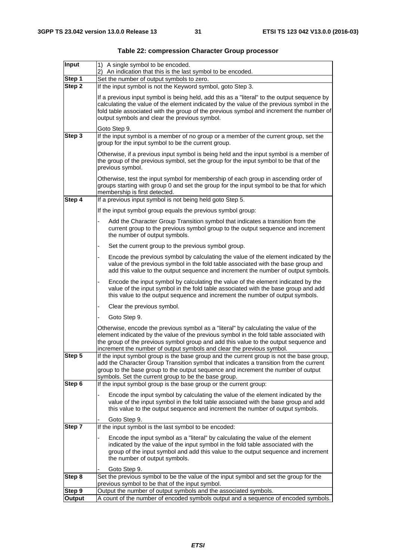| Input               | 1) A single symbol to be encoded.                                                                                                                                                                                                                                                                                                                |  |  |  |  |  |  |
|---------------------|--------------------------------------------------------------------------------------------------------------------------------------------------------------------------------------------------------------------------------------------------------------------------------------------------------------------------------------------------|--|--|--|--|--|--|
| Step 1              | 2) An indication that this is the last symbol to be encoded.<br>Set the number of output symbols to zero.                                                                                                                                                                                                                                        |  |  |  |  |  |  |
| Step 2              | If the input symbol is not the Keyword symbol, goto Step 3.                                                                                                                                                                                                                                                                                      |  |  |  |  |  |  |
|                     | If a previous input symbol is being held, add this as a "literal" to the output sequence by<br>calculating the value of the element indicated by the value of the previous symbol in the<br>fold table associated with the group of the previous symbol and increment the number of<br>output symbols and clear the previous symbol.             |  |  |  |  |  |  |
|                     | Goto Step 9.                                                                                                                                                                                                                                                                                                                                     |  |  |  |  |  |  |
| Step 3              | If the input symbol is a member of no group or a member of the current group, set the<br>group for the input symbol to be the current group.                                                                                                                                                                                                     |  |  |  |  |  |  |
|                     | Otherwise, if a previous input symbol is being held and the input symbol is a member of<br>the group of the previous symbol, set the group for the input symbol to be that of the<br>previous symbol.                                                                                                                                            |  |  |  |  |  |  |
|                     | Otherwise, test the input symbol for membership of each group in ascending order of<br>groups starting with group 0 and set the group for the input symbol to be that for which<br>membership is first detected.                                                                                                                                 |  |  |  |  |  |  |
| Step 4              | If a previous input symbol is not being held goto Step 5.                                                                                                                                                                                                                                                                                        |  |  |  |  |  |  |
|                     | If the input symbol group equals the previous symbol group:                                                                                                                                                                                                                                                                                      |  |  |  |  |  |  |
|                     | Add the Character Group Transition symbol that indicates a transition from the<br>current group to the previous symbol group to the output sequence and increment<br>the number of output symbols.                                                                                                                                               |  |  |  |  |  |  |
|                     | Set the current group to the previous symbol group.                                                                                                                                                                                                                                                                                              |  |  |  |  |  |  |
|                     | Encode the previous symbol by calculating the value of the element indicated by the<br>value of the previous symbol in the fold table associated with the base group and<br>add this value to the output sequence and increment the number of output symbols.                                                                                    |  |  |  |  |  |  |
|                     | Encode the input symbol by calculating the value of the element indicated by the<br>value of the input symbol in the fold table associated with the base group and add<br>this value to the output sequence and increment the number of output symbols.                                                                                          |  |  |  |  |  |  |
|                     | Clear the previous symbol.                                                                                                                                                                                                                                                                                                                       |  |  |  |  |  |  |
|                     | Goto Step 9.                                                                                                                                                                                                                                                                                                                                     |  |  |  |  |  |  |
|                     | Otherwise, encode the previous symbol as a "literal" by calculating the value of the<br>element indicated by the value of the previous symbol in the fold table associated with<br>the group of the previous symbol group and add this value to the output sequence and<br>increment the number of output symbols and clear the previous symbol. |  |  |  |  |  |  |
| этер э              | If the input symbol group is the base group and the current group is not the base group,<br>add the Character Group Transition symbol that indicates a transition from the current<br>group to the base group to the output sequence and increment the number of output<br>symbols. Set the current group to be the base group.                  |  |  |  |  |  |  |
| Step 6              | If the input symbol group is the base group or the current group:                                                                                                                                                                                                                                                                                |  |  |  |  |  |  |
|                     | Encode the input symbol by calculating the value of the element indicated by the<br>value of the input symbol in the fold table associated with the base group and add<br>this value to the output sequence and increment the number of output symbols.                                                                                          |  |  |  |  |  |  |
|                     | Goto Step 9.                                                                                                                                                                                                                                                                                                                                     |  |  |  |  |  |  |
| Step $\overline{7}$ | If the input symbol is the last symbol to be encoded:                                                                                                                                                                                                                                                                                            |  |  |  |  |  |  |
|                     | Encode the input symbol as a "literal" by calculating the value of the element<br>indicated by the value of the input symbol in the fold table associated with the<br>group of the input symbol and add this value to the output sequence and increment<br>the number of output symbols.                                                         |  |  |  |  |  |  |
|                     | Goto Step 9.                                                                                                                                                                                                                                                                                                                                     |  |  |  |  |  |  |
| Step 8              | Set the previous symbol to be the value of the input symbol and set the group for the<br>previous symbol to be that of the input symbol.                                                                                                                                                                                                         |  |  |  |  |  |  |
| Step 9              | Output the number of output symbols and the associated symbols.                                                                                                                                                                                                                                                                                  |  |  |  |  |  |  |
| Output              | A count of the number of encoded symbols output and a sequence of encoded symbols.                                                                                                                                                                                                                                                               |  |  |  |  |  |  |

|  | Table 22: compression Character Group processor |  |  |  |
|--|-------------------------------------------------|--|--|--|
|--|-------------------------------------------------|--|--|--|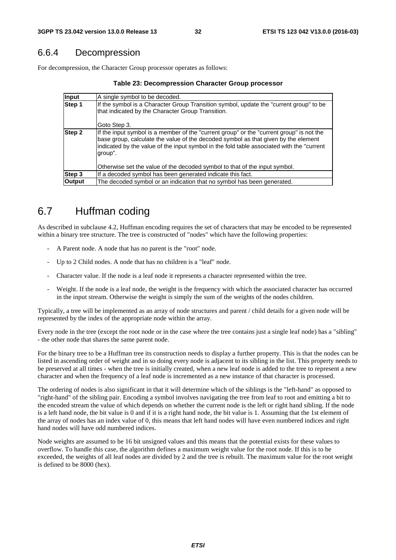### 6.6.4 Decompression

For decompression, the Character Group processor operates as follows:

| Table 23: Decompression Character Group processor |  |  |  |
|---------------------------------------------------|--|--|--|
|---------------------------------------------------|--|--|--|

| Input         | A single symbol to be decoded.                                                                                                                                                                                                                                                         |
|---------------|----------------------------------------------------------------------------------------------------------------------------------------------------------------------------------------------------------------------------------------------------------------------------------------|
| Step 1        | If the symbol is a Character Group Transition symbol, update the "current group" to be<br>that indicated by the Character Group Transition.<br>Goto Step 3.                                                                                                                            |
| Step 2        | If the input symbol is a member of the "current group" or the "current group" is not the<br>base group, calculate the value of the decoded symbol as that given by the element<br>indicated by the value of the input symbol in the fold table associated with the "current<br>group". |
|               | Otherwise set the value of the decoded symbol to that of the input symbol.                                                                                                                                                                                                             |
| Step 3        | If a decoded symbol has been generated indicate this fact.                                                                                                                                                                                                                             |
| <b>Output</b> | The decoded symbol or an indication that no symbol has been generated.                                                                                                                                                                                                                 |

# 6.7 Huffman coding

As described in subclause 4.2, Huffman encoding requires the set of characters that may be encoded to be represented within a binary tree structure. The tree is constructed of "nodes" which have the following properties:

- A Parent node. A node that has no parent is the "root" node.
- Up to 2 Child nodes. A node that has no children is a "leaf" node.
- Character value. If the node is a leaf node it represents a character represented within the tree.
- Weight. If the node is a leaf node, the weight is the frequency with which the associated character has occurred in the input stream. Otherwise the weight is simply the sum of the weights of the nodes children.

Typically, a tree will be implemented as an array of node structures and parent / child details for a given node will be represented by the index of the appropriate node within the array.

Every node in the tree (except the root node or in the case where the tree contains just a single leaf node) has a "sibling" - the other node that shares the same parent node.

For the binary tree to be a Huffman tree its construction needs to display a further property. This is that the nodes can be listed in ascending order of weight and in so doing every node is adjacent to its sibling in the list. This property needs to be preserved at all times - when the tree is initially created, when a new leaf node is added to the tree to represent a new character and when the frequency of a leaf node is incremented as a new instance of that character is processed.

The ordering of nodes is also significant in that it will determine which of the siblings is the "left-hand" as opposed to "right-hand" of the sibling pair. Encoding a symbol involves navigating the tree from leaf to root and emitting a bit to the encoded stream the value of which depends on whether the current node is the left or right hand sibling. If the node is a left hand node, the bit value is 0 and if it is a right hand node, the bit value is 1. Assuming that the 1st element of the array of nodes has an index value of 0, this means that left hand nodes will have even numbered indices and right hand nodes will have odd numbered indices.

Node weights are assumed to be 16 bit unsigned values and this means that the potential exists for these values to overflow. To handle this case, the algorithm defines a maximum weight value for the root node. If this is to be exceeded, the weights of all leaf nodes are divided by 2 and the tree is rebuilt. The maximum value for the root weight is defined to be 8000 (hex).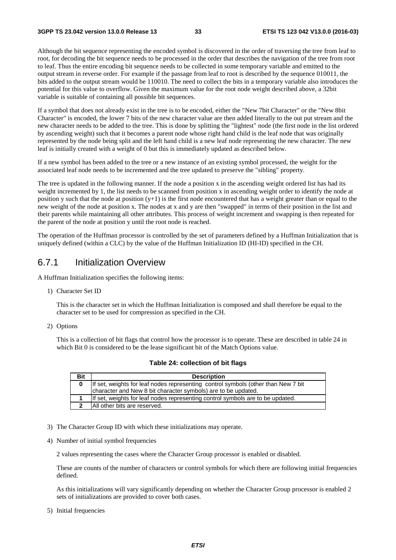Although the bit sequence representing the encoded symbol is discovered in the order of traversing the tree from leaf to root, for decoding the bit sequence needs to be processed in the order that describes the navigation of the tree from root to leaf. Thus the entire encoding bit sequence needs to be collected in some temporary variable and emitted to the output stream in reverse order. For example if the passage from leaf to root is described by the sequence 010011, the bits added to the output stream would be 110010. The need to collect the bits in a temporary variable also introduces the potential for this value to overflow. Given the maximum value for the root node weight described above, a 32bit variable is suitable of containing all possible bit sequences.

If a symbol that does not already exist in the tree is to be encoded, either the "New 7bit Character" or the "New 8bit Character" is encoded, the lower 7 bits of the new character value are then added literally to the out put stream and the new character needs to be added to the tree. This is done by splitting the "lightest" node (the first node in the list ordered by ascending weight) such that it becomes a parent node whose right hand child is the leaf node that was originally represented by the node being split and the left hand child is a new leaf node representing the new character. The new leaf is initially created with a weight of 0 but this is immediately updated as described below.

If a new symbol has been added to the tree or a new instance of an existing symbol processed, the weight for the associated leaf node needs to be incremented and the tree updated to preserve the "sibling" property.

The tree is updated in the following manner. If the node a position x in the ascending weight ordered list has had its weight incremented by 1, the list needs to be scanned from position x in ascending weight order to identify the node at position y such that the node at position  $(y+1)$  is the first node encountered that has a weight greater than or equal to the new weight of the node at position x. The nodes at x and y are then "swapped" in terms of their position in the list and their parents while maintaining all other attributes. This process of weight increment and swapping is then repeated for the parent of the node at position y until the root node is reached.

The operation of the Huffman processor is controlled by the set of parameters defined by a Huffman Initialization that is uniquely defined (within a CLC) by the value of the Huffman Initialization ID (HI-ID) specified in the CH.

#### 6.7.1 Initialization Overview

A Huffman Initialization specifies the following items:

1) Character Set ID

 This is the character set in which the Huffman Initialization is composed and shall therefore be equal to the character set to be used for compression as specified in the CH.

2) Options

 This is a collection of bit flags that control how the processor is to operate. These are described in table 24 in which Bit 0 is considered to be the lease significant bit of the Match Options value.

| <b>Bit</b> | <b>Description</b>                                                                 |
|------------|------------------------------------------------------------------------------------|
|            |                                                                                    |
|            | If set, weights for leaf nodes representing control symbols (other than New 7 bit) |
|            | character and New 8 bit character symbols) are to be updated.                      |
|            |                                                                                    |
|            | If set, weights for leaf nodes representing control symbols are to be updated.     |
|            |                                                                                    |
| າ          | All other bits are reserved.                                                       |
|            |                                                                                    |

**Table 24: collection of bit flags** 

- 3) The Character Group ID with which these initializations may operate.
- 4) Number of initial symbol frequencies

2 values representing the cases where the Character Group processor is enabled or disabled.

 These are counts of the number of characters or control symbols for which there are following initial frequencies defined.

 As this initializations will vary significantly depending on whether the Character Group processor is enabled 2 sets of initializations are provided to cover both cases.

#### 5) Initial frequencies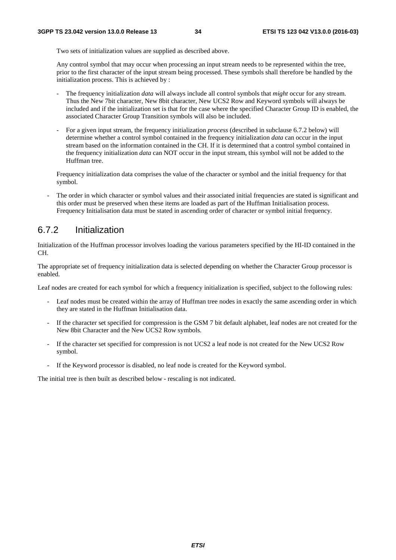Two sets of initialization values are supplied as described above.

 Any control symbol that may occur when processing an input stream needs to be represented within the tree, prior to the first character of the input stream being processed. These symbols shall therefore be handled by the initialization process. This is achieved by :

- The frequency initialization *data* will always include all control symbols that *might* occur for any stream. Thus the New 7bit character, New 8bit character, New UCS2 Row and Keyword symbols will always be included and if the initialization set is that for the case where the specified Character Group ID is enabled, the associated Character Group Transition symbols will also be included.
- For a given input stream, the frequency initialization *process* (described in subclause 6.7.2 below) will determine whether a control symbol contained in the frequency initialization *data* can occur in the input stream based on the information contained in the CH. If it is determined that a control symbol contained in the frequency initialization *data* can NOT occur in the input stream, this symbol will not be added to the Huffman tree.

 Frequency initialization data comprises the value of the character or symbol and the initial frequency for that symbol.

The order in which character or symbol values and their associated initial frequencies are stated is significant and this order must be preserved when these items are loaded as part of the Huffman Initialisation process. Frequency Initialisation data must be stated in ascending order of character or symbol initial frequency.

#### 6.7.2 Initialization

Initialization of the Huffman processor involves loading the various parameters specified by the HI-ID contained in the CH.

The appropriate set of frequency initialization data is selected depending on whether the Character Group processor is enabled.

Leaf nodes are created for each symbol for which a frequency initialization is specified, subject to the following rules:

- Leaf nodes must be created within the array of Huffman tree nodes in exactly the same ascending order in which they are stated in the Huffman Initialisation data.
- If the character set specified for compression is the GSM 7 bit default alphabet, leaf nodes are not created for the New 8bit Character and the New UCS2 Row symbols.
- If the character set specified for compression is not UCS2 a leaf node is not created for the New UCS2 Row symbol.
- If the Keyword processor is disabled, no leaf node is created for the Keyword symbol.

The initial tree is then built as described below - rescaling is not indicated.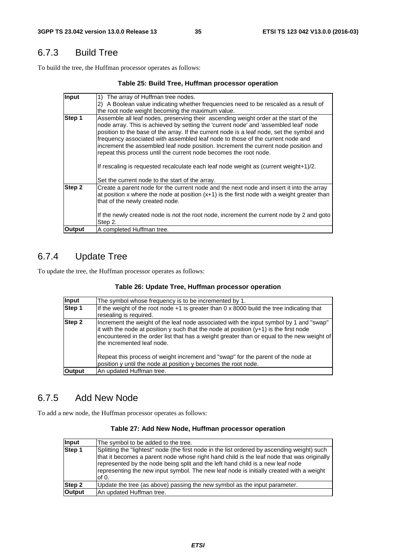### 6.7.3 Build Tree

To build the tree, the Huffman processor operates as follows:

#### **Table 25: Build Tree, Huffman processor operation**

| Input         | The array of Huffman tree nodes.                                                                                                                                                                                                                                                                                                                                                                                                                                                                                                                                                                                |
|---------------|-----------------------------------------------------------------------------------------------------------------------------------------------------------------------------------------------------------------------------------------------------------------------------------------------------------------------------------------------------------------------------------------------------------------------------------------------------------------------------------------------------------------------------------------------------------------------------------------------------------------|
|               | A Boolean value indicating whether frequencies need to be rescaled as a result of<br>2)                                                                                                                                                                                                                                                                                                                                                                                                                                                                                                                         |
|               | the root node weight becoming the maximum value.                                                                                                                                                                                                                                                                                                                                                                                                                                                                                                                                                                |
| Step 1        | Assemble all leaf nodes, preserving their ascending weight order at the start of the<br>node array. This is achieved by setting the 'current node' and 'assembled leaf' node<br>position to the base of the array. If the current node is a leaf node, set the symbol and<br>frequency associated with assembled leaf node to those of the current node and<br>increment the assembled leaf node position. Increment the current node position and<br>repeat this process until the current node becomes the root node.<br>If rescaling is requested recalculate each leaf node weight as (current weight+1)/2. |
|               | Set the current node to the start of the array.                                                                                                                                                                                                                                                                                                                                                                                                                                                                                                                                                                 |
| Step 2        | Create a parent node for the current node and the next node and insert it into the array<br>at position x where the node at position $(x+1)$ is the first node with a weight greater than<br>that of the newly created node.                                                                                                                                                                                                                                                                                                                                                                                    |
|               | If the newly created node is not the root node, increment the current node by 2 and goto<br>Step 2.                                                                                                                                                                                                                                                                                                                                                                                                                                                                                                             |
| <b>Output</b> | A completed Huffman tree.                                                                                                                                                                                                                                                                                                                                                                                                                                                                                                                                                                                       |

# 6.7.4 Update Tree

To update the tree, the Huffman processor operates as follows:

#### **Table 26: Update Tree, Huffman processor operation**

| <b>Input</b>  | The symbol whose frequency is to be incremented by 1.                                                                                                                                                                                                                                                          |
|---------------|----------------------------------------------------------------------------------------------------------------------------------------------------------------------------------------------------------------------------------------------------------------------------------------------------------------|
| Step 1        | If the weight of the root node $+1$ is greater than 0 x 8000 build the tree indicating that<br>resealing is required.                                                                                                                                                                                          |
| Step 2        | Increment the weight of the leaf node associated with the input symbol by 1 and "swap"<br>It with the node at position y such that the node at position $(y+1)$ is the first node<br>encountered in the order list that has a weight greater than or equal to the new weight of<br>Ithe incremented leaf node. |
|               | Repeat this process of weight increment and "swap" for the parent of the node at<br>position y until the node at position y becomes the root node.                                                                                                                                                             |
| <b>Output</b> | An updated Huffman tree.                                                                                                                                                                                                                                                                                       |

### 6.7.5 Add New Node

To add a new node, the Huffman processor operates as follows:

#### **Table 27: Add New Node, Huffman processor operation**

| Input         | The symbol to be added to the tree.                                                                                                                                                                                                                                                                                                                                             |
|---------------|---------------------------------------------------------------------------------------------------------------------------------------------------------------------------------------------------------------------------------------------------------------------------------------------------------------------------------------------------------------------------------|
| Step 1        | Splitting the "lightest" node (the first node in the list ordered by ascending weight) such<br>that it becomes a parent node whose right hand child is the leaf node that was originally<br>represented by the node being split and the left hand child is a new leaf node<br>representing the new input symbol. The new leaf node is initially created with a weight<br>lof 0. |
| Step 2        | Update the tree (as above) passing the new symbol as the input parameter.                                                                                                                                                                                                                                                                                                       |
| <b>Output</b> | An updated Huffman tree.                                                                                                                                                                                                                                                                                                                                                        |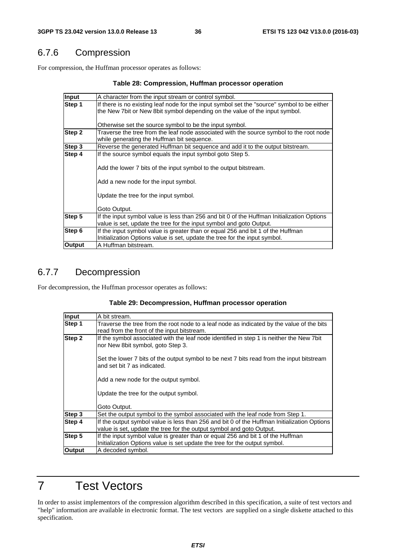### 6.7.6 Compression

For compression, the Huffman processor operates as follows:

#### **Table 28: Compression, Huffman processor operation**

| Input  | A character from the input stream or control symbol.                                                                                                                       |  |  |  |  |  |  |
|--------|----------------------------------------------------------------------------------------------------------------------------------------------------------------------------|--|--|--|--|--|--|
| Step 1 | If there is no existing leaf node for the input symbol set the "source" symbol to be either<br>the New 7bit or New 8bit symbol depending on the value of the input symbol. |  |  |  |  |  |  |
|        | Otherwise set the source symbol to be the input symbol.                                                                                                                    |  |  |  |  |  |  |
| Step 2 | Traverse the tree from the leaf node associated with the source symbol to the root node<br>while generating the Huffman bit sequence.                                      |  |  |  |  |  |  |
| Step 3 | Reverse the generated Huffman bit sequence and add it to the output bitstream.                                                                                             |  |  |  |  |  |  |
| Step 4 | If the source symbol equals the input symbol goto Step 5.                                                                                                                  |  |  |  |  |  |  |
|        | Add the lower 7 bits of the input symbol to the output bitstream.                                                                                                          |  |  |  |  |  |  |
|        | Add a new node for the input symbol.                                                                                                                                       |  |  |  |  |  |  |
|        | Update the tree for the input symbol.                                                                                                                                      |  |  |  |  |  |  |
|        | Goto Output.                                                                                                                                                               |  |  |  |  |  |  |
| Step 5 | If the input symbol value is less than 256 and bit 0 of the Huffman Initialization Options<br>value is set, update the tree for the input symbol and goto Output.          |  |  |  |  |  |  |
| Step 6 | If the input symbol value is greater than or equal 256 and bit 1 of the Huffman<br>Initialization Options value is set, update the tree for the input symbol.              |  |  |  |  |  |  |
| Output | A Huffman bitstream.                                                                                                                                                       |  |  |  |  |  |  |

### 6.7.7 Decompression

For decompression, the Huffman processor operates as follows:

#### **Table 29: Decompression, Huffman processor operation**

| Input         | A bit stream.                                                                                                                                                       |  |  |  |  |  |
|---------------|---------------------------------------------------------------------------------------------------------------------------------------------------------------------|--|--|--|--|--|
| Step 1        | Traverse the tree from the root node to a leaf node as indicated by the value of the bits<br>read from the front of the input bitstream.                            |  |  |  |  |  |
| Step 2        | If the symbol associated with the leaf node identified in step 1 is neither the New 7bit<br>nor New 8bit symbol, goto Step 3.                                       |  |  |  |  |  |
|               | Set the lower 7 bits of the output symbol to be next 7 bits read from the input bitstream<br>and set bit 7 as indicated.                                            |  |  |  |  |  |
|               | Add a new node for the output symbol.                                                                                                                               |  |  |  |  |  |
|               | Update the tree for the output symbol.                                                                                                                              |  |  |  |  |  |
|               | Goto Output.                                                                                                                                                        |  |  |  |  |  |
| Step 3        | Set the output symbol to the symbol associated with the leaf node from Step 1.                                                                                      |  |  |  |  |  |
| Step 4        | If the output symbol value is less than 256 and bit 0 of the Huffman Initialization Options<br>value is set, update the tree for the output symbol and goto Output. |  |  |  |  |  |
| Step 5        | If the input symbol value is greater than or equal 256 and bit 1 of the Huffman<br>Initialization Options value is set update the tree for the output symbol.       |  |  |  |  |  |
| <b>Output</b> | A decoded symbol.                                                                                                                                                   |  |  |  |  |  |

### 7 Test Vectors

In order to assist implementors of the compression algorithm described in this specification, a suite of test vectors and "help" information are available in electronic format. The test vectors are supplied on a single diskette attached to this specification.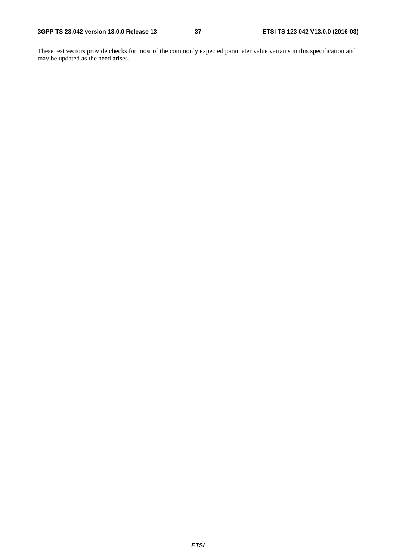These test vectors provide checks for most of the commonly expected parameter value variants in this specification and may be updated as the need arises.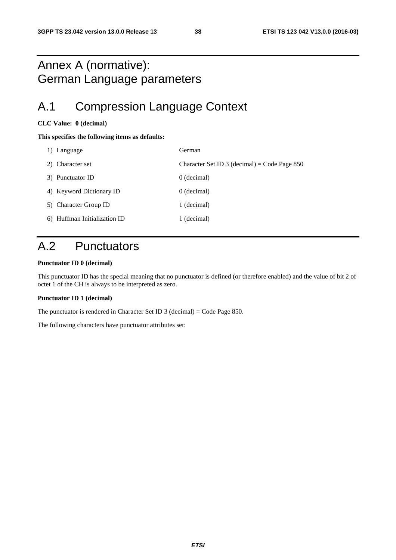### Annex A (normative): German Language parameters

## A.1 Compression Language Context

#### **CLC Value: 0 (decimal)**

#### **This specifies the following items as defaults:**

| 1) Language                  | German                                         |
|------------------------------|------------------------------------------------|
| 2) Character set             | Character Set ID 3 (decimal) = Code Page $850$ |
| 3) Punctuator ID             | 0 (decimal)                                    |
| 4) Keyword Dictionary ID     | $0$ (decimal)                                  |
| 5) Character Group ID        | 1 (decimal)                                    |
| 6) Huffman Initialization ID | 1 (decimal)                                    |

## A.2 Punctuators

#### **Punctuator ID 0 (decimal)**

This punctuator ID has the special meaning that no punctuator is defined (or therefore enabled) and the value of bit 2 of octet 1 of the CH is always to be interpreted as zero.

#### **Punctuator ID 1 (decimal)**

The punctuator is rendered in Character Set ID 3 (decimal) = Code Page 850.

The following characters have punctuator attributes set: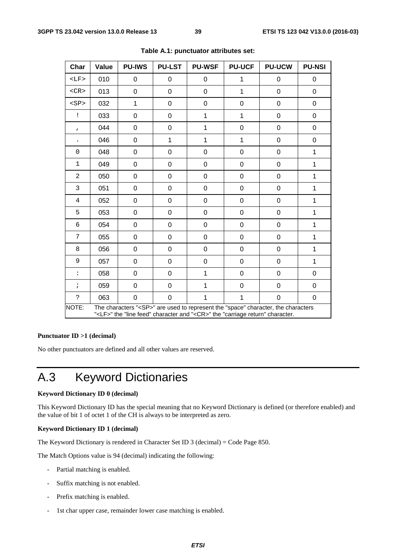| Char                                                                                                                                                                                         | Value | <b>PU-IWS</b>    | <b>PU-LST</b> | <b>PU-WSF</b> | <b>PU-UCF</b>    | <b>PU-UCW</b> | <b>PU-NSI</b> |
|----------------------------------------------------------------------------------------------------------------------------------------------------------------------------------------------|-------|------------------|---------------|---------------|------------------|---------------|---------------|
| $<$ LF>                                                                                                                                                                                      | 010   | 0                | 0             | 0             | 1                | 0             | 0             |
| $<$ CR $>$                                                                                                                                                                                   | 013   | $\mathbf 0$      | 0             | 0             | $\mathbf{1}$     | 0             | 0             |
| <sp< td=""><td>032</td><td><math>\mathbf{1}</math></td><td>0</td><td>0</td><td><math>\mathbf 0</math></td><td><math>\mathbf 0</math></td><td>0</td></sp<>                                    | 032   | $\mathbf{1}$     | 0             | 0             | $\mathbf 0$      | $\mathbf 0$   | 0             |
| Ţ                                                                                                                                                                                            | 033   | $\mathbf 0$      | 0             | $\mathbf 1$   | 1                | $\mathbf 0$   | 0             |
| $\mathbf{r}$                                                                                                                                                                                 | 044   | 0                | 0             | 1             | $\boldsymbol{0}$ | 0             | 0             |
|                                                                                                                                                                                              | 046   | 0                | 1             | 1             | 1                | 0             | 0             |
| $\mathbf 0$                                                                                                                                                                                  | 048   | $\mathbf 0$      | 0             | 0             | $\mathbf 0$      | 0             | 1             |
| $\mathbf{1}$                                                                                                                                                                                 | 049   | $\mathbf 0$      | 0             | 0             | 0                | $\mathbf 0$   | 1             |
| $\overline{2}$                                                                                                                                                                               | 050   | $\boldsymbol{0}$ | 0             | 0             | $\boldsymbol{0}$ | 0             | 1             |
| 3                                                                                                                                                                                            | 051   | 0                | 0             | 0             | 0                | 0             | 1             |
| 4                                                                                                                                                                                            | 052   | $\mathbf 0$      | 0             | 0             | $\mathbf 0$      | 0             | 1             |
| 5                                                                                                                                                                                            | 053   | $\mathbf 0$      | 0             | 0             | 0                | $\mathbf 0$   | $\mathbf{1}$  |
| 6                                                                                                                                                                                            | 054   | $\boldsymbol{0}$ | 0             | 0             | 0                | 0             | 1             |
| 7                                                                                                                                                                                            | 055   | 0                | 0             | 0             | $\mathbf 0$      | 0             | 1             |
| 8                                                                                                                                                                                            | 056   | $\mathbf 0$      | 0             | 0             | $\mathbf 0$      | 0             | 1             |
| 9                                                                                                                                                                                            | 057   | $\mathbf 0$      | 0             | 0             | 0                | $\mathbf 0$   | $\mathbf{1}$  |
| $\ddot{\phantom{a}}$                                                                                                                                                                         | 058   | 0                | 0             | 1             | 0                | 0             | 0             |
| $\ddot{i}$                                                                                                                                                                                   | 059   | 0                | 0             | 1             | 0                | 0             | 0             |
| $\ddot{\phantom{0}}$                                                                                                                                                                         | 063   | $\mathbf 0$      | 0             | 1             | 1                | 0             | 0             |
| The characters " <sp>" are used to represent the "space" character, the characters<br/>NOTE:<br/>"<lf>" the "line feed" character and "<cr>" the "carriage return" character.</cr></lf></sp> |       |                  |               |               |                  |               |               |

#### **Table A.1: punctuator attributes set:**

#### **Punctuator ID >1 (decimal)**

No other punctuators are defined and all other values are reserved.

## A.3 Keyword Dictionaries

#### **Keyword Dictionary ID 0 (decimal)**

This Keyword Dictionary ID has the special meaning that no Keyword Dictionary is defined (or therefore enabled) and the value of bit 1 of octet 1 of the CH is always to be interpreted as zero.

#### **Keyword Dictionary ID 1 (decimal)**

The Keyword Dictionary is rendered in Character Set ID 3 (decimal) = Code Page 850.

The Match Options value is 94 (decimal) indicating the following:

- Partial matching is enabled.
- Suffix matching is not enabled.
- Prefix matching is enabled.
- 1st char upper case, remainder lower case matching is enabled.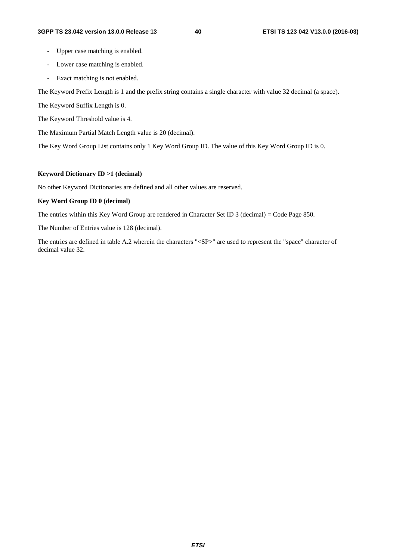- Upper case matching is enabled.
- Lower case matching is enabled.
- Exact matching is not enabled.

The Keyword Prefix Length is 1 and the prefix string contains a single character with value 32 decimal (a space).

The Keyword Suffix Length is 0.

The Keyword Threshold value is 4.

The Maximum Partial Match Length value is 20 (decimal).

The Key Word Group List contains only 1 Key Word Group ID. The value of this Key Word Group ID is 0.

#### **Keyword Dictionary ID >1 (decimal)**

No other Keyword Dictionaries are defined and all other values are reserved.

#### **Key Word Group ID 0 (decimal)**

The entries within this Key Word Group are rendered in Character Set ID 3 (decimal) = Code Page 850.

The Number of Entries value is 128 (decimal).

The entries are defined in table A.2 wherein the characters "<SP>" are used to represent the "space" character of decimal value 32.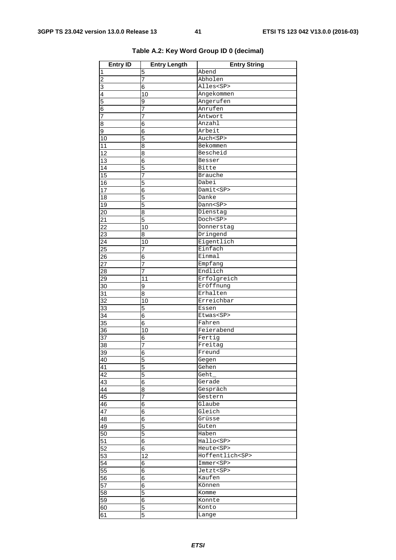| <b>Entry ID</b> | <b>Entry Length</b> | <b>Entry String</b>   |
|-----------------|---------------------|-----------------------|
| 1               | 5                   | Abend                 |
| $\overline{c}$  | $\overline{7}$      | Abholen               |
| 3               | 6                   | Alles <sp></sp>       |
| 4               | 10                  | Angekommen            |
| 5               | 9                   | Angerufen             |
| 6               | 7                   | Anrufen               |
| 7               | $\overline{7}$      | Antwort               |
| 8               | 6                   | Anzahl                |
| 9               | 6                   | Arbeit                |
| 10              | 5                   | Auch <sp></sp>        |
| 11              | 8                   | Bekommen              |
| 12              | 8                   | Bescheid              |
| $\overline{13}$ | 6                   | Besser                |
| 14              | 5                   | Bitte                 |
| $\overline{15}$ | 7                   | <b>Brauche</b>        |
| 16              | 5                   | Dabei                 |
| 17              | 6                   | Damit <sp></sp>       |
| 18              | 5                   | Danke                 |
| 19              | 5                   | Dann <sp></sp>        |
| $\overline{20}$ | 8                   | Dienstag              |
| 21              | 5                   | Doch <sp></sp>        |
| $\overline{22}$ | 10                  | Donnerstag            |
| 23              | 8                   | Dringend              |
| 24              | 10                  | Eigentlich            |
| 25              | 7                   | Einfach               |
| 26              | 6                   | Einmal                |
| $\overline{27}$ | $\overline{7}$      | Empfang               |
| 28              | 7                   | Endlich               |
| 29              | 11                  | Erfolgreich           |
| 30              | 9                   | Eröffnung             |
| 31              | 8                   | Erhalten              |
| 32              | 10                  | Erreichbar            |
| $\overline{33}$ | 5                   | Essen                 |
| 34              | 6                   | Etwas <sp></sp>       |
| 35              | 6                   | Fahren                |
| 36              | 10                  | Feierabend            |
| 37              | 6                   | Fertig                |
| 38              | 7                   | Freitag               |
| 39              | 6                   | Freund                |
| 40              | 5                   | Gegen                 |
| 41              | 5                   | Gehen                 |
| 42              | 5                   | Geht_                 |
| 43              | 6                   | Gerade                |
| 44              | 8                   | Gespräch              |
| 45              | 7                   | Gestern               |
| 46              | 6                   | Glaube                |
| $\overline{47}$ | 6                   | Gleich                |
| 48              | 6                   | Grüsse                |
| 49              | 5                   | Guten                 |
| 50              | 5                   | Haben                 |
| 51              | 6                   | Hallo <sp></sp>       |
| $\overline{52}$ | 6                   | Heute <sp></sp>       |
| 53              | 12                  | Hoffentlich <sp></sp> |
| 54              | $\overline{6}$      | Immer <sp></sp>       |
| 55              | 6                   | Jetzt <sp></sp>       |
| 56              | 6                   | Kaufen                |
| 57              | 6                   | Können                |
| 58              | 5                   | Komme                 |
| 59              | 6                   | Konnte                |
| 60              | 5                   | Konto                 |
| 61              | 5                   | Lange                 |

### **Table A.2: Key Word Group ID 0 (decimal)**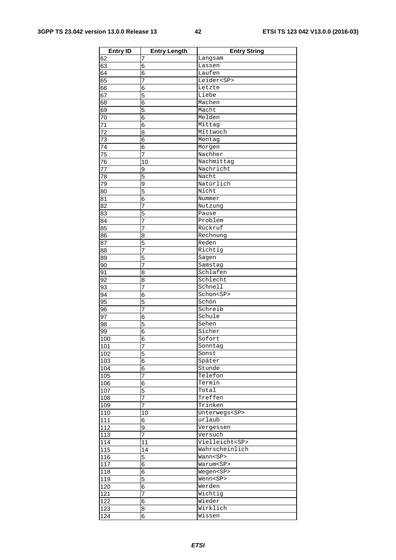| <b>Entry ID</b>  | <b>Entry Length</b> | <b>Entry String</b>  |
|------------------|---------------------|----------------------|
| 62               | 7                   | Langsam              |
| 63               | 6                   | Lassen               |
| 64               | 6                   | Laufen               |
| 65               | 7                   | Leider <sp></sp>     |
| 66               | 6                   | Letzte               |
| 67               | 5                   | Liebe                |
| 68               | 6                   | Machen               |
| 69               | 5                   | Macht                |
| 70               | 6                   | Melden               |
| 71               | 6                   | Mittag               |
| 72               | 8                   | Mittwoch             |
| 73               | 6                   | Montag               |
| 74               | 6                   | Morgen               |
| 75               | 7                   | Nachher              |
| 76               | 10                  | Nachmittag           |
| 77               | 9                   | Nachricht            |
| 78               | 5                   | Nacht                |
| 79               | 9                   | Natürlich            |
| 80               | 5                   | Nicht                |
| 81               | 6                   | Nummer               |
| 82               | 7                   | Nutzung              |
| 83               | 5                   | Pause                |
| 84               | 7                   | Problem              |
| 85               | 7                   | Rückruf              |
| 86               | 8                   | Rechnung             |
| 87               | 5                   | Reden                |
| 88               | 7                   | Richtig              |
| 89               | 5                   | Sagen                |
| 90               | 7                   | Samstag              |
| 91               | 8                   | Schlafen             |
| 92               | 8                   | Schlecht             |
| 93               | 7                   | Schnell              |
| 94               | 6                   | Schon <sp></sp>      |
| 95               | 5<br>$\overline{7}$ | Schön<br>Schreib     |
| 96<br>97         |                     | Schule               |
| 98               | 6<br>5              | Sehen                |
| 99               | 6                   | Sicher               |
| 100              | 6                   | Sofort               |
| 101              |                     | Sonntag              |
| 102              | ſ<br>$\overline{5}$ | Sonst                |
| 103              | 6                   | Später               |
| 104              | 6                   | Stunde               |
| 105              | 7                   | Telefon              |
| $\overline{106}$ | 6                   | Termin               |
| 107              | 5                   | Total                |
| 108              | 7                   | Treffen              |
| 109              | 7                   | Trinken              |
| 110              | 10                  | Unterwegs <sp></sp>  |
| 111              | 6                   | urlaub               |
| 112              | 9                   | Vergessen            |
| 113              | 7                   | Versuch              |
| 114              | 11                  | Vielleicht <sp></sp> |
| 115              | 14                  | Wahrscheinlich       |
| 116              | 5                   | Wann <sp></sp>       |
| 117              | $\overline{6}$      | Warum <sp></sp>      |
| $\overline{118}$ | $\overline{6}$      | Wegen <sp></sp>      |
| 119              | 5                   | Wenn <sp></sp>       |
| 120              | 6                   | Werden               |
| 121              | $\overline{7}$      | Wichtig              |
| 122              | 6                   | Wieder               |
| 123              | $\overline{8}$      | Wirklich             |
| 124              | 6                   | Wissen               |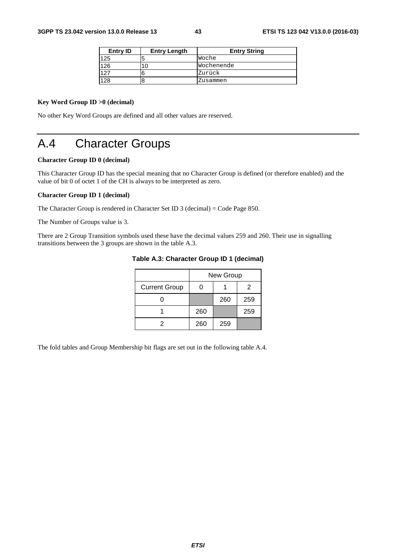| Entry ID | <b>Entry Length</b> | <b>Entry String</b> |
|----------|---------------------|---------------------|
| 125      |                     | Woche               |
| 126      |                     | Wochenende          |
| 127      |                     | Zurück              |
| 128      |                     | Zusammen            |

#### **Key Word Group ID >0 (decimal)**

No other Key Word Groups are defined and all other values are reserved.

## A.4 Character Groups

#### **Character Group ID 0 (decimal)**

This Character Group ID has the special meaning that no Character Group is defined (or therefore enabled) and the value of bit 0 of octet 1 of the CH is always to be interpreted as zero.

#### **Character Group ID 1 (decimal)**

The Character Group is rendered in Character Set ID 3 (decimal) = Code Page 850.

The Number of Groups value is 3.

There are 2 Group Transition symbols used these have the decimal values 259 and 260. Their use in signalling transitions between the 3 groups are shown in the table A.3.

|                      | New Group |     |     |  |
|----------------------|-----------|-----|-----|--|
| <b>Current Group</b> |           |     | 2   |  |
|                      |           | 260 | 259 |  |
|                      | 260       |     | 259 |  |
|                      | 260       | 259 |     |  |

#### **Table A.3: Character Group ID 1 (decimal)**

The fold tables and Group Membership bit flags are set out in the following table A.4.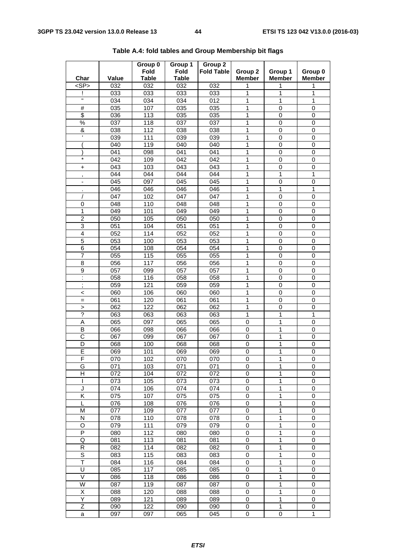| Char                     | Value            | Group 0<br><b>Fold</b><br><b>Table</b> | Group 1<br><b>Fold</b><br><b>Table</b> | Group 2<br><b>Fold Table</b> | Group 2<br><b>Member</b> | Group 1<br><b>Member</b> | Group 0<br><b>Member</b> |
|--------------------------|------------------|----------------------------------------|----------------------------------------|------------------------------|--------------------------|--------------------------|--------------------------|
| $<$ SP $>$               | 032              | 032                                    | 032                                    | 032                          | 1                        | 1                        | 1                        |
|                          | 033              | 033                                    | 033                                    | 033                          | 1                        | 1                        | 1                        |
| π                        | 034              | 034                                    | 034                                    | 012                          | 1                        | 1                        | 1                        |
| $\#$                     | 035              | 107                                    | 035                                    | 035                          | 1                        | $\mathbf 0$              | 0                        |
| \$                       | 036              | 113                                    | 035                                    | 035                          | 1                        | $\mathbf 0$              | 0                        |
| $\%$                     | 037              | 118                                    | 037                                    | 037                          | 1                        | 0                        | 0                        |
| &                        | 038              | 112                                    | 038                                    | 038                          | 1                        | $\mathbf 0$              | 0                        |
| $\mathbf{r}$             | 039              | 111                                    | 039                                    | 039                          | 1                        | $\mathbf 0$              | 0                        |
|                          | 040              | 119                                    | 040                                    | 040                          | 1                        | 0                        | 0                        |
|                          | 041              | 098                                    | 041                                    | 041                          | 1                        | 0                        | 0                        |
| $\star$                  | 042              | 109                                    | 042                                    | 042                          | 1                        | $\mathbf 0$              | 0                        |
| +                        | 043              | 103                                    | 043                                    | 043                          | 1                        | $\mathbf 0$              | 0                        |
| $\,$                     | 044              | 044                                    | 044                                    | 044                          | 1                        | 1                        | 1                        |
| ۰                        | 045              | 097                                    | 045                                    | 045                          | 1                        | $\mathbf 0$              | 0                        |
|                          | 046              | 046                                    | 046                                    | 046                          | 1                        | 1                        | 1                        |
|                          | 047              | 102                                    | 047                                    | 047                          | 1                        | $\mathbf 0$              | 0                        |
| 0                        | 048              | 110                                    | 048                                    | 048                          | 1                        | $\mathbf 0$              | 0                        |
| 1                        | 049              | 101                                    | 049                                    | 049                          | 1                        | $\mathbf 0$              | $\mathbf 0$              |
| 2                        | 050              | 105                                    | 050                                    | 050                          | 1                        | $\mathbf 0$              | 0                        |
| 3                        | 051              | 104                                    | 051                                    | 051                          | 1                        | 0                        | 0                        |
| $\overline{\mathbf{4}}$  | 052              | 114                                    | 052                                    | 052                          | 1                        | $\mathbf 0$              | 0                        |
| 5                        | 053              | 100                                    | 053                                    | 053                          | 1                        | $\pmb{0}$                | 0                        |
| $\overline{6}$           | 054              | 108                                    | 054                                    | 054                          | 1                        | $\mathbf 0$              | 0                        |
| $\overline{7}$           | $\overline{055}$ | 115                                    | 055                                    | 055                          | 1                        | $\mathbf 0$              | $\mathbf 0$              |
| 8                        | 056              | 117                                    | 056                                    | 056                          | 1                        | $\mathbf 0$              | 0                        |
| 9                        | 057              | 099                                    | 057                                    | 057                          | 1                        | 0                        | 0                        |
| Ì.                       | 058              | 116                                    | 058                                    | 058                          | 1                        | 0                        | 0                        |
| $\blacksquare$           | 059              | 121                                    | 059                                    | 059                          | 1                        | $\pmb{0}$                | 0                        |
| $\,$<br>$\,<\,$          | 060              | 106                                    | 060                                    | 060                          | 1                        | $\mathbf 0$              | $\mathbf 0$              |
| $=$                      | 061              | 120                                    | 061                                    | 061                          | 1                        | $\mathbf 0$              | 0                        |
| $\geq$                   | 062              | 122                                    | 062                                    | 062                          | 1                        | $\mathbf 0$              | 0                        |
| $\overline{\mathcal{C}}$ | 063              | 063                                    | 063                                    | 063                          | 1                        | 1                        | 1                        |
| Α                        | 065              | 097                                    | 065                                    | 065                          | 0                        | 1                        | 0                        |
| В                        | 066              | 098                                    | 066                                    | 066                          | 0                        | 1                        | 0                        |
| C                        | 067              | 099                                    | 067                                    | 067                          | 0                        | 1                        | $\,0\,$                  |
| D                        | 068              | 100                                    | 068                                    | 068                          | 0                        | 1                        | 0                        |
| $\overline{\mathsf{E}}$  | 069              | 101                                    | 069                                    | 069                          | 0                        | 1                        | $\mathbf 0$              |
| F                        | 070              | 102                                    | 070                                    | 070                          | 0                        | 1                        | 0                        |
| G                        | 071              | 103                                    | 071                                    | 071                          | 0                        | 1                        | 0                        |
| н                        | 072              | 104                                    | 072                                    | 072                          | 0                        | 1                        | 0                        |
| I                        | 073              | 105                                    | 073                                    | 073                          | 0                        | 1                        | 0                        |
| J                        | 074              | 106                                    | 074                                    | 074                          | 0                        | 1                        | 0                        |
| K                        | 075              | 107                                    | 075                                    | 075                          | 0                        | 1                        | 0                        |
| L                        | 076              | 108                                    | 076                                    | 076                          | 0                        | 1                        | 0                        |
| M                        | 077              | 109                                    | 077                                    | 077                          | 0                        | 1                        | $\pmb{0}$                |
| N                        | 078              | 110                                    | 078                                    | 078                          | 0                        | 1                        | 0                        |
| O                        | 079              | 111                                    | 079                                    | 079                          | 0                        | 1                        | 0                        |
| P                        | 080              | 112                                    | 080                                    | 080                          | 0                        | 1                        | 0                        |
| Q                        | 081              | 113                                    | 081                                    | 081                          | 0                        | 1                        | 0                        |
| $\mathsf R$              | 082              | 114                                    | 082                                    | 082                          | 0                        | 1                        | 0                        |
| $\overline{s}$           | 083              | 115                                    | 083                                    | 083                          | 0                        | 1                        | $\pmb{0}$                |
| T                        | 084              | 116                                    | 084                                    | 084                          | 0                        | 1                        | 0                        |
| U                        | 085              | 117                                    | 085                                    | 085                          | 0                        | 1                        | 0                        |
| V                        | 086              | 118                                    | 086                                    | 086                          | 0                        | 1                        | 0                        |
| W                        | 087              | 119                                    | 087                                    | 087                          | 0                        | 1                        | 0                        |
| Χ                        | 088              | 120                                    | 088                                    | 088                          | 0                        | 1                        | 0                        |
| Υ                        | 089              | 121                                    | 089                                    | 089                          | 0                        | 1                        | 0                        |
| Z                        | 090              | 122                                    | 090                                    | 090                          | 0                        | 1                        | 0                        |
| a                        | 097              | 097                                    | 065                                    | 045                          | 0                        | 0                        | 1                        |
|                          |                  |                                        |                                        |                              |                          |                          |                          |

**Table A.4: fold tables and Group Membership bit flags**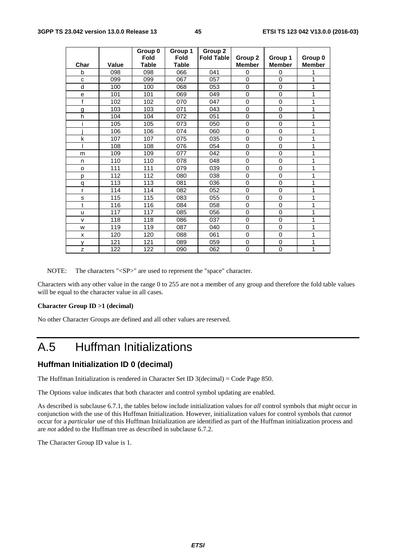|              |       | Group 0              | Group 1                     | Group 2           |                          |                          |                          |
|--------------|-------|----------------------|-----------------------------|-------------------|--------------------------|--------------------------|--------------------------|
| Char         | Value | Fold<br><b>Table</b> | <b>Fold</b><br><b>Table</b> | <b>Fold Table</b> | Group 2<br><b>Member</b> | Group 1<br><b>Member</b> | Group 0<br><b>Member</b> |
| b            | 098   | 098                  | 066                         | 041               | 0                        | $\Omega$                 | 1                        |
| C            | 099   | 099                  | 067                         | 057               | 0                        | $\Omega$                 | 1                        |
| d            | 100   | 100                  | 068                         | 053               | $\mathbf 0$              | $\Omega$                 | 1                        |
| e            | 101   | 101                  | 069                         | 049               | 0                        | $\Omega$                 | 1                        |
| f            | 102   | 102                  | 070                         | 047               | 0                        | $\mathbf 0$              | 1                        |
| g            | 103   | 103                  | 071                         | 043               | 0                        | $\mathbf 0$              | 1                        |
| h            | 104   | 104                  | 072                         | 051               | 0                        | $\Omega$                 | 1                        |
| i            | 105   | 105                  | 073                         | 050               | 0                        | $\mathbf 0$              | 1                        |
|              | 106   | 106                  | 074                         | 060               | 0                        | $\mathbf 0$              | 1                        |
| k            | 107   | 107                  | 075                         | 035               | 0                        | $\Omega$                 | 1                        |
|              | 108   | 108                  | 076                         | 054               | 0                        | $\mathbf 0$              | 1                        |
| m            | 109   | 109                  | 077                         | 042               | 0                        | $\mathbf 0$              | 1                        |
| n            | 110   | 110                  | 078                         | 048               | 0                        | $\mathbf 0$              | 1                        |
| o            | 111   | 111                  | 079                         | 039               | 0                        | $\mathbf 0$              | 1                        |
| р            | 112   | 112                  | 080                         | 038               | 0                        | $\Omega$                 | 1                        |
| q            | 113   | 113                  | 081                         | 036               | 0                        | $\mathbf 0$              | 1                        |
| r            | 114   | 114                  | 082                         | 052               | 0                        | $\mathbf 0$              | 1                        |
| S            | 115   | 115                  | 083                         | 055               | $\Omega$                 | $\Omega$                 | 1                        |
| t            | 116   | 116                  | 084                         | 058               | 0                        | $\mathbf 0$              | 1                        |
| u            | 117   | 117                  | 085                         | 056               | 0                        | $\mathbf 0$              | 1                        |
| $\mathsf{v}$ | 118   | 118                  | 086                         | 037               | 0                        | $\mathbf 0$              | 1                        |
| W            | 119   | 119                  | 087                         | 040               | $\mathbf 0$              | $\mathbf 0$              | 1                        |
| x            | 120   | 120                  | 088                         | 061               | 0                        | $\mathbf 0$              | 1                        |
| v            | 121   | 121                  | 089                         | 059               | 0                        | $\Omega$                 | 1                        |
| z            | 122   | 122                  | 090                         | 062               | 0                        | $\mathbf 0$              | 1                        |

NOTE: The characters "<SP>" are used to represent the "space" character.

Characters with any other value in the range 0 to 255 are not a member of any group and therefore the fold table values will be equal to the character value in all cases.

#### **Character Group ID >1 (decimal)**

No other Character Groups are defined and all other values are reserved.

### A.5 Huffman Initializations

#### **Huffman Initialization ID 0 (decimal)**

The Huffman Initialization is rendered in Character Set ID 3(decimal) = Code Page 850.

The Options value indicates that both character and control symbol updating are enabled.

As described is subclause 6.7.1, the tables below include initialization values for *all* control symbols that *might* occur in conjunction with the use of this Huffman Initialization. However, initialization values for control symbols that *cannot* occur for a *particular* use of this Huffman Initialization are identified as part of the Huffman initialization process and are *not* added to the Huffman tree as described in subclause 6.7.2.

The Character Group ID value is 1.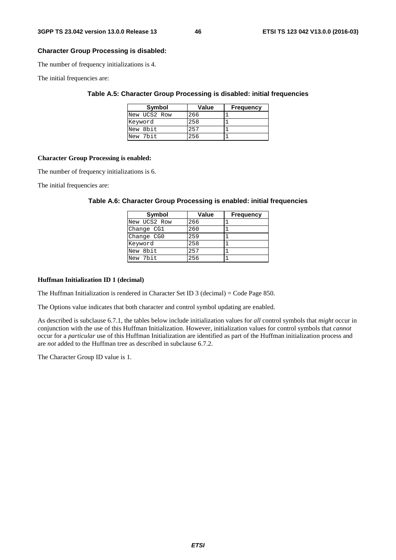#### **Character Group Processing is disabled:**

The number of frequency initializations is 4.

The initial frequencies are:

#### **Table A.5: Character Group Processing is disabled: initial frequencies**

| Symbol       | <b>Value</b> | <b>Frequency</b> |
|--------------|--------------|------------------|
| New UCS2 Row | 266          |                  |
| Keyword      | 258          |                  |
| New 8bit     | 257          |                  |
| New 7bit     | 256          |                  |

#### **Character Group Processing is enabled:**

The number of frequency initializations is 6.

The initial frequencies are:

#### **Table A.6: Character Group Processing is enabled: initial frequencies**

| Symbol       | <b>Value</b> | <b>Frequency</b> |
|--------------|--------------|------------------|
| New UCS2 Row | 266          |                  |
| Change CG1   | 260          |                  |
| Change CG0   | 259          |                  |
| Keyword      | 258          |                  |
| New 8bit     | 257          |                  |
| New 7bit     | 256          |                  |

#### **Huffman Initialization ID 1 (decimal)**

The Huffman Initialization is rendered in Character Set ID 3 (decimal) = Code Page 850.

The Options value indicates that both character and control symbol updating are enabled.

As described is subclause 6.7.1, the tables below include initialization values for *all* control symbols that *might* occur in conjunction with the use of this Huffman Initialization. However, initialization values for control symbols that *cannot* occur for a *particular* use of this Huffman Initialization are identified as part of the Huffman initialization process and are *not* added to the Huffman tree as described in subclause 6.7.2.

The Character Group ID value is 1.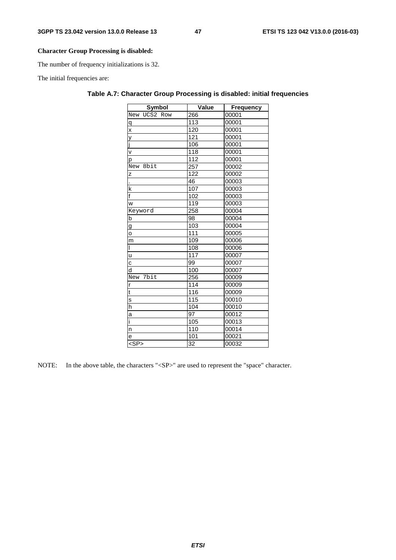#### **Character Group Processing is disabled:**

The number of frequency initializations is 32.

The initial frequencies are:

| Symbol                  | Value            | <b>Frequency</b> |
|-------------------------|------------------|------------------|
| New UCS2 Row            | 266              | 00001            |
| $\mathsf{q}$            | $\overline{113}$ | 00001            |
| $\overline{\mathbf{x}}$ | 120              | 00001            |
|                         | 121              | 00001            |
| y<br>j<br>v             | 106              | 00001            |
|                         | 118              | 00001            |
| p                       | 112              | 00001            |
| New 8bit                | 257              | 00002            |
| Z                       | 122              | 00002            |
| l,                      | 46               | 00003            |
| $\mathsf k$             | 107              | 00003            |
| $\overline{\mathsf{f}}$ | 102              | 00003            |
| W                       | 119              | 00003            |
| Keyword                 | 258              | 00004            |
| b                       | 98               | 00004            |
|                         | 103              | 00004            |
| $\frac{g}{o}$           | $\overline{111}$ | 00005            |
| m                       | 109              | 00006            |
| Τ                       | 108              | 00006            |
| u                       | 117              | 00007            |
| $\overline{c}$          | 99               | 00007            |
| d                       | 100              | 00007            |
| New 7bit                | 256              | 00009            |
|                         | 114              | 00009            |
| $\frac{r}{t}$           | 116              | 00009            |
| $\frac{S}{i}$           | 115              | 00010            |
| h                       | 104              | 00010            |
| a                       | 97               | 00012            |
| ī                       | $\overline{105}$ | 00013            |
| $\overline{a}$          | 110              | 00014            |
| e                       | 101              | 00021            |
| $<$ SP $>$              | 32               | 00032            |

#### **Table A.7: Character Group Processing is disabled: initial frequencies**

NOTE: In the above table, the characters "<SP>" are used to represent the "space" character.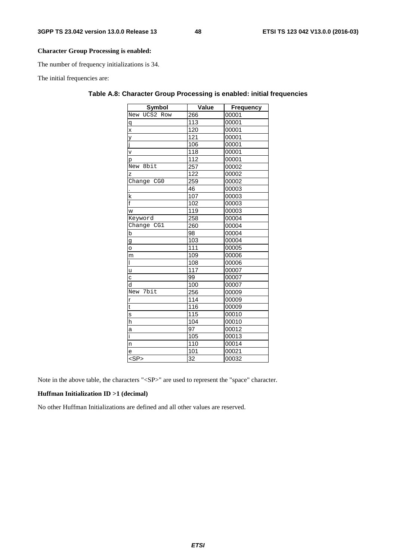#### **Character Group Processing is enabled:**

The number of frequency initializations is 34.

The initial frequencies are:

| <b>Symbol</b>  | Value            | <b>Frequency</b> |
|----------------|------------------|------------------|
| New UCS2 Row   | 266              | 00001            |
| q              | 113              | 00001            |
| $\mathsf{x}$   | 120              | 00001            |
|                | 121              | 00001            |
| y<br>j         | 106              | 00001            |
| $\mathsf{v}$   | 118              | 00001            |
| p              | $\overline{112}$ | 00001            |
| New 8bit       | 257              | 00002            |
| Z              | 122              | 00002            |
| Change CG0     | 259              | 00002            |
|                | 46               | 00003            |
| $\mathsf k$    | 107              | 00003            |
| f              | 102              | 00003            |
| W              | 119              | 00003            |
| Keyword        | 258              | 00004            |
| Change CG1     | 260              | 00004            |
| $\overline{b}$ | 98               | 00004            |
| $\mathsf g$    | 103              | 00004            |
| o              | 111              | 00005            |
| m              | 109              | 00006            |
| $\mathsf{I}$   | 108              | 00006            |
| ū              | 117              | 00007            |
| C              | 99               | 00007            |
| d              | 100              | 00007            |
| New 7bit       | 256              | 00009            |
| $\overline{r}$ | 114              | 00009            |
| t              | 116              | 00009            |
| s              | $\overline{115}$ | 00010            |
| h              | 104              | 00010            |
| a              | 97               | 00012            |
| ī              | 105              | 00013            |
| n              | 110              | 00014            |
| e              | 101              | 00021            |
| $<$ SP $>$     | 32               | 00032            |

#### **Table A.8: Character Group Processing is enabled: initial frequencies**

Note in the above table, the characters "<SP>" are used to represent the "space" character.

#### **Huffman Initialization ID >1 (decimal)**

No other Huffman Initializations are defined and all other values are reserved.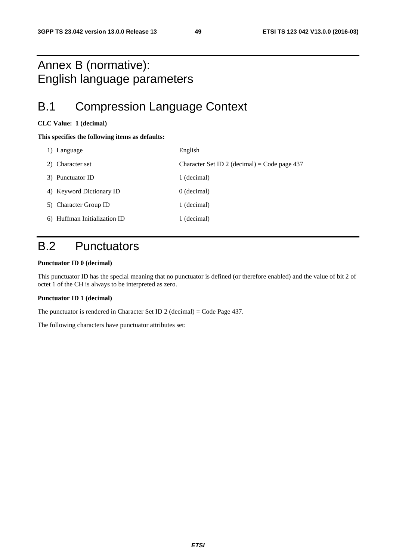## Annex B (normative): English language parameters

## B.1 Compression Language Context

#### **CLC Value: 1 (decimal)**

#### **This specifies the following items as defaults:**

| 1) Language                  | English                                      |
|------------------------------|----------------------------------------------|
| 2) Character set             | Character Set ID 2 (decimal) = Code page 437 |
| 3) Punctuator ID             | 1 (decimal)                                  |
| 4) Keyword Dictionary ID     | $0$ (decimal)                                |
| 5) Character Group ID        | 1 (decimal)                                  |
| 6) Huffman Initialization ID | 1 (decimal)                                  |

## B.2 Punctuators

#### **Punctuator ID 0 (decimal)**

This punctuator ID has the special meaning that no punctuator is defined (or therefore enabled) and the value of bit 2 of octet 1 of the CH is always to be interpreted as zero.

#### **Punctuator ID 1 (decimal)**

The punctuator is rendered in Character Set ID 2 (decimal) = Code Page 437.

The following characters have punctuator attributes set: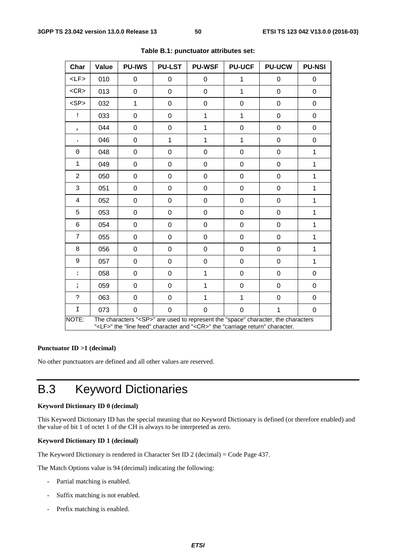| Char                                                                                                                                                                                        | Value | <b>PU-IWS</b>    | <b>PU-LST</b>  | <b>PU-WSF</b>  | <b>PU-UCF</b> | <b>PU-UCW</b>    | <b>PU-NSI</b> |
|---------------------------------------------------------------------------------------------------------------------------------------------------------------------------------------------|-------|------------------|----------------|----------------|---------------|------------------|---------------|
| $<$ LF>                                                                                                                                                                                     | 010   | 0                | 0              | 0              | 1             | 0                | 0             |
| $<$ CR $>$                                                                                                                                                                                  | 013   | $\boldsymbol{0}$ | $\pmb{0}$      | $\mathbf 0$    | $\mathbf{1}$  | $\pmb{0}$        | 0             |
| <sp< td=""><td>032</td><td>1</td><td>0</td><td>0</td><td>0</td><td><math display="inline">\pmb{0}</math></td><td>0</td></sp<>                                                               | 032   | 1                | 0              | 0              | 0             | $\pmb{0}$        | 0             |
| ï                                                                                                                                                                                           | 033   | 0                | $\mathbf 0$    | 1              | 1             | $\pmb{0}$        | 0             |
| $\pmb{r}$                                                                                                                                                                                   | 044   | 0                | $\mathbf 0$    | $\mathbf 1$    | 0             | $\pmb{0}$        | 0             |
|                                                                                                                                                                                             | 046   | 0                | $\mathbf{1}$   | $\mathbf{1}$   | $\mathbf{1}$  | $\mathbf 0$      | 0             |
| $\mathbf 0$                                                                                                                                                                                 | 048   | 0                | $\mathbf 0$    | $\mathbf 0$    | 0             | $\pmb{0}$        | $\mathbf 1$   |
| $\mathbf 1$                                                                                                                                                                                 | 049   | 0                | $\mathbf 0$    | $\mathbf 0$    | 0             | $\mathbf 0$      | $\mathbf{1}$  |
| $\overline{a}$                                                                                                                                                                              | 050   | 0                | 0              | 0              | 0             | $\pmb{0}$        | 1             |
| 3                                                                                                                                                                                           | 051   | $\boldsymbol{0}$ | $\pmb{0}$      | $\pmb{0}$      | 0             | $\pmb{0}$        | 1             |
| 4                                                                                                                                                                                           | 052   | 0                | $\mathbf 0$    | $\mathbf 0$    | 0             | $\pmb{0}$        | 1             |
| 5                                                                                                                                                                                           | 053   | $\mathbf 0$      | $\mathbf 0$    | $\mathbf 0$    | 0             | $\pmb{0}$        | 1             |
| 6                                                                                                                                                                                           | 054   | 0                | $\mathbf 0$    | $\mathbf 0$    | 0             | $\pmb{0}$        | 1             |
| 7                                                                                                                                                                                           | 055   | 0                | $\mathbf 0$    | $\mathbf 0$    | 0             | $\mathbf 0$      | 1             |
| 8                                                                                                                                                                                           | 056   | $\mathbf 0$      | $\mathbf 0$    | $\mathbf 0$    | 0             | $\mathbf 0$      | 1             |
| 9                                                                                                                                                                                           | 057   | 0                | $\mathbf 0$    | $\mathbf 0$    | 0             | $\boldsymbol{0}$ | 1             |
| $\vdots$                                                                                                                                                                                    | 058   | 0                | $\mathbf 0$    | 1              | 0             | $\pmb{0}$        | 0             |
| $\ddot{ }$                                                                                                                                                                                  | 059   | 0                | 0              | $\mathbf{1}$   | 0             | 0                | 0             |
| $\ddot{ }$                                                                                                                                                                                  | 063   | 0                | $\pmb{0}$      | 1              | 1             | $\pmb{0}$        | 0             |
| $\mathbf I$                                                                                                                                                                                 | 073   | $\overline{0}$   | $\overline{0}$ | $\overline{0}$ | 0             | $\mathbf{1}$     | $\mathbf 0$   |
| NOTE:<br>The characters " <sp>" are used to represent the "space" character, the characters<br/>"<lf>" the "line feed" character and "<cr>" the "carriage return" character.</cr></lf></sp> |       |                  |                |                |               |                  |               |

**Table B.1: punctuator attributes set:** 

#### **Punctuator ID >1 (decimal)**

No other punctuators are defined and all other values are reserved.

## B.3 Keyword Dictionaries

#### **Keyword Dictionary ID 0 (decimal)**

This Keyword Dictionary ID has the special meaning that no Keyword Dictionary is defined (or therefore enabled) and the value of bit 1 of octet 1 of the CH is always to be interpreted as zero.

#### **Keyword Dictionary ID 1 (decimal)**

The Keyword Dictionary is rendered in Character Set ID 2 (decimal) = Code Page 437.

The Match Options value is 94 (decimal) indicating the following:

- Partial matching is enabled.
- Suffix matching is not enabled.
- Prefix matching is enabled.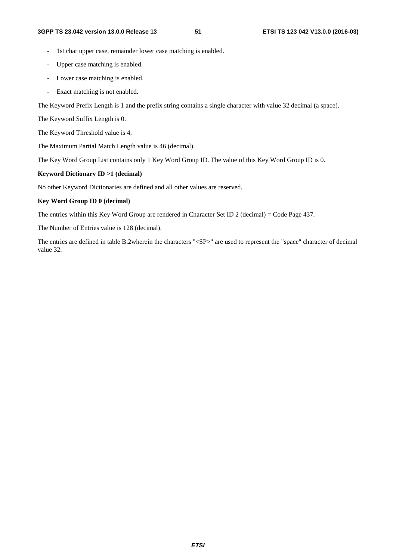- 1st char upper case, remainder lower case matching is enabled.
- Upper case matching is enabled.
- Lower case matching is enabled.
- Exact matching is not enabled.

The Keyword Prefix Length is 1 and the prefix string contains a single character with value 32 decimal (a space).

The Keyword Suffix Length is 0.

The Keyword Threshold value is 4.

The Maximum Partial Match Length value is 46 (decimal).

The Key Word Group List contains only 1 Key Word Group ID. The value of this Key Word Group ID is 0.

#### **Keyword Dictionary ID >1 (decimal)**

No other Keyword Dictionaries are defined and all other values are reserved.

#### **Key Word Group ID 0 (decimal)**

The entries within this Key Word Group are rendered in Character Set ID 2 (decimal) = Code Page 437.

The Number of Entries value is 128 (decimal).

The entries are defined in table B.2wherein the characters "<SP>" are used to represent the "space" character of decimal value 32.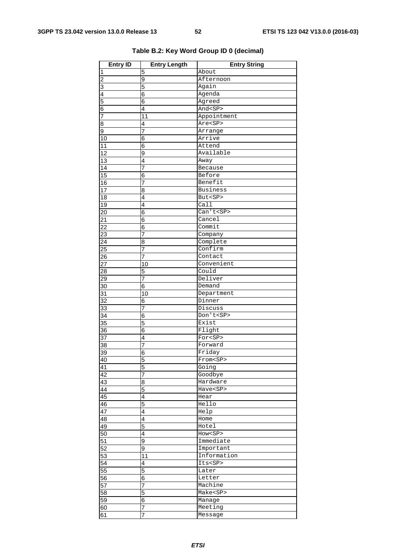| <b>Entry ID</b> | <b>Entry Length</b>     | <b>Entry String</b> |
|-----------------|-------------------------|---------------------|
| 1               | 5                       | About               |
| $\overline{2}$  | 9                       | Afternoon           |
| 3               | 5                       | Again               |
| 4               | 6                       | Agenda              |
| 5               | 6                       | Agreed              |
| 6               | 4                       | And <sp></sp>       |
| 7               | 11                      | Appointment         |
| 8               | 4                       | Are <sp></sp>       |
| 9               | 7                       | Arrange             |
| 10              | 6                       | Arrive              |
| 11              | 6                       | Attend              |
| 12              | 9                       | Available           |
| $\overline{13}$ | $\overline{4}$          | Away                |
| 14              | 7                       | Because             |
| $\overline{15}$ | 6                       | Before              |
| 16              | 7                       | Benefit             |
| 17              | 8                       | <b>Business</b>     |
| 18              | 4                       | But <sp></sp>       |
| 19              | 4                       | Call                |
| 20              | 6                       | Can't <sp></sp>     |
| 21              | 6                       | Cancel              |
| $\overline{22}$ | $\overline{6}$          | Commit              |
| $\overline{23}$ | 7                       | Company             |
| 24              | 8                       | Complete            |
| 25              | 7                       | Confirm             |
| 26              | 7                       | Contact             |
| $\overline{27}$ | 10                      | Convenient          |
| 28              | 5                       | Could               |
| 29              | 7                       | Deliver             |
| 30              | 6                       | Demand              |
| 31              | 10                      | Department          |
| 32              | 6                       | Dinner              |
| 33              | $\overline{7}$          | Discuss             |
| 34              | 6                       | Don't <sp></sp>     |
| $\overline{35}$ | 5                       | Exist               |
| 36              | 6                       | Flight              |
| 37              | $\overline{\mathbf{4}}$ | For <sp></sp>       |
| 38              | 7                       | Forward             |
| 39              | 6                       | Friday              |
| 40              | 5                       | From <sp></sp>      |
| 41              | 5                       | Going               |
| $\overline{42}$ | $\overline{7}$          | Goodbye             |
| 43              | 8                       | Hardware            |
| 44              | 5                       | Have <sp></sp>      |
| 45              | 4                       | Hear                |
| 46              | 5                       | Hello               |
| 47              | 4                       | Help                |
| 48              | 4                       | Home                |
| 49              | 5                       | Hotel               |
| $\overline{50}$ | $\overline{4}$          | How <sp></sp>       |
| $\overline{51}$ | 9                       | Immediate           |
| $\overline{52}$ | 9                       | Important           |
| $\overline{53}$ | 11                      | Information         |
| 54              | 4                       | Its <sp></sp>       |
| 55              | 5                       | Later               |
| 56              | 6                       | Letter              |
| 57              | $\overline{7}$          | Machine             |
| 58              | 5                       | Make <sp></sp>      |
| 59              | 6                       | Manage              |
| 60              | 7                       | Meeting             |
| 61              | 7                       | Message             |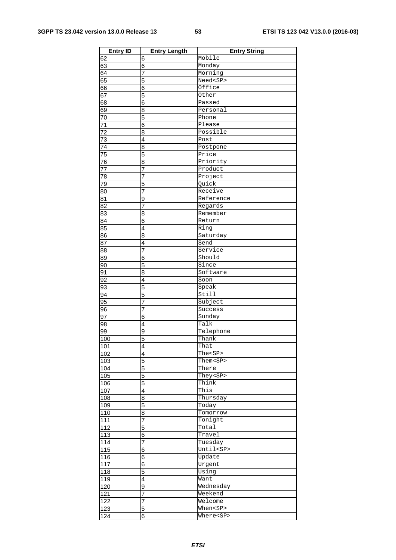| <b>Entry ID</b>  | <b>Entry Length</b> | <b>Entry String</b>      |
|------------------|---------------------|--------------------------|
| 62               | 6                   | Mobile                   |
| 63               | 6                   | Monday                   |
| 64               | 7                   | Morning                  |
| 65               | 5                   | Need <sp></sp>           |
| 66               | 6                   | Office                   |
| 67               | 5                   | Other                    |
| 68               | 6                   | Passed                   |
| 69               | 8                   | Personal                 |
| 70               | 5                   | Phone                    |
| 71               | 6                   | Please                   |
| $\overline{72}$  | 8                   | Possible                 |
| 73               | 4                   | Post                     |
| 74               | 8                   | Postpone                 |
| 75               | 5                   | Price                    |
| 76               | 8                   | Priority                 |
| $\overline{77}$  | $\overline{7}$      | Product                  |
| 78               | 7                   | Project                  |
| 79               | 5                   | Quick                    |
| 80               | 7                   | Receive                  |
| 81               | 9                   | Reference                |
| $\overline{82}$  | 7                   | Regards                  |
| 83               | 8                   | Remember                 |
| 84               | 6                   | Return                   |
| 85               | 4                   | Ring                     |
| 86               | 8                   | Saturday                 |
| 87               | $\overline{4}$      | Send                     |
| 88               | 7                   | Service                  |
| 89               | 6                   | Should                   |
| 90               | 5                   | Since                    |
| 91               | 8                   | Software                 |
| 92               | $\overline{4}$      | Soon                     |
| 93               | 5                   | Speak                    |
| 94               | 5                   | $\overline{\text{Stil}}$ |
| 95               | 7                   | Subject                  |
| 96               | 7                   | Success                  |
| 97               | $\overline{6}$      | Sunday                   |
| 98               | $\overline{4}$      | Talk                     |
| 99               | 9                   | Telephone                |
| 100              | 5                   | Thank                    |
| 101              | 4                   | That                     |
| 102              | $\overline{4}$      | The <sp></sp>            |
| 103              | 5                   | Them <sp></sp>           |
| 104              | 5                   | There                    |
| 105              | 5                   | They <sp></sp>           |
| 106              | 5                   | Think                    |
| 107              | $\overline{4}$      | This                     |
| 108              | 8                   | Thursday                 |
| 109              | 5                   | Today                    |
| 110              | 8                   | Tomorrow                 |
| 111              | $\overline{7}$      | Tonight                  |
| $\overline{112}$ | 5                   | Total                    |
| 113              | 6                   | Travel                   |
| 114              | 7                   | Tuesday                  |
| 115              | 6                   | Until <sp></sp>          |
| 116              | 6                   | Update                   |
| 117              | $\overline{6}$      | Urgent                   |
| 118              | 5                   | Using                    |
| 119              | 4                   | Want                     |
| 120              | 9                   | Wednesday                |
| 121              | $\overline{7}$      | Weekend                  |
| 122              | $\overline{7}$      | Welcome                  |
| 123              | $\overline{5}$      | When <sp></sp>           |
| 124              | 6                   | Where <sp></sp>          |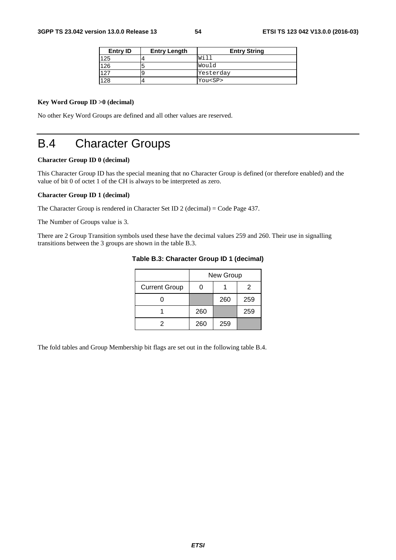| Entry <b>ID</b> | <b>Entry Length</b> | <b>Entry String</b> |  |  |
|-----------------|---------------------|---------------------|--|--|
| 125             |                     | Will                |  |  |
| 126             |                     | Would               |  |  |
| 127             |                     | Yesterday           |  |  |
| 128             |                     | You <sp></sp>       |  |  |

#### **Key Word Group ID >0 (decimal)**

No other Key Word Groups are defined and all other values are reserved.

## B.4 Character Groups

#### **Character Group ID 0 (decimal)**

This Character Group ID has the special meaning that no Character Group is defined (or therefore enabled) and the value of bit 0 of octet 1 of the CH is always to be interpreted as zero.

#### **Character Group ID 1 (decimal)**

The Character Group is rendered in Character Set ID 2 (decimal) = Code Page 437.

The Number of Groups value is 3.

There are 2 Group Transition symbols used these have the decimal values 259 and 260. Their use in signalling transitions between the 3 groups are shown in the table B.3.

|                      | New Group |     |     |  |
|----------------------|-----------|-----|-----|--|
| <b>Current Group</b> |           |     | 2   |  |
|                      |           | 260 | 259 |  |
|                      | 260       |     | 259 |  |
|                      | 260       | 259 |     |  |

#### **Table B.3: Character Group ID 1 (decimal)**

The fold tables and Group Membership bit flags are set out in the following table B.4.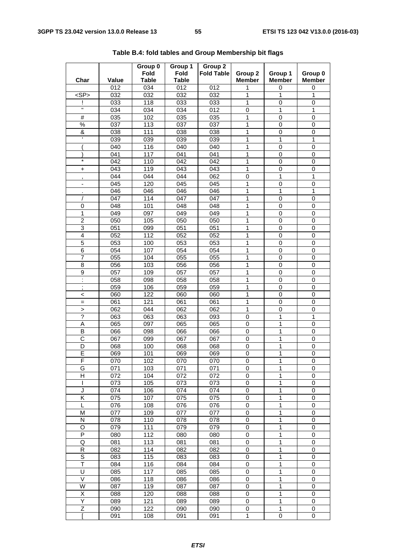| Char                           | Value            | Group 0<br><b>Fold</b><br><b>Table</b> | Group 1<br><b>Fold</b><br><b>Table</b> | Group 2<br><b>Fold Table</b> | Group 2<br><b>Member</b> | Group 1<br><b>Member</b> | Group 0<br><b>Member</b> |
|--------------------------------|------------------|----------------------------------------|----------------------------------------|------------------------------|--------------------------|--------------------------|--------------------------|
|                                | 012              | 034                                    | 012                                    | 012                          | 1                        | 0                        | 0                        |
| $<$ SP $>$                     | 032              | 032                                    | 032                                    | 032                          | 1                        | $\mathbf{1}$             | 1                        |
|                                | 033              | 118                                    | 033                                    | 033                          | 1                        | $\mathbf 0$              | 0                        |
| H                              | 034              | 034                                    | 034                                    | 012                          | $\pmb{0}$                | 1                        | 1                        |
| #                              | 035              | 102                                    | 035                                    | 035                          | 1                        | $\mathbf 0$              | 0                        |
| $\%$                           | 037              | 113                                    | 037                                    | 037                          | 1                        | $\mathbf 0$              | 0                        |
| &                              | 038              | 111                                    | 038                                    | 038                          | 1                        | $\mathbf 0$              | 0                        |
|                                | 039              | 039                                    | 039                                    | 039                          | 1                        | 1                        | 1                        |
|                                | 040              | 116                                    | 040                                    | 040                          | 1                        | 0                        | 0                        |
|                                | 041              | 117                                    | 041                                    | 041                          | 1                        | 0                        | 0                        |
| $\star$                        | 042              | 110                                    | 042                                    | 042                          | 1                        | $\mathbf 0$              | $\mathbf 0$              |
| +                              | 043              | 119                                    | 043                                    | 043                          | 1                        | $\mathbf 0$              | 0                        |
| $\mathbf{r}$                   | 044              | 044                                    | 044                                    | 062                          | 0                        | 1                        | 1                        |
| ۰                              | 045              | 120                                    | 045                                    | 045                          | 1                        | $\mathbf 0$              | 0                        |
|                                | 046              | 046                                    | 046                                    | 046                          | 1                        | 1                        | 1                        |
|                                | 047              | 114                                    | 047                                    | 047                          | 1                        | $\mathbf 0$              | 0                        |
| 0                              | 048              | 101                                    | 048                                    | 048                          | 1                        | $\mathbf 0$              | $\mathbf 0$              |
| $\overline{1}$                 | 049              | 097                                    | 049                                    | 049                          | 1                        | $\mathbf 0$              | $\mathbf 0$              |
| $\overline{c}$                 | 050              | 105                                    | 050                                    | 050                          | 1                        | $\mathbf 0$              | 0                        |
| 3                              | 051              | 099                                    | 051                                    | 051                          | 1                        | 0                        | 0                        |
| 4                              | 052              | 112                                    | 052                                    | 052                          | 1                        | $\mathbf 0$              | 0                        |
| 5                              | 053              | 100                                    | 053                                    | 053                          | 1                        | $\mathbf 0$              | 0                        |
| $\overline{6}$                 | 054              | 107                                    | 054                                    | 054                          | 1                        | $\mathbf 0$              | 0                        |
| $\overline{7}$                 | $\overline{055}$ | 104                                    | 055                                    | $\overline{055}$             | 1                        | $\mathbf 0$              | $\mathbf 0$              |
| 8                              | 056              | 103                                    | 056                                    | 056                          | 1                        | $\mathbf 0$              | 0                        |
| 9                              | 057              | 109                                    | 057                                    | 057                          | 1                        | 0                        | 0                        |
| ł,                             | 058              | 098                                    | 058                                    | 058                          | 1                        | $\mathbf 0$              | 0                        |
| ä,<br>$\,$                     | 059              | 106                                    | 059                                    | 059                          | 1                        | $\mathbf 0$              | 0                        |
| $\,<\,$                        | 060              | $\overline{122}$                       | 060                                    | 060                          | 1                        | $\mathbf 0$              | $\mathbf 0$              |
| $=$                            | 061              | 121                                    | 061                                    | 061                          | 1                        | $\mathbf 0$              | 0                        |
| $\, > \,$                      | 062              | 044                                    | 062                                    | 062                          | 1                        | $\mathbf 0$              | $\mathbf 0$              |
| $\overline{?}$                 | 063              | 063                                    | 063                                    | 093                          | $\pmb{0}$                | 1                        | 1                        |
| Α                              | 065              | 097                                    | 065                                    | 065                          | 0                        | 1                        | 0                        |
| В                              | 066              | 098                                    | 066                                    | 066                          | 0                        | 1                        | 0                        |
| C                              | 067              | 099                                    | 067                                    | 067                          | 0                        | 1                        | $\,0\,$                  |
| D                              | 068              | 100                                    | 068                                    | 068                          | 0                        | 1                        | 0                        |
| E                              | 069              | 101                                    | 069                                    | 069                          | $\pmb{0}$                | 1                        | $\mathbf 0$              |
| F                              | 070              | 102                                    | 070                                    | 070                          | 0                        | 1                        | 0                        |
| G                              | 071              | 103                                    | 071                                    | 071                          | 0                        | 1                        | $\mathbf 0$              |
| н                              | 072              | 104                                    | 072                                    | 072                          | 0                        | 1                        | 0                        |
| I                              | 073              | 105                                    | 073                                    | 073                          | 0                        | 1                        | 0                        |
| J                              | 074              | 106                                    | 074                                    | 074                          | 0                        | 1                        | 0                        |
| K                              | 075              | 107                                    | 075                                    | 075                          | 0                        | 1                        | 0                        |
| L                              | 076              | 108                                    | 076                                    | 076                          | $\pmb{0}$                | 1                        | $\mathbf 0$              |
| M                              | 077              | 109                                    | 077                                    | 077                          | $\pmb{0}$                | 1                        | $\pmb{0}$                |
| N                              | 078              | 110                                    | 078                                    | 078                          | 0                        | 1                        | 0                        |
| O                              | 079              | 111                                    | 079                                    | 079                          | 0                        | 1                        | 0                        |
| P                              | 080              | 112                                    | 080                                    | 080                          | $\pmb{0}$                | 1                        | 0                        |
| Q                              | 081              | 113                                    | 081                                    | 081                          | 0                        | 1                        | 0                        |
| R                              | 082              | 114                                    | 082                                    | 082                          | 0                        | 1                        | 0                        |
| $\overline{s}$<br>$\mathsf{T}$ | 083              | 115                                    | 083                                    | 083                          | $\pmb{0}$                | 1                        | $\mathbf 0$              |
|                                | 084              | 116                                    | 084                                    | 084                          | $\pmb{0}$                | 1                        | $\mathbf 0$              |
| U<br>$\vee$                    | 085              | 117                                    | 085                                    | 085                          | 0                        | 1                        | 0                        |
| W                              | 086              | 118                                    | 086                                    | 086                          | 0                        | 1                        | 0                        |
| Χ                              | 087<br>088       | 119<br>120                             | 087<br>088                             | 087<br>088                   | 0<br>0                   | 1<br>1                   | 0<br>0                   |
| Υ                              | 089              | 121                                    | 089                                    | 089                          | 0                        | $\mathbf 1$              | 0                        |
| Z                              | 090              | 122                                    | 090                                    | 090                          | $\pmb{0}$                | 1                        | 0                        |
|                                | 091              | 108                                    | 091                                    | 091                          | 1                        | 0                        | 0                        |
|                                |                  |                                        |                                        |                              |                          |                          |                          |

**Table B.4: fold tables and Group Membership bit flags**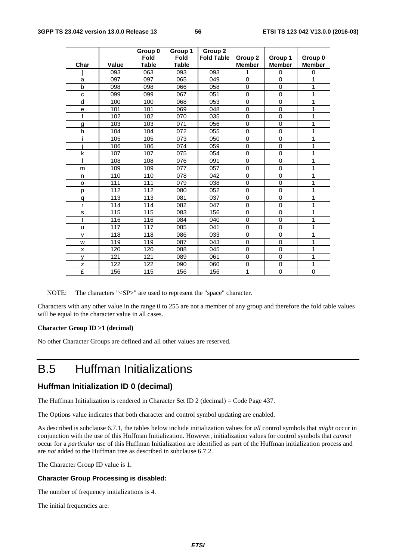|              |              | Group 0<br>Fold | Group 1<br><b>Fold</b> | Group 2<br><b>Fold Table</b> | Group 2       | Group 1        | Group 0       |
|--------------|--------------|-----------------|------------------------|------------------------------|---------------|----------------|---------------|
| Char         | <b>Value</b> | <b>Table</b>    | <b>Table</b>           |                              | <b>Member</b> | <b>Member</b>  | <b>Member</b> |
|              | 093          | 063             | 093                    | 093                          | 1             | $\mathbf 0$    | 0             |
| a            | 097          | 097             | 065                    | 049                          | $\mathbf{0}$  | $\overline{0}$ | 1             |
| b            | 098          | 098             | 066                    | 058                          | $\mathbf 0$   | $\mathbf 0$    | 1             |
| C            | 099          | 099             | 067                    | 051                          | $\mathbf 0$   | $\Omega$       | 1             |
| d            | 100          | 100             | 068                    | 053                          | $\mathbf 0$   | $\mathbf 0$    | 1             |
| е            | 101          | 101             | 069                    | 048                          | $\mathbf 0$   | $\mathbf 0$    | 1             |
| $\mathsf{f}$ | 102          | 102             | 070                    | 035                          | $\mathbf 0$   | $\overline{0}$ | 1             |
| g            | 103          | 103             | 071                    | 056                          | $\mathbf 0$   | $\mathbf 0$    | 1             |
| h            | 104          | 104             | 072                    | 055                          | 0             | $\mathbf 0$    | 1             |
|              | 105          | 105             | 073                    | 050                          | 0             | $\mathbf 0$    | 1             |
|              | 106          | 106             | 074                    | 059                          | $\mathbf 0$   | $\Omega$       | 1             |
| k            | 107          | 107             | 075                    | 054                          | $\mathbf 0$   | 0              | 1             |
|              | 108          | 108             | 076                    | 091                          | $\mathbf 0$   | $\mathbf 0$    | 1             |
| m            | 109          | 109             | 077                    | 057                          | $\mathbf 0$   | $\Omega$       | 1             |
| n            | 110          | 110             | 078                    | 042                          | $\mathbf 0$   | $\mathbf 0$    | 1             |
| $\circ$      | 111          | 111             | 079                    | 038                          | $\mathbf 0$   | $\Omega$       | 1             |
| p            | 112          | 112             | 080                    | 052                          | $\mathbf 0$   | 0              | 1             |
| q            | 113          | 113             | 081                    | 037                          | 0             | 0              | 1             |
| r            | 114          | 114             | 082                    | 047                          | $\mathbf 0$   | $\Omega$       | 1             |
| s            | 115          | 115             | 083                    | 156                          | $\mathbf 0$   | $\mathbf 0$    | 1             |
| t            | 116          | 116             | 084                    | 040                          | $\mathbf 0$   | 0              | 1             |
| u            | 117          | 117             | 085                    | 041                          | $\mathbf 0$   | $\mathbf 0$    | 1             |
| $\mathsf{v}$ | 118          | 118             | 086                    | 033                          | $\mathbf 0$   | $\Omega$       | 1             |
| W            | 119          | 119             | 087                    | 043                          | $\mathbf 0$   | 0              | 1             |
| X            | 120          | 120             | 088                    | 045                          | $\pmb{0}$     | $\mathbf 0$    | 1             |
| y            | 121          | 121             | 089                    | 061                          | 0             | $\Omega$       | 1             |
| Z            | 122          | 122             | 090                    | 060                          | $\pmb{0}$     | $\mathbf 0$    | 1             |
| £            | 156          | 115             | 156                    | 156                          | 1             | $\mathbf 0$    | 0             |

NOTE: The characters "<SP>" are used to represent the "space" character.

Characters with any other value in the range 0 to 255 are not a member of any group and therefore the fold table values will be equal to the character value in all cases.

#### **Character Group ID >1 (decimal)**

No other Character Groups are defined and all other values are reserved.

### B.5 Huffman Initializations

#### **Huffman Initialization ID 0 (decimal)**

The Huffman Initialization is rendered in Character Set ID 2 (decimal) = Code Page 437.

The Options value indicates that both character and control symbol updating are enabled.

As described is subclause 6.7.1, the tables below include initialization values for *all* control symbols that *might* occur in conjunction with the use of this Huffman Initialization. However, initialization values for control symbols that *cannot* occur for a *particular* use of this Huffman Initialization are identified as part of the Huffman initialization process and are *not* added to the Huffman tree as described in subclause 6.7.2.

The Character Group ID value is 1.

#### **Character Group Processing is disabled:**

The number of frequency initializations is 4.

The initial frequencies are: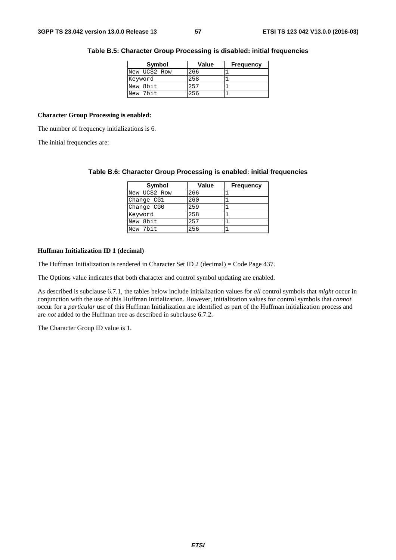| Symbol       | Value | <b>Frequency</b> |
|--------------|-------|------------------|
| New UCS2 Row | 266   |                  |
| Keyword      | 258   |                  |
| New 8bit     | 257   |                  |
| New 7bit     | 256   |                  |

#### **Table B.5: Character Group Processing is disabled: initial frequencies**

#### **Character Group Processing is enabled:**

The number of frequency initializations is 6.

The initial frequencies are:

| Symbol       | Value | <b>Frequency</b> |
|--------------|-------|------------------|
| New UCS2 Row | 266   |                  |
| Change CG1   | 260   |                  |
| Change CG0   | 259   |                  |
| Keyword      | 258   |                  |
| New 8bit     | 257   |                  |
| New 7bit     | 256   |                  |

#### **Table B.6: Character Group Processing is enabled: initial frequencies**

#### **Huffman Initialization ID 1 (decimal)**

The Huffman Initialization is rendered in Character Set ID 2 (decimal) = Code Page 437.

The Options value indicates that both character and control symbol updating are enabled.

As described is subclause 6.7.1, the tables below include initialization values for *all* control symbols that *might* occur in conjunction with the use of this Huffman Initialization. However, initialization values for control symbols that *cannot* occur for a *particular* use of this Huffman Initialization are identified as part of the Huffman initialization process and are *not* added to the Huffman tree as described in subclause 6.7.2.

The Character Group ID value is 1.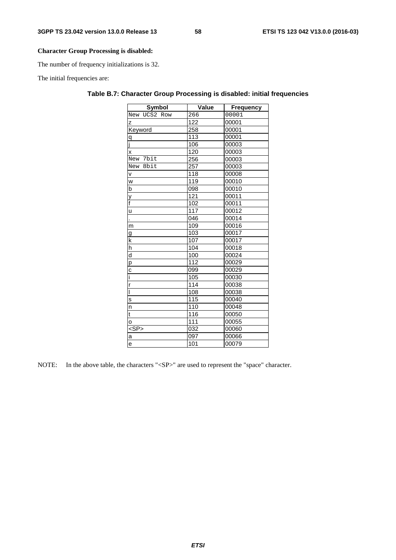#### **Character Group Processing is disabled:**

The number of frequency initializations is 32.

The initial frequencies are:

| Symbol                  | Value            | <b>Frequency</b> |
|-------------------------|------------------|------------------|
| New UCS2 Row            | 266              | 00001            |
| Z                       | 122              | 00001            |
| Keyword                 | 258              | 00001            |
| $\overline{q}$          | 113              | 00001            |
| j                       | 106              | 00003            |
| Χ                       | 120              | 00003            |
| New 7bit                | 256              | 00003            |
| New 8bit                | 257              | 00003            |
| $\mathsf{v}$            | 118              | 00008            |
| W                       | 119              | 00010            |
| $\overline{b}$          | 098              | 00010            |
|                         | 121              | 00011            |
| $\frac{y}{f}$           | 102              | 00011            |
| <u>u</u>                | $\overline{117}$ | 00012            |
|                         | 046              | 00014            |
| m                       | 109              | 00016            |
| g                       | 103              | 00017            |
| $\mathsf k$             | 107              | 00017            |
| h                       | 104              | 00018            |
| $\overline{d}$          | 100              | 00024            |
| p                       | 112              | 00029            |
| C                       | 099              | 00029            |
| ī                       | 105              | 00030            |
| $\overline{r}$          | 114              | 00038            |
| ī                       | 108              | 00038            |
| $\overline{\mathbf{s}}$ | 115              | 00040            |
| n                       | 110              | 00048            |
| t                       | 116              | 00050            |
| $\circ$                 | $\overline{111}$ | 00055            |
| $<$ SP $>$              | 032              | 00060            |
| a                       | 097              | 00066            |
| е                       | 101              | 00079            |

#### **Table B.7: Character Group Processing is disabled: initial frequencies**

NOTE: In the above table, the characters "<SP>" are used to represent the "space" character.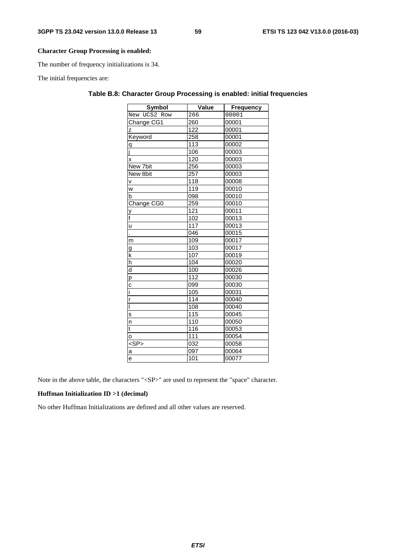#### **Character Group Processing is enabled:**

The number of frequency initializations is 34.

The initial frequencies are:

| Symbol                   | Value | <b>Frequency</b> |
|--------------------------|-------|------------------|
| New UCS2 Row             | 266   | 00001            |
| Change CG1               | 260   | 00001            |
| Z                        | 122   | 00001            |
| Keyword                  | 258   | 00001            |
| $\overline{q}$           | 113   | 00002            |
| ī                        | 106   | 00003            |
| X                        | 120   | 00003            |
| New 7bit                 | 256   | 00003            |
| New 8bit                 | 257   | 00003            |
| $\mathsf{v}$             | 118   | 00008            |
| w                        | 119   | 00010            |
| b                        | 098   | 00010            |
| Change CG0               | 259   | 00010            |
| y                        | 121   | 00011            |
| $\overline{f}$           | 102   | 00013            |
| u                        | 117   | 00013            |
| l,                       | 046   | 00015            |
| m                        | 109   | 00017            |
| g                        | 103   | 00017            |
| $\overline{\mathsf{k}}$  | 107   | 00019            |
| $\overline{h}$           | 104   | 00020            |
| $\overline{d}$           | 100   | 00026            |
| p                        | 112   | 00030            |
| C                        | 099   | 00030            |
| ī                        | 105   | 00031            |
| r                        | 114   | 00040            |
| Ī                        | 108   | 00040            |
| S                        | 115   | 00045            |
| n                        | 110   | 00050            |
| t                        | 116   | 00053            |
| o                        | 111   | 00054            |
| $\overline{\text{S}}$ P> | 032   | 00058            |
| a                        | 097   | 00064            |
| е                        | 101   | 00077            |

#### **Table B.8: Character Group Processing is enabled: initial frequencies**

Note in the above table, the characters "<SP>" are used to represent the "space" character.

#### **Huffman Initialization ID >1 (decimal)**

No other Huffman Initializations are defined and all other values are reserved.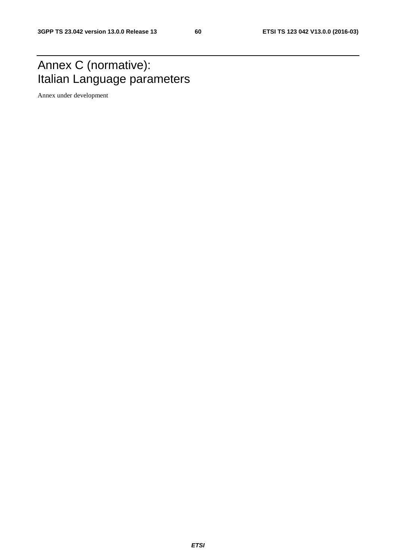### Annex C (normative): Italian Language parameters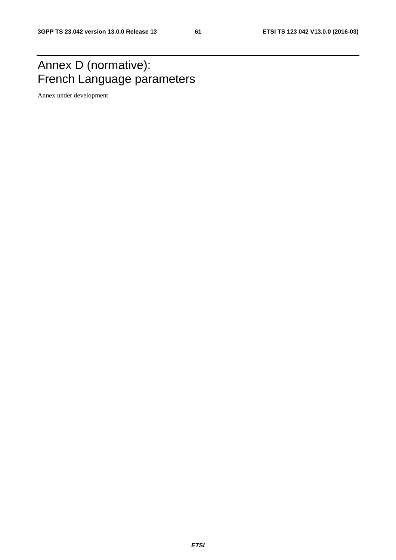### Annex D (normative): French Language parameters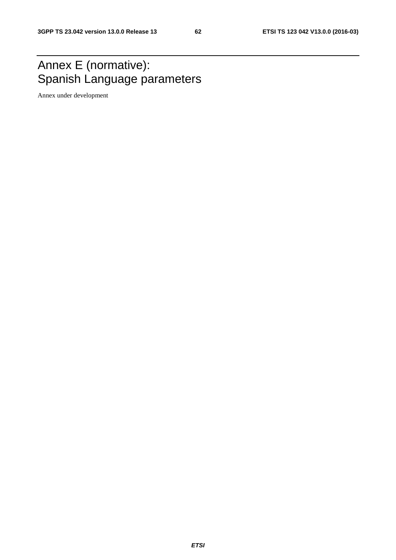### Annex E (normative): Spanish Language parameters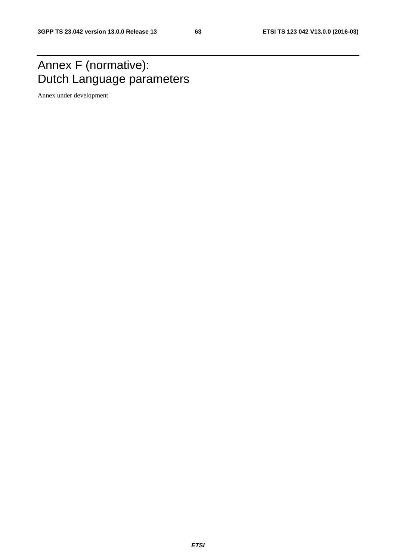### Annex F (normative): Dutch Language parameters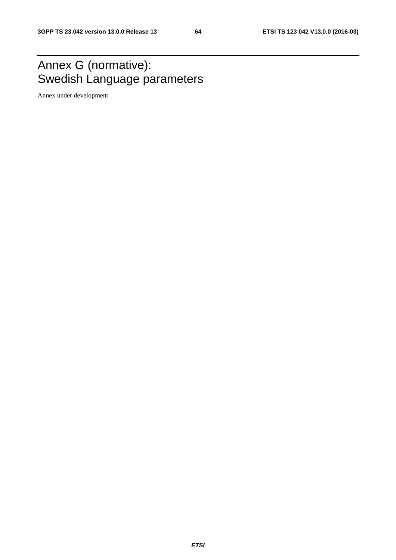# Annex G (normative): Swedish Language parameters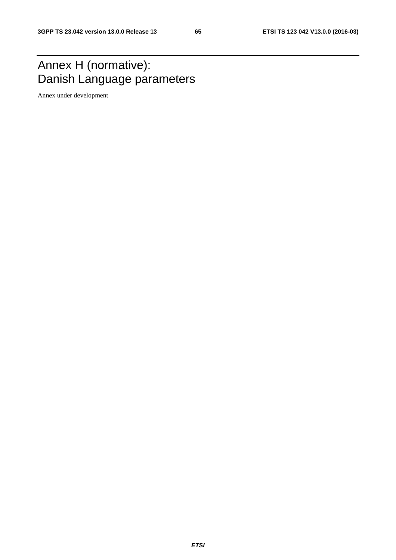## Annex H (normative): Danish Language parameters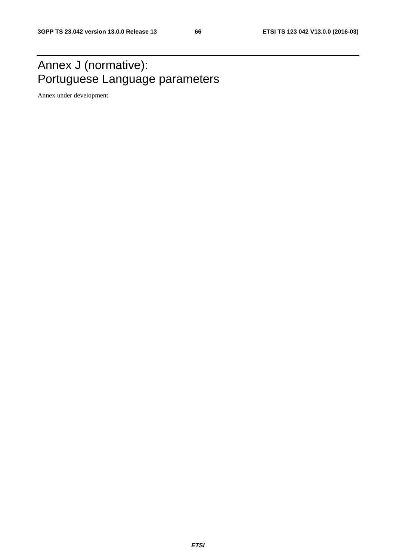# Annex J (normative): Portuguese Language parameters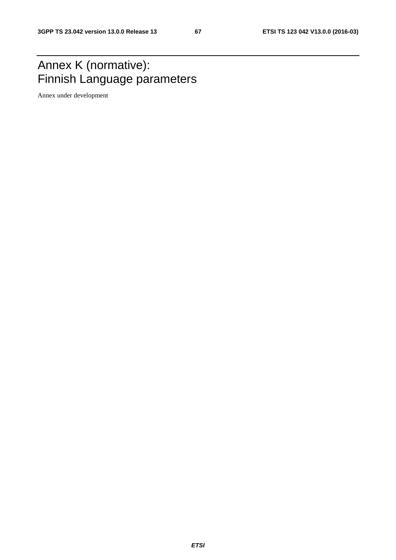# Annex K (normative): Finnish Language parameters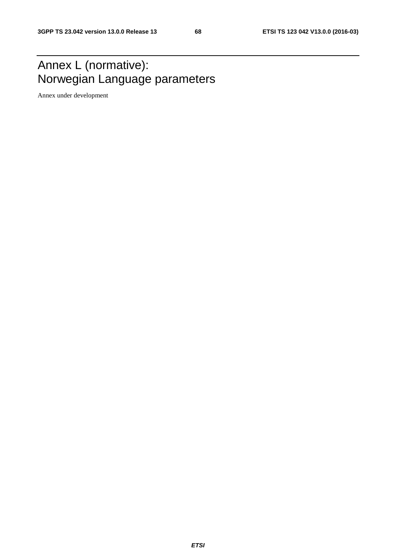# Annex L (normative): Norwegian Language parameters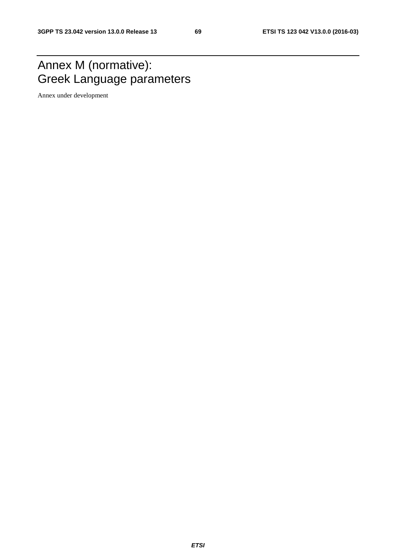# Annex M (normative): Greek Language parameters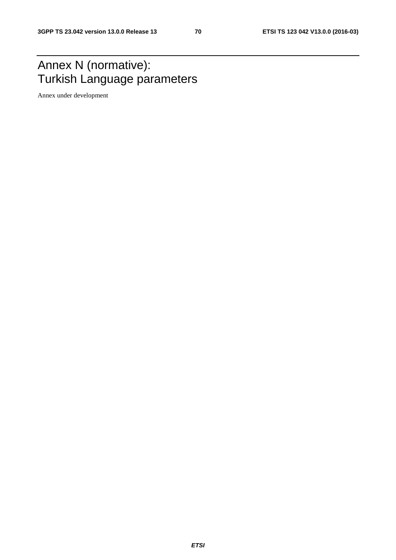### Annex N (normative): Turkish Language parameters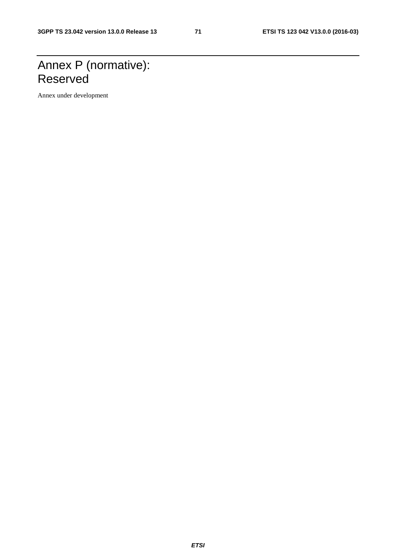## Annex P (normative): Reserved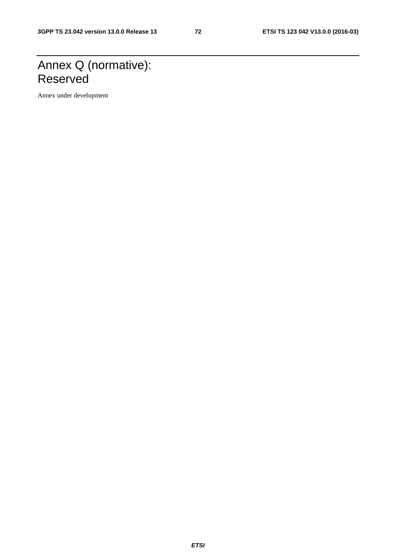## Annex Q (normative): Reserved

Annex under development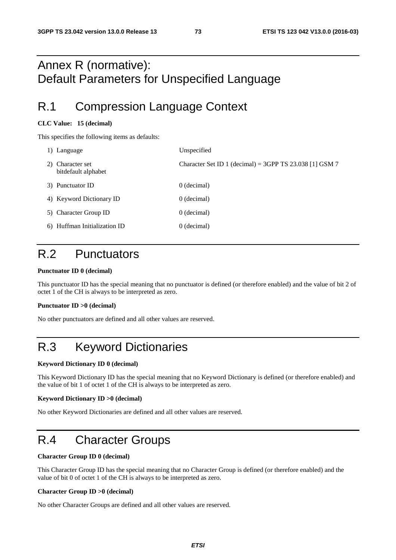### Annex R (normative): Default Parameters for Unspecified Language

### R.1 Compression Language Context

### **CLC Value: 15 (decimal)**

This specifies the following items as defaults:

| 1) Language                             | Unspecified                                             |
|-----------------------------------------|---------------------------------------------------------|
| 2) Character set<br>bitdefault alphabet | Character Set ID 1 (decimal) = 3GPP TS 23.038 [1] GSM 7 |
| 3) Punctuator ID                        | 0 (decimal)                                             |
| 4) Keyword Dictionary ID                | $0$ (decimal)                                           |
| 5) Character Group ID                   | $0$ (decimal)                                           |
| 6) Huffman Initialization ID            | $0$ (decimal)                                           |

### R.2 Punctuators

### **Punctuator ID 0 (decimal)**

This punctuator ID has the special meaning that no punctuator is defined (or therefore enabled) and the value of bit 2 of octet 1 of the CH is always to be interpreted as zero.

### **Punctuator ID >0 (decimal)**

No other punctuators are defined and all other values are reserved.

## R.3 Keyword Dictionaries

### **Keyword Dictionary ID 0 (decimal)**

This Keyword Dictionary ID has the special meaning that no Keyword Dictionary is defined (or therefore enabled) and the value of bit 1 of octet 1 of the CH is always to be interpreted as zero.

### **Keyword Dictionary ID >0 (decimal)**

No other Keyword Dictionaries are defined and all other values are reserved.

### R.4 Character Groups

### **Character Group ID 0 (decimal)**

This Character Group ID has the special meaning that no Character Group is defined (or therefore enabled) and the value of bit 0 of octet 1 of the CH is always to be interpreted as zero.

#### **Character Group ID >0 (decimal)**

No other Character Groups are defined and all other values are reserved.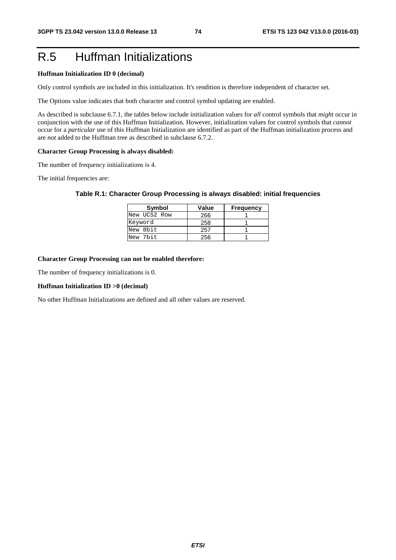## R.5 Huffman Initializations

### **Huffman Initialization ID 0 (decimal)**

Only control symbols are included in this initialization. It's rendition is therefore independent of character set.

The Options value indicates that both character and control symbol updating are enabled.

As described is subclause 6.7.1, the tables below include initialization values for *all* control symbols that *might* occur in conjunction with the use of this Huffman Initialization. However, initialization values for control symbols that *cannot* occur for a *particular* use of this Huffman Initialization are identified as part of the Huffman initialization process and are *not* added to the Huffman tree as described in subclause 6.7.2.

### **Character Group Processing is always disabled:**

The number of frequency initializations is 4.

The initial frequencies are:

| Table R.1: Character Group Processing is always disabled: initial frequencies |  |  |  |
|-------------------------------------------------------------------------------|--|--|--|
|-------------------------------------------------------------------------------|--|--|--|

| Symbol       | Value | <b>Frequency</b> |
|--------------|-------|------------------|
| New UCS2 Row | 266   |                  |
| Keyword      | 258   |                  |
| New 8bit     | 257   |                  |
| New 7bit     | 256   |                  |

### **Character Group Processing can not be enabled therefore:**

The number of frequency initializations is 0.

### **Huffman Initialization ID >0 (decimal)**

No other Huffman Initializations are defined and all other values are reserved.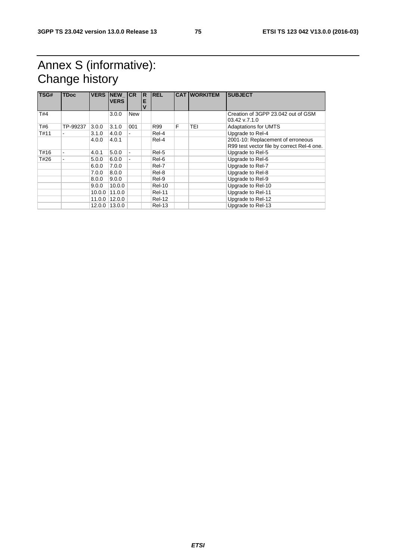## Annex S (informative): Change history

| TSG# | <b>TDoc</b> | <b>VERS</b> | <b>NEW</b><br><b>VERS</b> | <b>ICR</b> | R<br>E<br>$\mathbf v$ | <b>REL</b>    |   | <b>CAT WORKITEM</b> | <b>SUBJECT</b>                                                                  |
|------|-------------|-------------|---------------------------|------------|-----------------------|---------------|---|---------------------|---------------------------------------------------------------------------------|
| T#4  |             |             | 3.0.0                     | New        |                       |               |   |                     | Creation of 3GPP 23.042 out of GSM<br>$03.42$ v.7.1.0                           |
| T#6  | TP-99237    | 3.0.0       | 3.1.0                     | 001        |                       | R99           | F | TEI                 | <b>Adaptations for UMTS</b>                                                     |
| T#11 |             | 3.1.0       | 4.0.0                     |            |                       | Rel-4         |   |                     | Upgrade to Rel-4                                                                |
|      |             | 4.0.0       | 4.0.1                     |            |                       | Rel-4         |   |                     | 2001-10: Replacement of erroneous<br>R99 test vector file by correct Rel-4 one. |
| T#16 |             | 4.0.1       | 5.0.0                     | ۰          |                       | Rel-5         |   |                     | Upgrade to Rel-5                                                                |
| T#26 |             | 5.0.0       | 6.0.0                     |            |                       | Rel-6         |   |                     | Upgrade to Rel-6                                                                |
|      |             | 6.0.0       | 7.0.0                     |            |                       | Rel-7         |   |                     | Upgrade to Rel-7                                                                |
|      |             | 7.0.0       | 8.0.0                     |            |                       | Rel-8         |   |                     | Upgrade to Rel-8                                                                |
|      |             | 8.0.0       | 9.0.0                     |            |                       | Rel-9         |   |                     | Upgrade to Rel-9                                                                |
|      |             | 9.0.0       | 10.0.0                    |            |                       | <b>Rel-10</b> |   |                     | Upgrade to Rel-10                                                               |
|      |             | 10.0.0      | 11.0.0                    |            |                       | <b>Rel-11</b> |   |                     | Upgrade to Rel-11                                                               |
|      |             | 11.0.0      | 12.0.0                    |            |                       | <b>Rel-12</b> |   |                     | Upgrade to Rel-12                                                               |
|      |             | 12.0.0      | 13.0.0                    |            |                       | <b>Rel-13</b> |   |                     | Upgrade to Rel-13                                                               |